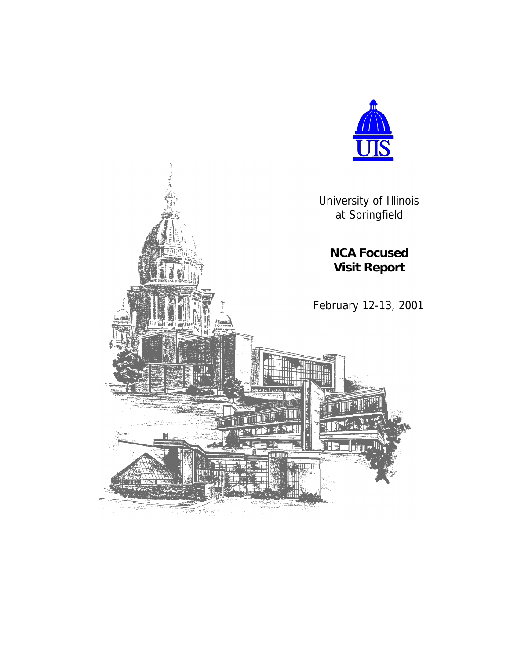

University of Illinois at Springfield

**NCA Focused**

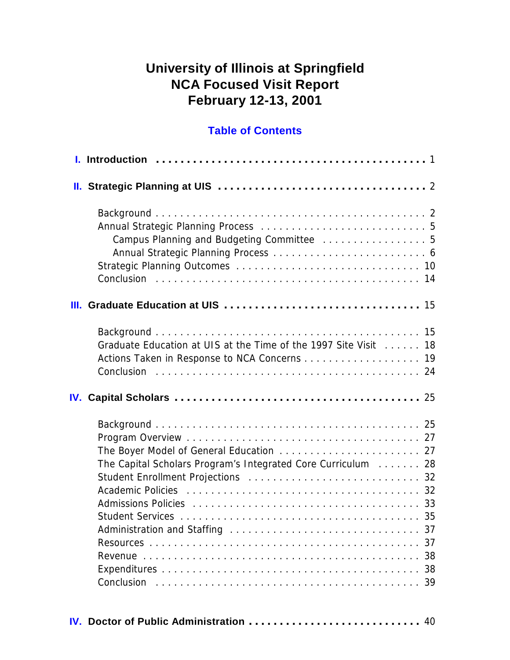# **University of Illinois at Springfield NCA Focused Visit Report February 12-13, 2001**

### **Table of Contents**

| Campus Planning and Budgeting Committee  5                                                                                                                                                                                                                                                     |                      |
|------------------------------------------------------------------------------------------------------------------------------------------------------------------------------------------------------------------------------------------------------------------------------------------------|----------------------|
|                                                                                                                                                                                                                                                                                                |                      |
| Graduate Education at UIS at the Time of the 1997 Site Visit Alleman 18<br>Actions Taken in Response to NCA Concerns 19                                                                                                                                                                        |                      |
|                                                                                                                                                                                                                                                                                                |                      |
| The Capital Scholars Program's Integrated Core Curriculum 28<br>Admissions Policies (alternative and alternative and alternative and alternative and alternative and alternative and alternative and alternative and alternative and alternative and alternative and alternative and alternati | 37<br>37<br>38<br>39 |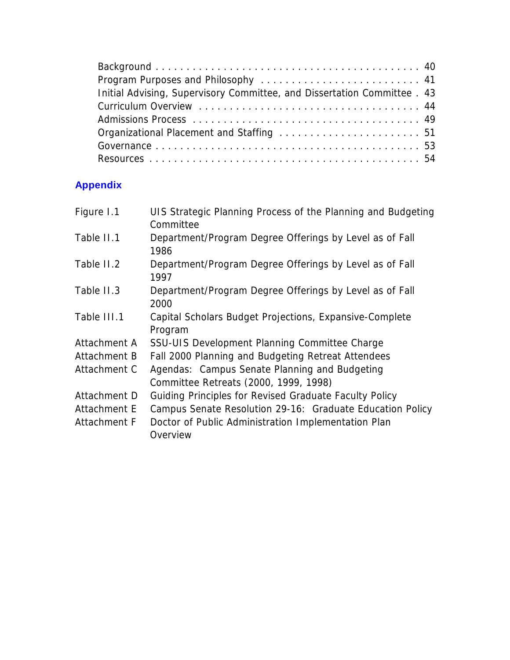| Initial Advising, Supervisory Committee, and Dissertation Committee . 43 |  |
|--------------------------------------------------------------------------|--|
|                                                                          |  |
|                                                                          |  |
|                                                                          |  |
|                                                                          |  |
|                                                                          |  |

# **Appendix**

| Figure 1.1   | UIS Strategic Planning Process of the Planning and Budgeting<br>Committee              |
|--------------|----------------------------------------------------------------------------------------|
| Table II.1   | Department/Program Degree Offerings by Level as of Fall<br>1986                        |
| Table II.2   | Department/Program Degree Offerings by Level as of Fall<br>1997                        |
| Table II.3   | Department/Program Degree Offerings by Level as of Fall<br>2000                        |
| Table III.1  | Capital Scholars Budget Projections, Expansive-Complete<br>Program                     |
| Attachment A | SSU-UIS Development Planning Committee Charge                                          |
| Attachment B | Fall 2000 Planning and Budgeting Retreat Attendees                                     |
| Attachment C | Agendas: Campus Senate Planning and Budgeting<br>Committee Retreats (2000, 1999, 1998) |
| Attachment D | Guiding Principles for Revised Graduate Faculty Policy                                 |
| Attachment E | Campus Senate Resolution 29-16: Graduate Education Policy                              |
| Attachment F | Doctor of Public Administration Implementation Plan<br>Overview                        |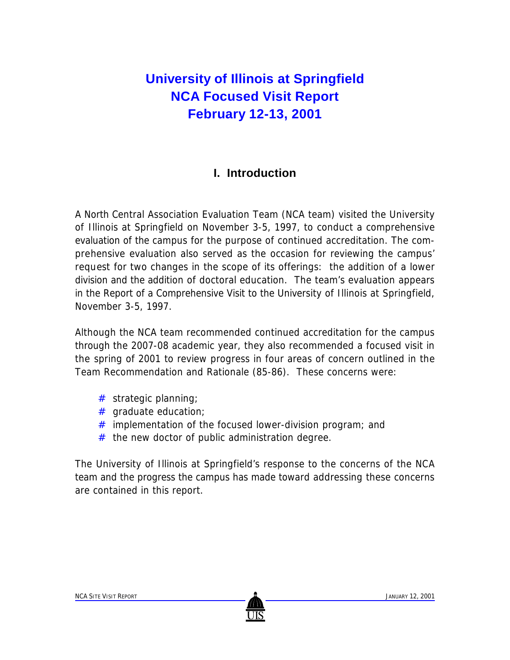# **University of Illinois at Springfield NCA Focused Visit Report February 12-13, 2001**

### **I. Introduction**

A North Central Association Evaluation Team (NCA team) visited the University of Illinois at Springfield on November 3-5, 1997, to conduct a comprehensive evaluation of the campus for the purpose of continued accreditation. The comprehensive evaluation also served as the occasion for reviewing the campus' request for two changes in the scope of its offerings: the addition of a lower division and the addition of doctoral education. The team's evaluation appears in the Report of a Comprehensive Visit to the University of Illinois at Springfield, November 3-5, 1997.

Although the NCA team recommended continued accreditation for the campus through the 2007-08 academic year, they also recommended a focused visit in the spring of 2001 to review progress in four areas of concern outlined in the Team Recommendation and Rationale (85-86). These concerns were:

- # strategic planning;
- # graduate education;
- $#$  implementation of the focused lower-division program; and
- $#$  the new doctor of public administration degree.

The University of Illinois at Springfield's response to the concerns of the NCA team and the progress the campus has made toward addressing these concerns are contained in this report.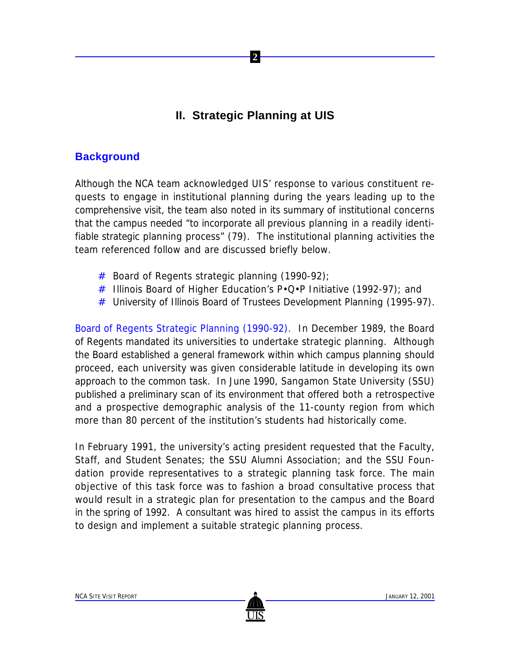## **II. Strategic Planning at UIS**

 **2**

### **Background**

Although the NCA team acknowledged UIS' response to various constituent requests to engage in institutional planning during the years leading up to the comprehensive visit, the team also noted in its summary of institutional concerns that the campus needed "to incorporate all previous planning in a readily identifiable strategic planning process" (79). The institutional planning activities the team referenced follow and are discussed briefly below.

- # Board of Regents strategic planning (1990-92);
- # Illinois Board of Higher Education's  $P \cdot Q \cdot P$  Initiative (1992-97); and
- # University of Illinois Board of Trustees Development Planning (1995-97).

Board of Regents Strategic Planning (1990-92). In December 1989, the Board of Regents mandated its universities to undertake strategic planning. Although the Board established a general framework within which campus planning should proceed, each university was given considerable latitude in developing its own approach to the common task. In June 1990, Sangamon State University (SSU) published a preliminary scan of its environment that offered both a retrospective and a prospective demographic analysis of the 11-county region from which more than 80 percent of the institution's students had historically come.

In February 1991, the university's acting president requested that the Faculty, Staff, and Student Senates; the SSU Alumni Association; and the SSU Foundation provide representatives to a strategic planning task force. The main objective of this task force was to fashion a broad consultative process that would result in a strategic plan for presentation to the campus and the Board in the spring of 1992. A consultant was hired to assist the campus in its efforts to design and implement a suitable strategic planning process.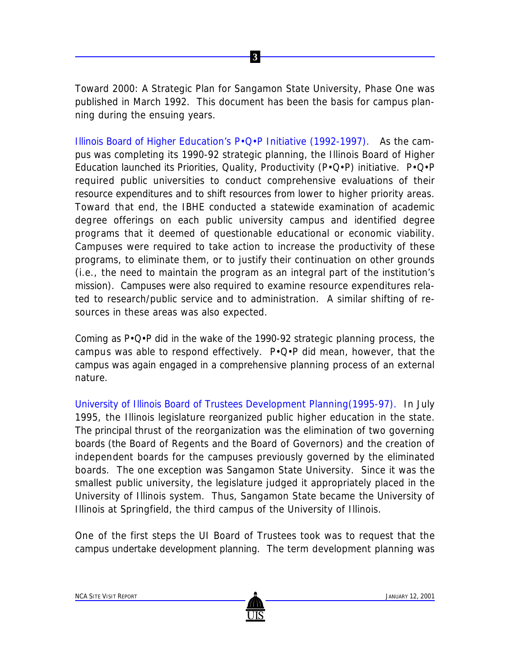*Toward 2000: A Strategic Plan for Sangamon State University, Phase One* was published in March 1992. This document has been the basis for campus planning during the ensuing years.

 **3**

Illinois Board of Higher Education's P•Q•P Initiative (1992-1997). As the campus was completing its 1990-92 strategic planning, the Illinois Board of Higher Education launched its Priorities, Quality, Productivity (P•Q•P) initiative. P•Q•P required public universities to conduct comprehensive evaluations of their resource expenditures and to shift resources from lower to higher priority areas. Toward that end, the IBHE conducted a statewide examination of academic degree offerings on each public university campus and identified degree programs that it deemed of questionable educational or economic viability. Campuses were required to take action to increase the productivity of these programs, to eliminate them, or to justify their continuation on other grounds (i.e., the need to maintain the program as an integral part of the institution's mission). Campuses were also required to examine resource expenditures related to research/public service and to administration. A similar shifting of resources in these areas was also expected.

Coming as P•Q•P did in the wake of the 1990-92 strategic planning process, the campus was able to respond effectively. P•Q•P did mean, however, that the campus was again engaged in a comprehensive planning process of an external nature.

University of Illinois Board of Trustees Development Planning(1995-97). In July 1995, the Illinois legislature reorganized public higher education in the state. The principal thrust of the reorganization was the elimination of two governing boards (the Board of Regents and the Board of Governors) and the creation of independent boards for the campuses previously governed by the eliminated boards. The one exception was Sangamon State University. Since it was the smallest public university, the legislature judged it appropriately placed in the University of Illinois system. Thus, Sangamon State became the University of Illinois at Springfield, the third campus of the University of Illinois.

One of the first steps the UI Board of Trustees took was to request that the campus undertake development planning. The term *development planning* was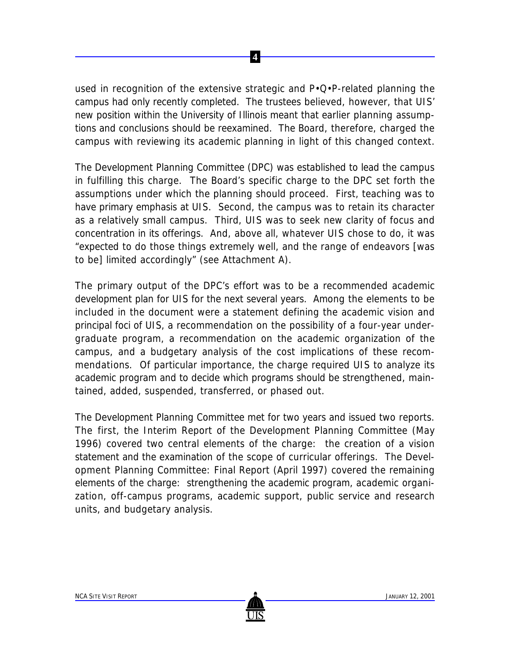used in recognition of the extensive strategic and P•Q•P-related planning the campus had only recently completed. The trustees believed, however, that UIS' new position within the University of Illinois meant that earlier planning assumptions and conclusions should be reexamined. The Board, therefore, charged the campus with reviewing its academic planning in light of this changed context.

 **4**

The Development Planning Committee (DPC) was established to lead the campus in fulfilling this charge. The Board's specific charge to the DPC set forth the assumptions under which the planning should proceed. First, teaching was to have primary emphasis at UIS. Second, the campus was to retain its character as a relatively small campus. Third, UIS was to seek new clarity of focus and concentration in its offerings. And, above all, whatever UIS chose to do, it was "expected to do those things extremely well, and the range of endeavors [was to be] limited accordingly" (see Attachment A).

The primary output of the DPC's effort was to be a recommended academic development plan for UIS for the next several years. Among the elements to be included in the document were a statement defining the academic vision and principal foci of UIS, a recommendation on the possibility of a four-year undergraduate program, a recommendation on the academic organization of the campus, and a budgetary analysis of the cost implications of these recommendations. Of particular importance, the charge required UIS to analyze its academic program and to decide which programs should be strengthened, maintained, added, suspended, transferred, or phased out.

The Development Planning Committee met for two years and issued two reports. The first, the Interim Report of the Development Planning Committee (May 1996) covered two central elements of the charge: the creation of a vision statement and the examination of the scope of curricular offerings. The Development Planning Committee: Final Report (April 1997) covered the remaining elements of the charge: strengthening the academic program, academic organization, off-campus programs, academic support, public service and research units, and budgetary analysis.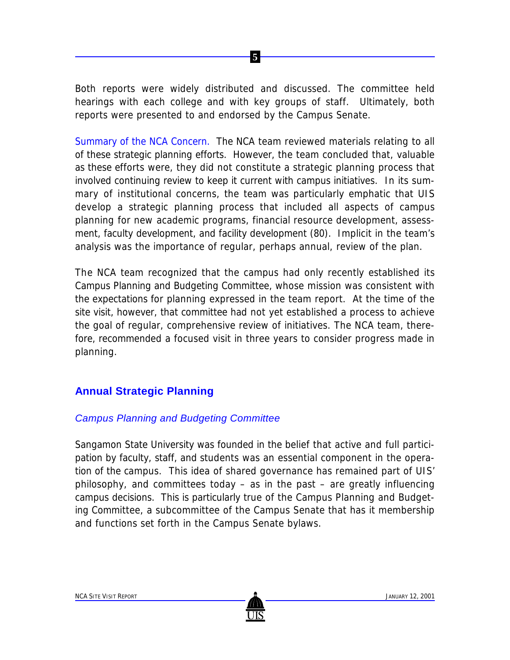Both reports were widely distributed and discussed. The committee held hearings with each college and with key groups of staff. Ultimately, both reports were presented to and endorsed by the Campus Senate.

 **5**

Summary of the NCA Concern. The NCA team reviewed materials relating to all of these strategic planning efforts. However, the team concluded that, valuable as these efforts were, they did not constitute a strategic planning process that involved continuing review to keep it current with campus initiatives. In its summary of institutional concerns, the team was particularly emphatic that UIS develop a strategic planning process that included all aspects of campus planning for new academic programs, financial resource development, assessment, faculty development, and facility development (80). Implicit in the team's analysis was the importance of regular, perhaps annual, review of the plan.

The NCA team recognized that the campus had only recently established its Campus Planning and Budgeting Committee, whose mission was consistent with the expectations for planning expressed in the team report. At the time of the site visit, however, that committee had not yet established a process to achieve the goal of regular, comprehensive review of initiatives. The NCA team, therefore, recommended a focused visit in three years to consider progress made in planning.

## **Annual Strategic Planning**

#### *Campus Planning and Budgeting Committee*

Sangamon State University was founded in the belief that active and full participation by faculty, staff, and students was an essential component in the operation of the campus. This idea of shared governance has remained part of UIS' philosophy, and committees today – as in the past – are greatly influencing campus decisions. This is particularly true of the Campus Planning and Budgeting Committee, a subcommittee of the Campus Senate that has it membership and functions set forth in the Campus Senate bylaws.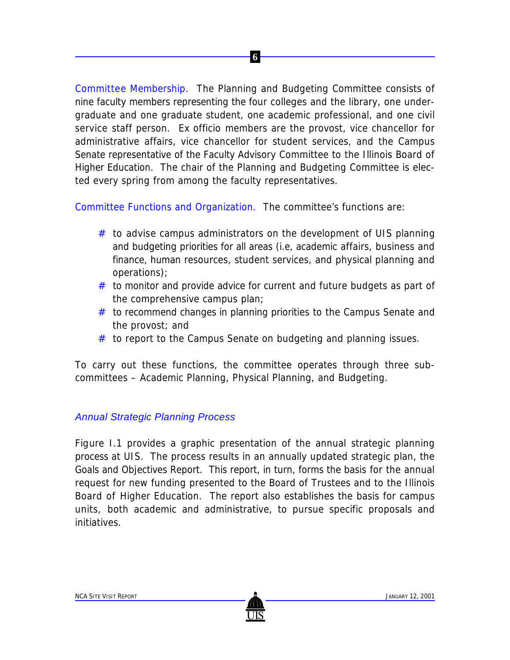Committee Membership. The Planning and Budgeting Committee consists of nine faculty members representing the four colleges and the library, one undergraduate and one graduate student, one academic professional, and one civil service staff person. *Ex officio* members are the provost, vice chancellor for administrative affairs, vice chancellor for student services, and the Campus Senate representative of the Faculty Advisory Committee to the Illinois Board of Higher Education. The chair of the Planning and Budgeting Committee is elected every spring from among the faculty representatives.

 **6**

Committee Functions and Organization. The committee's functions are:

- $#$  to advise campus administrators on the development of UIS planning and budgeting priorities for all areas (i.e, academic affairs, business and finance, human resources, student services, and physical planning and operations);
- $#$  to monitor and provide advice for current and future budgets as part of the comprehensive campus plan;
- $#$  to recommend changes in planning priorities to the Campus Senate and the provost; and
- # to report to the Campus Senate on budgeting and planning issues.

To carry out these functions, the committee operates through three subcommittees – Academic Planning, Physical Planning, and Budgeting.

#### *Annual Strategic Planning Process*

Figure I.1 provides a graphic presentation of the annual strategic planning process at UIS. The process results in an annually updated strategic plan, the Goals and Objectives Report. This report, in turn, forms the basis for the annual request for new funding presented to the Board of Trustees and to the Illinois Board of Higher Education. The report also establishes the basis for campus units, both academic and administrative, to pursue specific proposals and initiatives.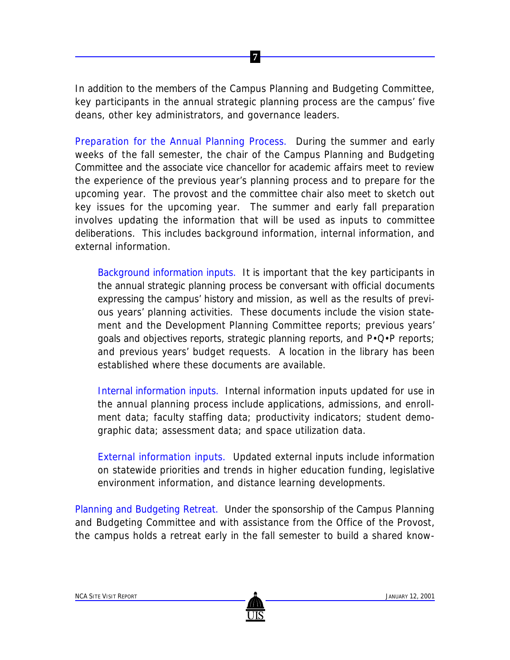In addition to the members of the Campus Planning and Budgeting Committee, key participants in the annual strategic planning process are the campus' five deans, other key administrators, and governance leaders.

 **7**

Preparation for the Annual Planning Process. During the summer and early weeks of the fall semester, the chair of the Campus Planning and Budgeting Committee and the associate vice chancellor for academic affairs meet to review the experience of the previous year's planning process and to prepare for the upcoming year. The provost and the committee chair also meet to sketch out key issues for the upcoming year. The summer and early fall preparation involves updating the information that will be used as inputs to committee deliberations. This includes background information, internal information, and external information.

*Background information inputs.* It is important that the key participants in the annual strategic planning process be conversant with official documents expressing the campus' history and mission, as well as the results of previous years' planning activities. These documents include the vision statement and the Development Planning Committee reports; previous years' goals and objectives reports, strategic planning reports, and P•Q•P reports; and previous years' budget requests. A location in the library has been established where these documents are available.

*Internal information inputs.* Internal information inputs updated for use in the annual planning process include applications, admissions, and enrollment data; faculty staffing data; productivity indicators; student demographic data; assessment data; and space utilization data.

*External information inputs.* Updated external inputs include information on statewide priorities and trends in higher education funding, legislative environment information, and distance learning developments.

Planning and Budgeting Retreat. Under the sponsorship of the Campus Planning and Budgeting Committee and with assistance from the Office of the Provost, the campus holds a retreat early in the fall semester to build a shared know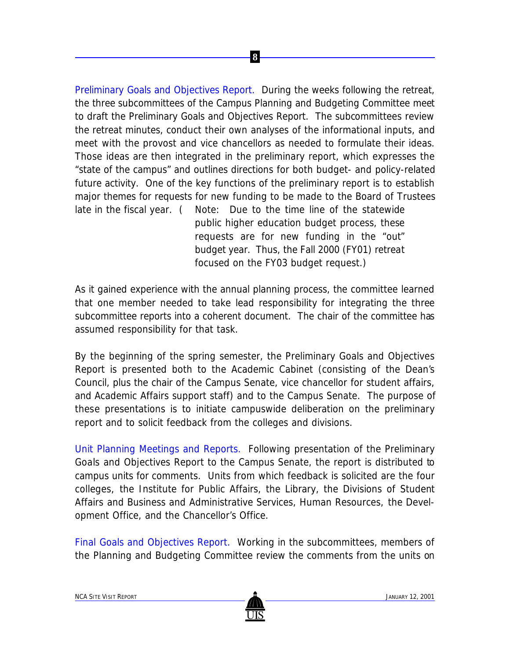Preliminary Goals and Objectives Report. During the weeks following the retreat, the three subcommittees of the Campus Planning and Budgeting Committee meet to draft the Preliminary Goals and Objectives Report. The subcommittees review the retreat minutes, conduct their own analyses of the informational inputs, and meet with the provost and vice chancellors as needed to formulate their ideas. Those ideas are then integrated in the preliminary report, which expresses the "state of the campus" and outlines directions for both budget- and policy-related future activity. One of the key functions of the preliminary report is to establish major themes for requests for new funding to be made to the Board of Trustees late in the fiscal year. ( *Note:* Due to the time line of the statewide

 **8**

public higher education budget process, these requests are for new funding in the "out" budget year. Thus, the Fall 2000 (FY01) retreat focused on the FY03 budget request.)

As it gained experience with the annual planning process, the committee learned that one member needed to take lead responsibility for integrating the three subcommittee reports into a coherent document. The chair of the committee has assumed responsibility for that task.

By the beginning of the spring semester, the Preliminary Goals and Objectives Report is presented both to the Academic Cabinet (consisting of the Dean's Council, plus the chair of the Campus Senate, vice chancellor for student affairs, and Academic Affairs support staff) and to the Campus Senate. The purpose of these presentations is to initiate campuswide deliberation on the preliminary report and to solicit feedback from the colleges and divisions.

Unit Planning Meetings and Reports. Following presentation of the Preliminary Goals and Objectives Report to the Campus Senate, the report is distributed to campus units for comments. Units from which feedback is solicited are the four colleges, the Institute for Public Affairs, the Library, the Divisions of Student Affairs and Business and Administrative Services, Human Resources, the Development Office, and the Chancellor's Office.

Final Goals and Objectives Report. Working in the subcommittees, members of the Planning and Budgeting Committee review the comments from the units on

US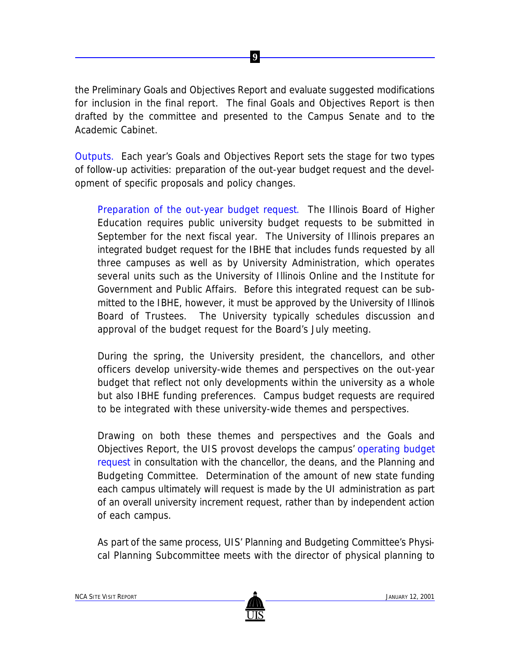the Preliminary Goals and Objectives Report and evaluate suggested modifications for inclusion in the final report. The final Goals and Objectives Report is then drafted by the committee and presented to the Campus Senate and to the Academic Cabinet.

 **9**

Outputs. Each year's Goals and Objectives Report sets the stage for two types of follow-up activities: preparation of the out-year budget request and the development of specific proposals and policy changes.

*Preparation of the out-year budget request*. The Illinois Board of Higher Education requires public university budget requests to be submitted in September for the next fiscal year. The University of Illinois prepares an integrated budget request for the IBHE that includes funds requested by all three campuses as well as by University Administration, which operates several units such as the University of Illinois Online and the Institute for Government and Public Affairs. Before this integrated request can be submitted to the IBHE, however, it must be approved by the University of Illinois Board of Trustees. The University typically schedules discussion and approval of the budget request for the Board's July meeting.

During the spring, the University president, the chancellors, and other officers develop university-wide themes and perspectives on the out-year budget that reflect not only developments within the university as a whole but also IBHE funding preferences. Campus budget requests are required to be integrated with these university-wide themes and perspectives.

Drawing on both these themes and perspectives and the Goals and Objectives Report, the UIS provost develops the campus' operating budget request in consultation with the chancellor, the deans, and the Planning and Budgeting Committee. Determination of the amount of new state funding each campus ultimately will request is made by the UI administration as part of an overall university increment request, rather than by independent action of each campus.

As part of the same process, UIS' Planning and Budgeting Committee's Physical Planning Subcommittee meets with the director of physical planning to

US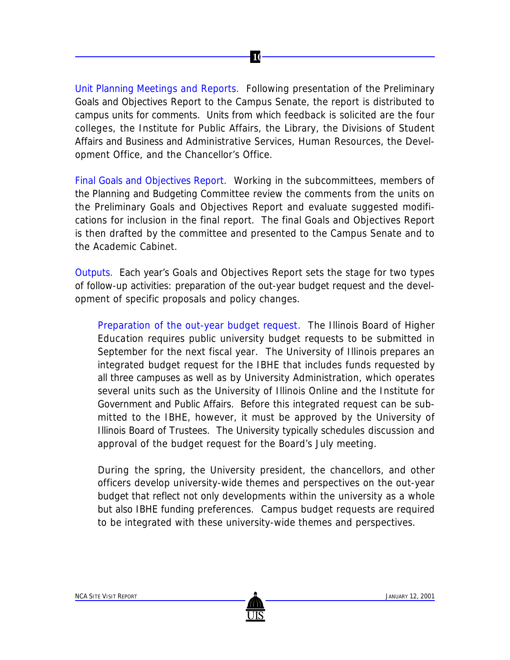Unit Planning Meetings and Reports. Following presentation of the Preliminary Goals and Objectives Report to the Campus Senate, the report is distributed to campus units for comments. Units from which feedback is solicited are the four colleges, the Institute for Public Affairs, the Library, the Divisions of Student Affairs and Business and Administrative Services, Human Resources, the Development Office, and the Chancellor's Office.

 **10**

Final Goals and Objectives Report. Working in the subcommittees, members of the Planning and Budgeting Committee review the comments from the units on the Preliminary Goals and Objectives Report and evaluate suggested modifications for inclusion in the final report. The final Goals and Objectives Report is then drafted by the committee and presented to the Campus Senate and to the Academic Cabinet.

Outputs. Each year's Goals and Objectives Report sets the stage for two types of follow-up activities: preparation of the out-year budget request and the development of specific proposals and policy changes.

*Preparation of the out-year budget request*. The Illinois Board of Higher Education requires public university budget requests to be submitted in September for the next fiscal year. The University of Illinois prepares an integrated budget request for the IBHE that includes funds requested by all three campuses as well as by University Administration, which operates several units such as the University of Illinois Online and the Institute for Government and Public Affairs. Before this integrated request can be submitted to the IBHE, however, it must be approved by the University of Illinois Board of Trustees. The University typically schedules discussion and approval of the budget request for the Board's July meeting.

During the spring, the University president, the chancellors, and other officers develop university-wide themes and perspectives on the out-year budget that reflect not only developments within the university as a whole but also IBHE funding preferences. Campus budget requests are required to be integrated with these university-wide themes and perspectives.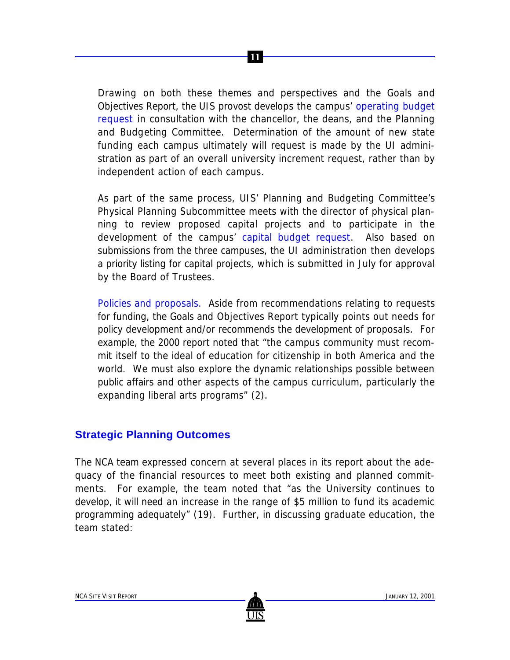Drawing on both these themes and perspectives and the Goals and Objectives Report, the UIS provost develops the campus' operating budget request in consultation with the chancellor, the deans, and the Planning and Budgeting Committee. Determination of the amount of new state funding each campus ultimately will request is made by the UI administration as part of an overall university increment request, rather than by independent action of each campus.

 **11**

As part of the same process, UIS' Planning and Budgeting Committee's Physical Planning Subcommittee meets with the director of physical planning to review proposed capital projects and to participate in the development of the campus' capital budget request. Also based on submissions from the three campuses, the UI administration then develops a priority listing for capital projects, which is submitted in July for approval by the Board of Trustees.

*Policies and proposals.* Aside from recommendations relating to requests for funding, the Goals and Objectives Report typically points out needs for policy development and/or recommends the development of proposals. For example, the 2000 report noted that "the campus community must recommit itself to the ideal of education for citizenship in both America and the world. We must also explore the dynamic relationships possible between public affairs and other aspects of the campus curriculum, particularly the expanding liberal arts programs" (2).

#### **Strategic Planning Outcomes**

The NCA team expressed concern at several places in its report about the adequacy of the financial resources to meet both existing and planned commitments. For example, the team noted that "as the University continues to develop, it will need an increase in the range of \$5 million to fund its academic programming adequately" (19). Further, in discussing graduate education, the team stated: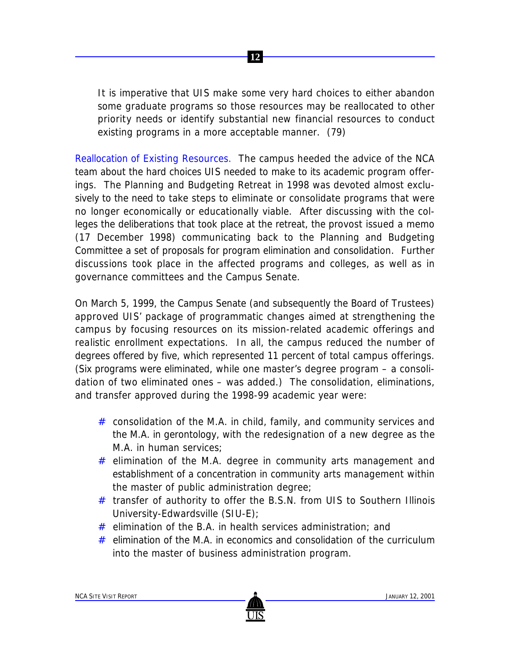It is imperative that UIS make some very hard choices to either abandon some graduate programs so those resources may be reallocated to other priority needs or identify substantial new financial resources to conduct existing programs in a more acceptable manner. (79)

 **12**

Reallocation of Existing Resources. The campus heeded the advice of the NCA team about the hard choices UIS needed to make to its academic program offerings. The Planning and Budgeting Retreat in 1998 was devoted almost exclusively to the need to take steps to eliminate or consolidate programs that were no longer economically or educationally viable. After discussing with the colleges the deliberations that took place at the retreat, the provost issued a memo (17 December 1998) communicating back to the Planning and Budgeting Committee a set of proposals for program elimination and consolidation. Further discussions took place in the affected programs and colleges, as well as in governance committees and the Campus Senate.

On March 5, 1999, the Campus Senate (and subsequently the Board of Trustees) approved UIS' package of programmatic changes aimed at strengthening the campus by focusing resources on its mission-related academic offerings and realistic enrollment expectations. In all, the campus reduced the number of degrees offered by five, which represented 11 percent of total campus offerings. (Six programs were eliminated, while one master's degree program – a consolidation of two eliminated ones – was added.) The consolidation, eliminations, and transfer approved during the 1998-99 academic year were:

- $#$  consolidation of the M.A. in child, family, and community services and the M.A. in gerontology, with the redesignation of a new degree as the M.A. in human services;
- $#$  elimination of the M.A. degree in community arts management and establishment of a concentration in community arts management within the master of public administration degree;
- # transfer of authority to offer the B.S.N. from UIS to Southern Illinois University-Edwardsville (SIU-E);
- $#$  elimination of the B.A. in health services administration; and
- # elimination of the M.A. in economics and consolidation of the curriculum into the master of business administration program.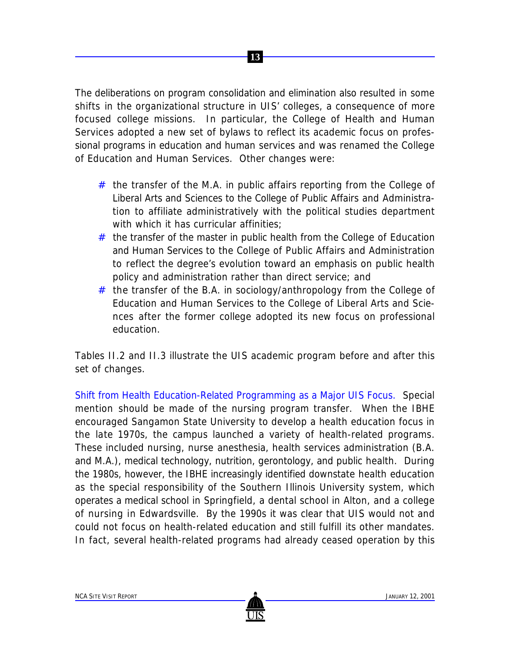

The deliberations on program consolidation and elimination also resulted in some shifts in the organizational structure in UIS' colleges, a consequence of more focused college missions. In particular, the College of Health and Human Services adopted a new set of bylaws to reflect its academic focus on professional programs in education and human services and was renamed the College of Education and Human Services. Other changes were:

- $#$  the transfer of the M.A. in public affairs reporting from the College of Liberal Arts and Sciences to the College of Public Affairs and Administration to affiliate administratively with the political studies department with which it has curricular affinities;
- # the transfer of the master in public health from the College of Education and Human Services to the College of Public Affairs and Administration to reflect the degree's evolution toward an emphasis on public health policy and administration rather than direct service; and
- # the transfer of the B.A. in sociology/anthropology from the College of Education and Human Services to the College of Liberal Arts and Sciences after the former college adopted its new focus on professional education.

Tables II.2 and II.3 illustrate the UIS academic program before and after this set of changes.

Shift from Health Education-Related Programming as a Major UIS Focus. Special mention should be made of the nursing program transfer. When the IBHE encouraged Sangamon State University to develop a health education focus in the late 1970s, the campus launched a variety of health-related programs. These included nursing, nurse anesthesia, health services administration (B.A. and M.A.), medical technology, nutrition, gerontology, and public health. During the 1980s, however, the IBHE increasingly identified downstate health education as the special responsibility of the Southern Illinois University system, which operates a medical school in Springfield, a dental school in Alton, and a college of nursing in Edwardsville. By the 1990s it was clear that UIS would not and could not focus on health-related education and still fulfill its other mandates. In fact, several health-related programs had already ceased operation by this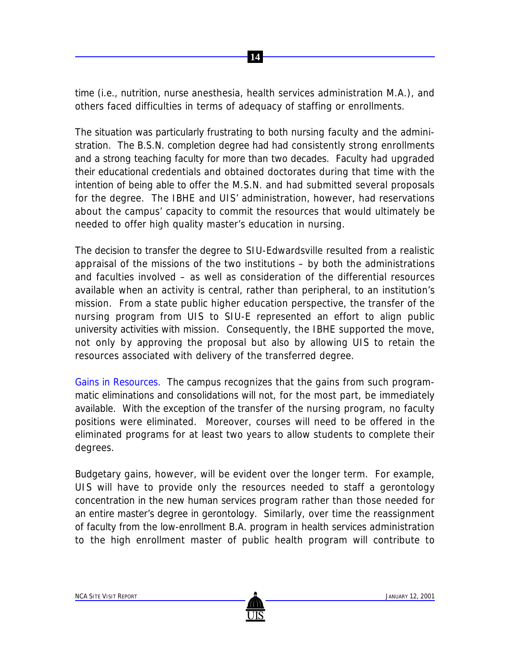time (i.e., nutrition, nurse anesthesia, health services administration M.A.), and others faced difficulties in terms of adequacy of staffing or enrollments.

 **14**

The situation was particularly frustrating to both nursing faculty and the administration. The B.S.N. completion degree had had consistently strong enrollments and a strong teaching faculty for more than two decades. Faculty had upgraded their educational credentials and obtained doctorates during that time with the intention of being able to offer the M.S.N. and had submitted several proposals for the degree. The IBHE and UIS' administration, however, had reservations about the campus' capacity to commit the resources that would ultimately be needed to offer high quality master's education in nursing.

The decision to transfer the degree to SIU-Edwardsville resulted from a realistic appraisal of the missions of the two institutions – by both the administrations and faculties involved – as well as consideration of the differential resources available when an activity is central, rather than peripheral, to an institution's mission. From a state public higher education perspective, the transfer of the nursing program from UIS to SIU-E represented an effort to align public university activities with mission. Consequently, the IBHE supported the move, not only by approving the proposal but also by allowing UIS to retain the resources associated with delivery of the transferred degree.

Gains in Resources. The campus recognizes that the gains from such programmatic eliminations and consolidations will not, for the most part, be immediately available. With the exception of the transfer of the nursing program, no faculty positions were eliminated. Moreover, courses will need to be offered in the eliminated programs for at least two years to allow students to complete their degrees.

Budgetary gains, however, will be evident over the longer term. For example, UIS will have to provide only the resources needed to staff a gerontology concentration in the new human services program rather than those needed for an entire master's degree in gerontology. Similarly, over time the reassignment of faculty from the low-enrollment B.A. program in health services administration to the high enrollment master of public health program will contribute to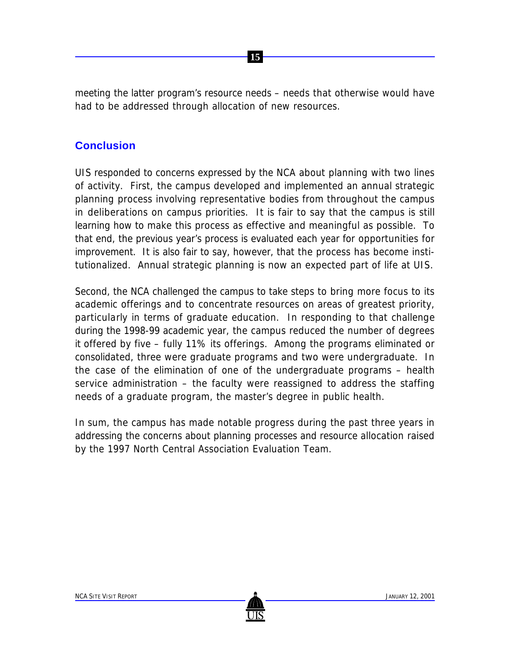meeting the latter program's resource needs – needs that otherwise would have had to be addressed through allocation of new resources.

 **15**

#### **Conclusion**

UIS responded to concerns expressed by the NCA about planning with two lines of activity. First, the campus developed and implemented an annual strategic planning process involving representative bodies from throughout the campus in deliberations on campus priorities. It is fair to say that the campus is still learning how to make this process as effective and meaningful as possible. To that end, the previous year's process is evaluated each year for opportunities for improvement. It is also fair to say, however, that the process has become institutionalized. Annual strategic planning is now an expected part of life at UIS.

Second, the NCA challenged the campus to take steps to bring more focus to its academic offerings and to concentrate resources on areas of greatest priority, particularly in terms of graduate education. In responding to that challenge during the 1998-99 academic year, the campus reduced the number of degrees it offered by five – fully 11% its offerings. Among the programs eliminated or consolidated, three were graduate programs and two were undergraduate. In the case of the elimination of one of the undergraduate programs – health service administration – the faculty were reassigned to address the staffing needs of a graduate program, the master's degree in public health.

In sum, the campus has made notable progress during the past three years in addressing the concerns about planning processes and resource allocation raised by the 1997 North Central Association Evaluation Team.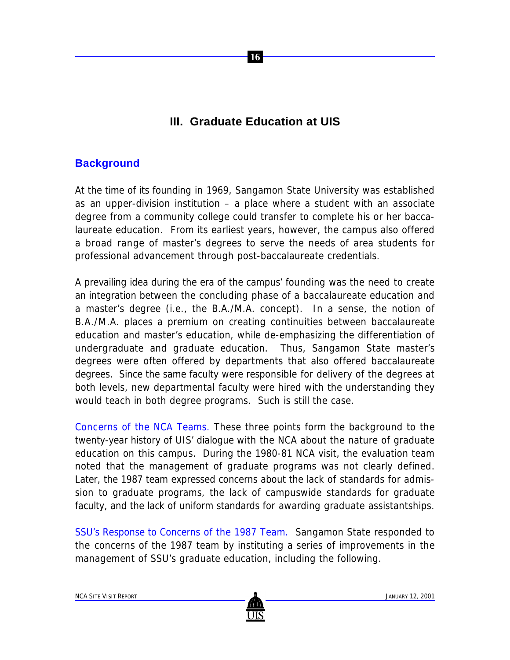## **III. Graduate Education at UIS**

 **16**

#### **Background**

At the time of its founding in 1969, Sangamon State University was established as an upper-division institution – a place where a student with an associate degree from a community college could transfer to complete his or her baccalaureate education. From its earliest years, however, the campus also offered a broad range of master's degrees to serve the needs of area students for professional advancement through post-baccalaureate credentials.

A prevailing idea during the era of the campus' founding was the need to create an integration between the concluding phase of a baccalaureate education and a master's degree (i.e., the B.A./M.A. concept). In a sense, the notion of B.A./M.A. places a premium on creating continuities between baccalaureate education and master's education, while de-emphasizing the differentiation of undergraduate and graduate education. Thus, Sangamon State master's degrees were often offered by departments that also offered baccalaureate degrees. Since the same faculty were responsible for delivery of the degrees at both levels, new departmental faculty were hired with the understanding they would teach in both degree programs. Such is still the case.

Concerns of the NCA Teams. These three points form the background to the twenty-year history of UIS' dialogue with the NCA about the nature of graduate education on this campus. During the 1980-81 NCA visit, the evaluation team noted that the management of graduate programs was not clearly defined. Later, the 1987 team expressed concerns about the lack of standards for admission to graduate programs, the lack of campuswide standards for graduate faculty, and the lack of uniform standards for awarding graduate assistantships.

SSU's Response to Concerns of the 1987 Team. Sangamon State responded to the concerns of the 1987 team by instituting a series of improvements in the management of SSU's graduate education, including the following.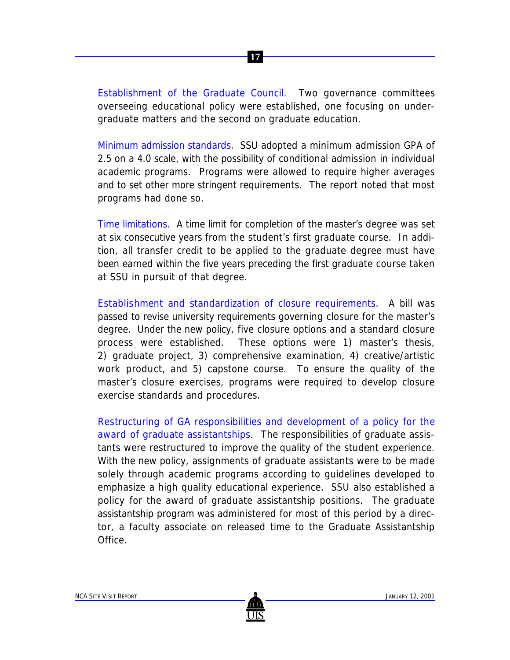*Establishment of the Graduate Council.* Two governance committees overseeing educational policy were established, one focusing on undergraduate matters and the second on graduate education.

 **17**

*Minimum admission standards.* SSU adopted a minimum admission GPA of 2.5 on a 4.0 scale, with the possibility of conditional admission in individual academic programs. Programs were allowed to require higher averages and to set other more stringent requirements. The report noted that most programs had done so.

*Time limitations.* A time limit for completion of the master's degree was set at six consecutive years from the student's first graduate course. In addition, all transfer credit to be applied to the graduate degree must have been earned within the five years preceding the first graduate course taken at SSU in pursuit of that degree.

*Establishment and standardization of closure requirements.* A bill was passed to revise university requirements governing closure for the master's degree. Under the new policy, five closure options and a standard closure process were established. These options were 1) master's thesis, 2) graduate project, 3) comprehensive examination, 4) creative/artistic work product, and 5) capstone course. To ensure the quality of the master's closure exercises, programs were required to develop closure exercise standards and procedures.

*Restructuring of GA responsibilities and development of a policy for the award of graduate assistantships.* The responsibilities of graduate assistants were restructured to improve the quality of the student experience. With the new policy, assignments of graduate assistants were to be made solely through academic programs according to guidelines developed to emphasize a high quality educational experience. SSU also established a policy for the award of graduate assistantship positions. The graduate assistantship program was administered for most of this period by a director, a faculty associate on released time to the Graduate Assistantship Office.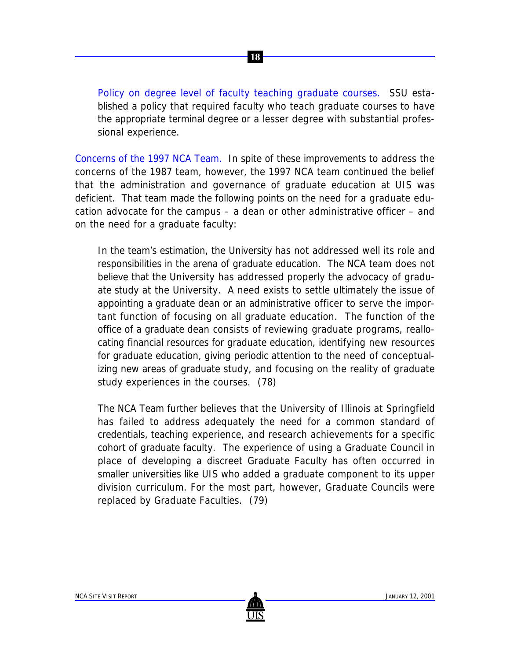*Policy on degree level of faculty teaching graduate courses.* SSU established a policy that required faculty who teach graduate courses to have the appropriate terminal degree or a lesser degree with substantial professional experience.

Concerns of the 1997 NCA Team. In spite of these improvements to address the concerns of the 1987 team, however, the 1997 NCA team continued the belief that the administration and governance of graduate education at UIS was deficient. That team made the following points on the need for a graduate education advocate for the campus – a dean or other administrative officer – and on the need for a graduate faculty:

In the team's estimation, the University has not addressed well its role and responsibilities in the arena of graduate education. The NCA team does not believe that the University has addressed properly the advocacy of graduate study at the University. A need exists to settle ultimately the issue of appointing a graduate dean or an administrative officer to serve the important function of focusing on all graduate education. The function of the office of a graduate dean consists of reviewing graduate programs, reallocating financial resources for graduate education, identifying new resources for graduate education, giving periodic attention to the need of conceptualizing new areas of graduate study, and focusing on the reality of graduate study experiences in the courses. (78)

The NCA Team further believes that the University of Illinois at Springfield has failed to address adequately the need for a common standard of credentials, teaching experience, and research achievements for a specific cohort of graduate faculty. The experience of using a Graduate Council in place of developing a discreet Graduate Faculty has often occurred in smaller universities like UIS who added a graduate component to its upper division curriculum. For the most part, however, Graduate Councils were replaced by Graduate Faculties. (79)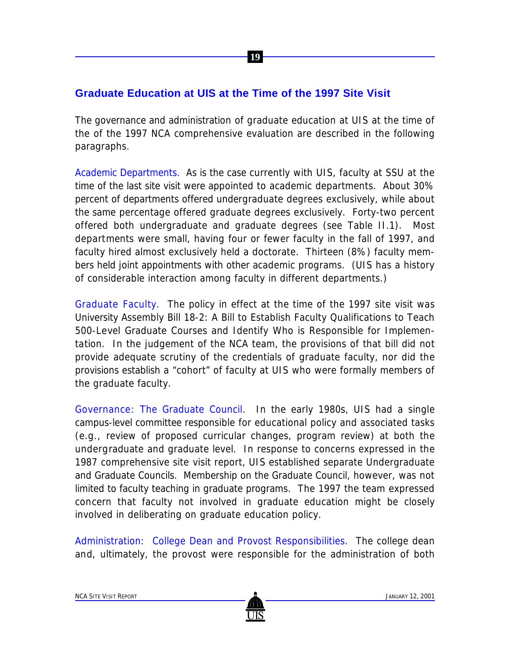#### **Graduate Education at UIS at the Time of the 1997 Site Visit**

The governance and administration of graduate education at UIS at the time of the of the 1997 NCA comprehensive evaluation are described in the following paragraphs.

 **19**

Academic Departments. As is the case currently with UIS, faculty at SSU at the time of the last site visit were appointed to academic departments. About 30% percent of departments offered undergraduate degrees exclusively, while about the same percentage offered graduate degrees exclusively. Forty-two percent offered both undergraduate and graduate degrees (see Table II.1). Most departments were small, having four or fewer faculty in the fall of 1997, and faculty hired almost exclusively held a doctorate. Thirteen (8%) faculty members held joint appointments with other academic programs. (UIS has a history of considerable interaction among faculty in different departments.)

Graduate Faculty. The policy in effect at the time of the 1997 site visit was University Assembly Bill 18-2: A Bill to Establish Faculty Qualifications to Teach 500-Level Graduate Courses and Identify Who is Responsible for Implementation. In the judgement of the NCA team, the provisions of that bill did not provide adequate scrutiny of the credentials of graduate faculty, nor did the provisions establish a "cohort" of faculty at UIS who were formally members of the graduate faculty.

Governance: The Graduate Council. In the early 1980s, UIS had a single campus-level committee responsible for educational policy and associated tasks (e.g., review of proposed curricular changes, program review) at both the undergraduate and graduate level. In response to concerns expressed in the 1987 comprehensive site visit report, UIS established separate Undergraduate and Graduate Councils. Membership on the Graduate Council, however, was not limited to faculty teaching in graduate programs. The 1997 the team expressed concern that faculty not involved in graduate education might be closely involved in deliberating on graduate education policy.

Administration: College Dean and Provost Responsibilities. The college dean and, ultimately, the provost were responsible for the administration of both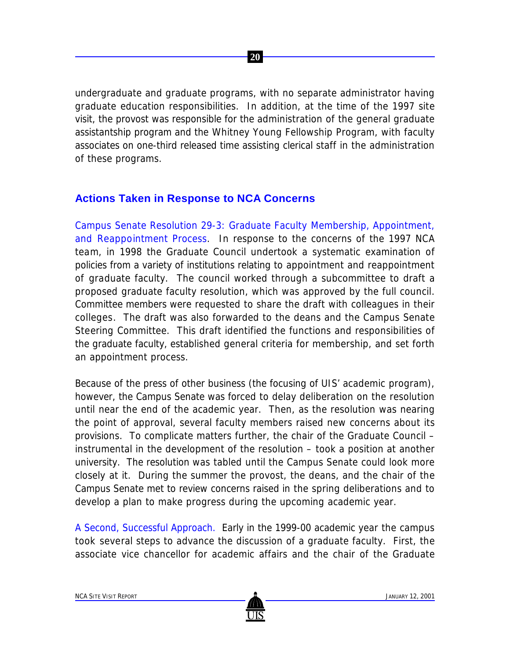undergraduate and graduate programs, with no separate administrator having graduate education responsibilities. In addition, at the time of the 1997 site visit, the provost was responsible for the administration of the general graduate assistantship program and the Whitney Young Fellowship Program, with faculty associates on one-third released time assisting clerical staff in the administration of these programs.

 **20**

#### **Actions Taken in Response to NCA Concerns**

Campus Senate Resolution 29-3: Graduate Faculty Membership, Appointment, and Reappointment Process. In response to the concerns of the 1997 NCA team, in 1998 the Graduate Council undertook a systematic examination of policies from a variety of institutions relating to appointment and reappointment of graduate faculty. The council worked through a subcommittee to draft a proposed graduate faculty resolution, which was approved by the full council. Committee members were requested to share the draft with colleagues in their colleges. The draft was also forwarded to the deans and the Campus Senate Steering Committee. This draft identified the functions and responsibilities of the graduate faculty, established general criteria for membership, and set forth an appointment process.

Because of the press of other business (the focusing of UIS' academic program), however, the Campus Senate was forced to delay deliberation on the resolution until near the end of the academic year. Then, as the resolution was nearing the point of approval, several faculty members raised new concerns about its provisions. To complicate matters further, the chair of the Graduate Council – instrumental in the development of the resolution – took a position at another university. The resolution was tabled until the Campus Senate could look more closely at it. During the summer the provost, the deans, and the chair of the Campus Senate met to review concerns raised in the spring deliberations and to develop a plan to make progress during the upcoming academic year.

A Second, Successful Approach. Early in the 1999-00 academic year the campus took several steps to advance the discussion of a graduate faculty. First, the associate vice chancellor for academic affairs and the chair of the Graduate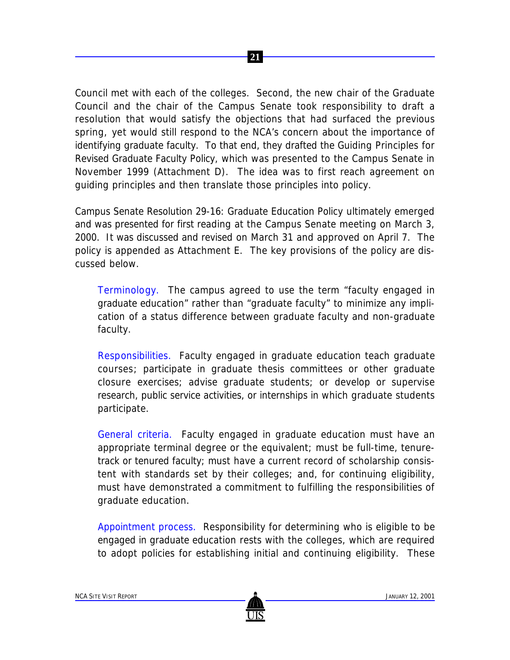Council met with each of the colleges. Second, the new chair of the Graduate Council and the chair of the Campus Senate took responsibility to draft a resolution that would satisfy the objections that had surfaced the previous spring, yet would still respond to the NCA's concern about the importance of identifying graduate faculty. To that end, they drafted the Guiding Principles for Revised Graduate Faculty Policy, which was presented to the Campus Senate in November 1999 (Attachment D). The idea was to first reach agreement on guiding principles and then translate those principles into policy.

Campus Senate Resolution 29-16: Graduate Education Policy ultimately emerged and was presented for first reading at the Campus Senate meeting on March 3, 2000. It was discussed and revised on March 31 and approved on April 7. The policy is appended as Attachment E. The key provisions of the policy are discussed below.

*Terminology.* The campus agreed to use the term "faculty engaged in graduate education" rather than "graduate faculty" to minimize any implication of a status difference between graduate faculty and non-graduate faculty.

*Responsibilities*. Faculty engaged in graduate education teach graduate courses; participate in graduate thesis committees or other graduate closure exercises; advise graduate students; or develop or supervise research, public service activities, or internships in which graduate students participate.

*General criteria.* Faculty engaged in graduate education must have an appropriate terminal degree or the equivalent; must be full-time, tenuretrack or tenured faculty; must have a current record of scholarship consistent with standards set by their colleges; and, for continuing eligibility, must have demonstrated a commitment to fulfilling the responsibilities of graduate education.

*Appointment process.* Responsibility for determining who is eligible to be engaged in graduate education rests with the colleges, which are required to adopt policies for establishing initial and continuing eligibility. These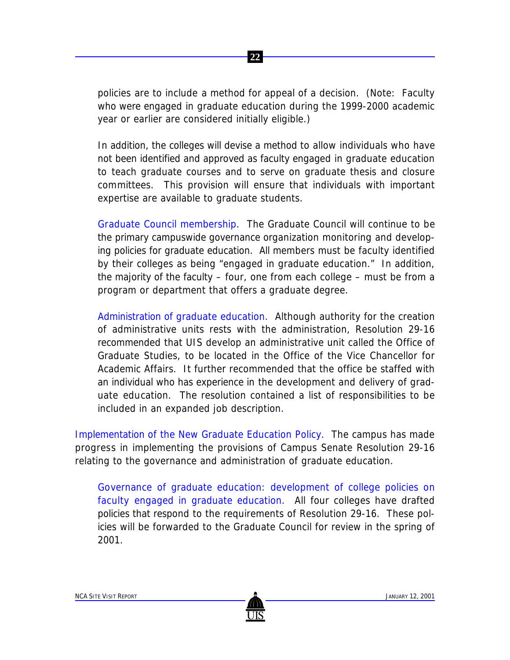policies are to include a method for appeal of a decision. (Note: Faculty who were engaged in graduate education during the 1999-2000 academic year or earlier are considered initially eligible.)

 **22**

In addition, the colleges will devise a method to allow individuals who have not been identified and approved as faculty engaged in graduate education to teach graduate courses and to serve on graduate thesis and closure committees. This provision will ensure that individuals with important expertise are available to graduate students.

*Graduate Council membership.* The Graduate Council will continue to be the primary campuswide governance organization monitoring and developing policies for graduate education. All members must be faculty identified by their colleges as being "engaged in graduate education." In addition, the majority of the faculty – four, one from each college – must be from a program or department that offers a graduate degree.

*Administration of graduate education.* Although authority for the creation of administrative units rests with the administration, Resolution 29-16 recommended that UIS develop an administrative unit called the Office of Graduate Studies, to be located in the Office of the Vice Chancellor for Academic Affairs. It further recommended that the office be staffed with an individual who has experience in the development and delivery of graduate education. The resolution contained a list of responsibilities to be included in an expanded job description.

Implementation of the New Graduate Education Policy. The campus has made progress in implementing the provisions of Campus Senate Resolution 29-16 relating to the governance and administration of graduate education.

*Governance of graduate education: development of college policies on faculty engaged in graduate education.* All four colleges have drafted policies that respond to the requirements of Resolution 29-16. These policies will be forwarded to the Graduate Council for review in the spring of 2001.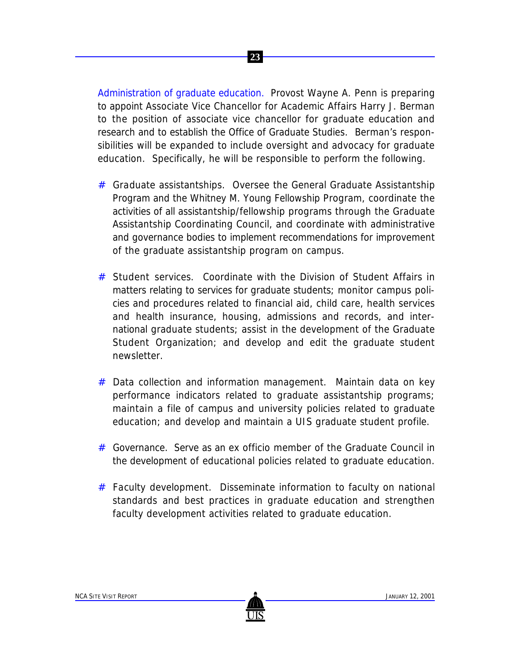

*Administration of graduate education.* Provost Wayne A. Penn is preparing to appoint Associate Vice Chancellor for Academic Affairs Harry J. Berman to the position of associate vice chancellor for graduate education and research and to establish the Office of Graduate Studies. Berman's responsibilities will be expanded to include oversight and advocacy for graduate education. Specifically, he will be responsible to perform the following.

- # *Graduate assistantships.* Oversee the General Graduate Assistantship Program and the Whitney M. Young Fellowship Program, coordinate the activities of all assistantship/fellowship programs through the Graduate Assistantship Coordinating Council, and coordinate with administrative and governance bodies to implement recommendations for improvement of the graduate assistantship program on campus.
- # *Student services.* Coordinate with the Division of Student Affairs in matters relating to services for graduate students; monitor campus policies and procedures related to financial aid, child care, health services and health insurance, housing, admissions and records, and international graduate students; assist in the development of the Graduate Student Organization; and develop and edit the graduate student newsletter.
- # *Data collection and information management.* Maintain data on key performance indicators related to graduate assistantship programs; maintain a file of campus and university policies related to graduate education; and develop and maintain a UIS graduate student profile.
- # *Governance.* Serve as an *ex officio* member of the Graduate Council in the development of educational policies related to graduate education.
- # *Faculty development.* Disseminate information to faculty on national standards and best practices in graduate education and strengthen faculty development activities related to graduate education.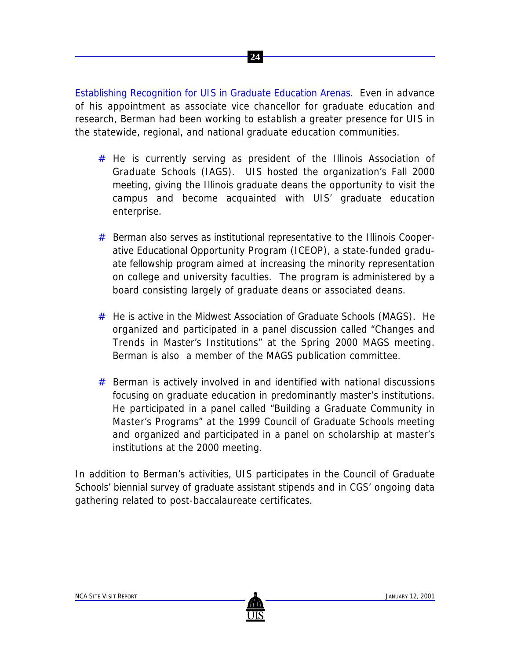Establishing Recognition for UIS in Graduate Education Arenas. Even in advance of his appointment as associate vice chancellor for graduate education and research, Berman had been working to establish a greater presence for UIS in the statewide, regional, and national graduate education communities.

 **24**

- # He is currently serving as president of the Illinois Association of Graduate Schools (IAGS). UIS hosted the organization's Fall 2000 meeting, giving the Illinois graduate deans the opportunity to visit the campus and become acquainted with UIS' graduate education enterprise.
- # Berman also serves as institutional representative to the Illinois Cooperative Educational Opportunity Program (ICEOP), a state-funded graduate fellowship program aimed at increasing the minority representation on college and university faculties. The program is administered by a board consisting largely of graduate deans or associated deans.
- # He is active in the Midwest Association of Graduate Schools (MAGS). He organized and participated in a panel discussion called "Changes and Trends in Master's Institutions" at the Spring 2000 MAGS meeting. Berman is also a member of the MAGS publication committee.
- # Berman is actively involved in and identified with national discussions focusing on graduate education in predominantly master's institutions. He participated in a panel called "Building a Graduate Community in Master's Programs" at the 1999 Council of Graduate Schools meeting and organized and participated in a panel on scholarship at master's institutions at the 2000 meeting.

In addition to Berman's activities, UIS participates in the Council of Graduate Schools' biennial survey of graduate assistant stipends and in CGS' ongoing data gathering related to post-baccalaureate certificates.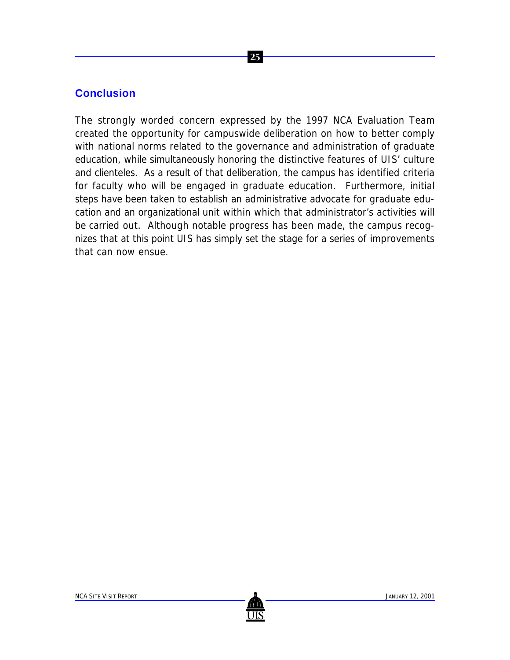#### **25**

#### **Conclusion**

The strongly worded concern expressed by the 1997 NCA Evaluation Team created the opportunity for campuswide deliberation on how to better comply with national norms related to the governance and administration of graduate education, while simultaneously honoring the distinctive features of UIS' culture and clienteles. As a result of that deliberation, the campus has identified criteria for faculty who will be engaged in graduate education. Furthermore, initial steps have been taken to establish an administrative advocate for graduate education and an organizational unit within which that administrator's activities will be carried out. Although notable progress has been made, the campus recognizes that at this point UIS has simply set the stage for a series of improvements that can now ensue.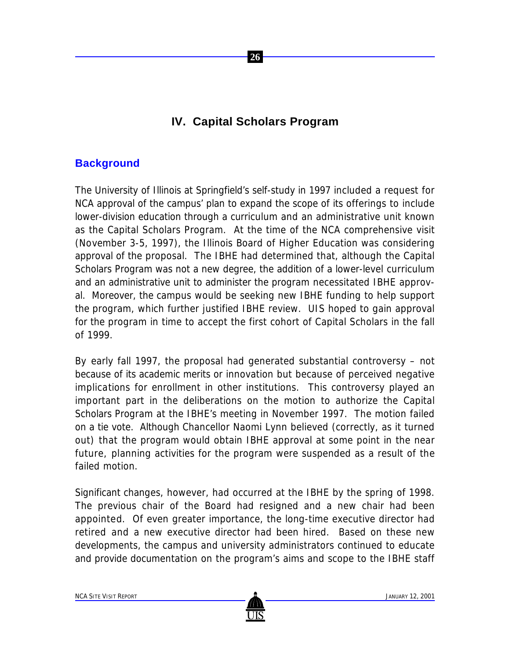## **IV. Capital Scholars Program**

 **26**

### **Background**

The University of Illinois at Springfield's self-study in 1997 included a request for NCA approval of the campus' plan to expand the scope of its offerings to include lower-division education through a curriculum and an administrative unit known as the Capital Scholars Program. At the time of the NCA comprehensive visit (November 3-5, 1997), the Illinois Board of Higher Education was considering approval of the proposal. The IBHE had determined that, although the Capital Scholars Program was not a new degree, the addition of a lower-level curriculum and an administrative unit to administer the program necessitated IBHE approval. Moreover, the campus would be seeking new IBHE funding to help support the program, which further justified IBHE review. UIS hoped to gain approval for the program in time to accept the first cohort of Capital Scholars in the fall of 1999.

By early fall 1997, the proposal had generated substantial controversy – not because of its academic merits or innovation but because of perceived negative implications for enrollment in other institutions. This controversy played an important part in the deliberations on the motion to authorize the Capital Scholars Program at the IBHE's meeting in November 1997. The motion failed on a tie vote. Although Chancellor Naomi Lynn believed (correctly, as it turned out) that the program would obtain IBHE approval at some point in the near future, planning activities for the program were suspended as a result of the failed motion.

Significant changes, however, had occurred at the IBHE by the spring of 1998. The previous chair of the Board had resigned and a new chair had been appointed. Of even greater importance, the long-time executive director had retired and a new executive director had been hired. Based on these new developments, the campus and university administrators continued to educate and provide documentation on the program's aims and scope to the IBHE staff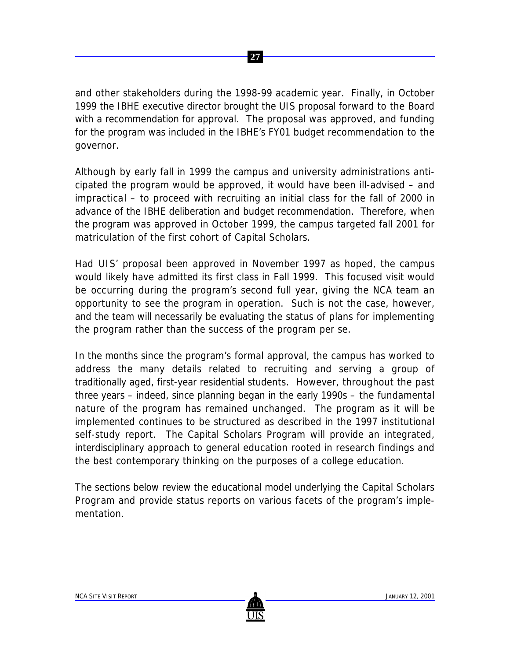and other stakeholders during the 1998-99 academic year. Finally, in October 1999 the IBHE executive director brought the UIS proposal forward to the Board with a recommendation for approval. The proposal was approved, and funding for the program was included in the IBHE's FY01 budget recommendation to the governor.

Although by early fall in 1999 the campus and university administrations anticipated the program would be approved, it would have been ill-advised – and impractical – to proceed with recruiting an initial class for the fall of 2000 in advance of the IBHE deliberation and budget recommendation. Therefore, when the program was approved in October 1999, the campus targeted fall 2001 for matriculation of the first cohort of Capital Scholars.

Had UIS' proposal been approved in November 1997 as hoped, the campus would likely have admitted its first class in Fall 1999. This focused visit would be occurring during the program's second full year, giving the NCA team an opportunity to see the program in operation. Such is not the case, however, and the team will necessarily be evaluating the status of plans for implementing the program rather than the success of the program *per se*.

In the months since the program's formal approval, the campus has worked to address the many details related to recruiting and serving a group of traditionally aged, first-year residential students. However, throughout the past three years – indeed, since planning began in the early 1990s – the fundamental nature of the program has remained unchanged. The program as it will be implemented continues to be structured as described in the 1997 institutional self-study report. The Capital Scholars Program will provide an integrated, interdisciplinary approach to general education rooted in research findings and the best contemporary thinking on the purposes of a college education.

The sections below review the educational model underlying the Capital Scholars Program and provide status reports on various facets of the program's implementation.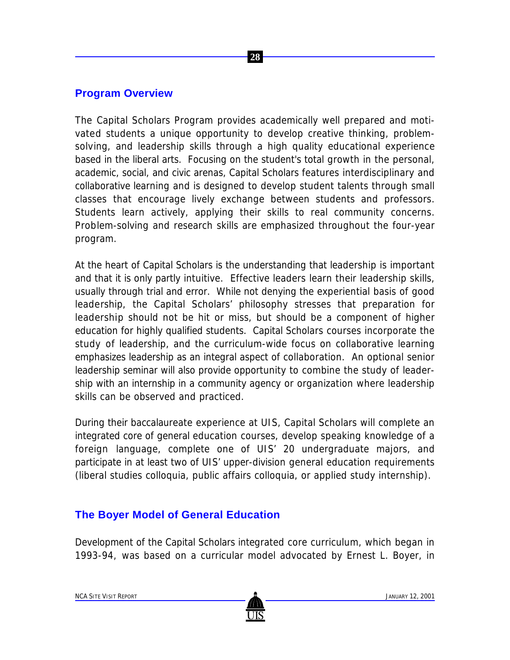#### **Program Overview**

The Capital Scholars Program provides academically well prepared and motivated students a unique opportunity to develop creative thinking, problemsolving, and leadership skills through a high quality educational experience based in the liberal arts. Focusing on the student's total growth in the personal, academic, social, and civic arenas, Capital Scholars features interdisciplinary and collaborative learning and is designed to develop student talents through small classes that encourage lively exchange between students and professors. Students learn actively, applying their skills to real community concerns. Problem-solving and research skills are emphasized throughout the four-year program.

 **28**

At the heart of Capital Scholars is the understanding that leadership is important and that it is only partly intuitive. Effective leaders *learn* their leadership skills, usually through trial and error. While not denying the experiential basis of good leadership, the Capital Scholars' philosophy stresses that preparation for leadership should not be hit or miss, but should be a component of higher education for highly qualified students. Capital Scholars courses incorporate the study of leadership, and the curriculum-wide focus on collaborative learning emphasizes leadership as an integral aspect of collaboration. An optional senior leadership seminar will also provide opportunity to combine the study of leadership with an internship in a community agency or organization where leadership skills can be observed and practiced.

During their baccalaureate experience at UIS, Capital Scholars will complete an integrated core of general education courses, develop speaking knowledge of a foreign language, complete one of UIS' 20 undergraduate majors, and participate in at least two of UIS' upper-division general education requirements (liberal studies colloquia, public affairs colloquia, or applied study internship).

#### **The Boyer Model of General Education**

Development of the Capital Scholars integrated core curriculum, which began in 1993-94, was based on a curricular model advocated by Ernest L. Boyer, in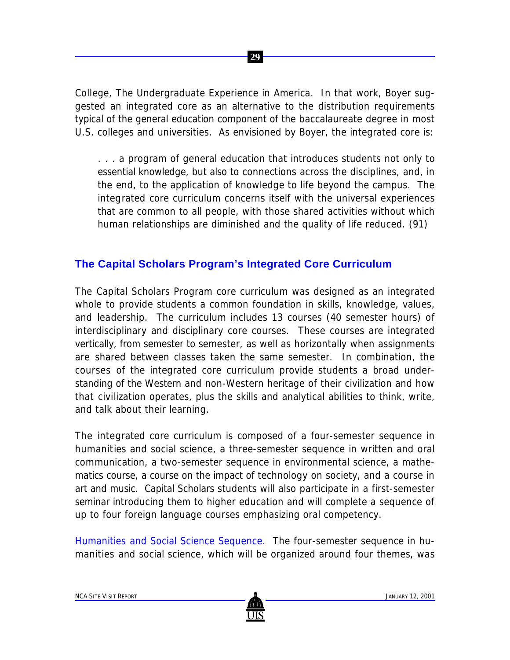*College, The Undergraduate Experience in America*. In that work, Boyer suggested an integrated core as an alternative to the distribution requirements typical of the general education component of the baccalaureate degree in most U.S. colleges and universities. As envisioned by Boyer, the integrated core is:

 **29**

. . . a program of general education that introduces students not only to essential knowledge, but also to connections across the disciplines, and, in the end, to the application of knowledge to life beyond the campus. The integrated core curriculum concerns itself with the universal experiences that are common to all people, with those shared activities without which human relationships are diminished and the quality of life reduced. (91)

#### **The Capital Scholars Program's Integrated Core Curriculum**

The Capital Scholars Program core curriculum was designed as an integrated whole to provide students a common foundation in skills, knowledge, values, and leadership. The curriculum includes 13 courses (40 semester hours) of interdisciplinary and disciplinary core courses. These courses are integrated vertically, from semester to semester, as well as horizontally when assignments are shared between classes taken the same semester. In combination, the courses of the integrated core curriculum provide students a broad understanding of the Western and non-Western heritage of their civilization and how that civilization operates, plus the skills and analytical abilities to think, write, and talk about their learning.

The integrated core curriculum is composed of a four-semester sequence in humanities and social science, a three-semester sequence in written and oral communication, a two-semester sequence in environmental science, a mathematics course, a course on the impact of technology on society, and a course in art and music. Capital Scholars students will also participate in a first-semester seminar introducing them to higher education and will complete a sequence of up to four foreign language courses emphasizing oral competency.

Humanities and Social Science Sequence. The four-semester sequence in humanities and social science, which will be organized around four themes, was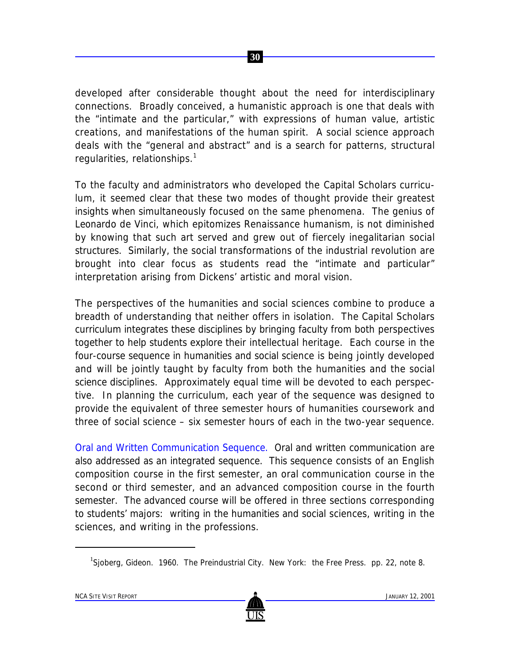

developed after considerable thought about the need for interdisciplinary connections. Broadly conceived, a humanistic approach is one that deals with the "intimate and the particular," with expressions of human value, artistic creations, and manifestations of the human spirit. A social science approach deals with the "general and abstract" and is a search for patterns, structural regularities, relationships.<sup>1</sup>

To the faculty and administrators who developed the Capital Scholars curriculum, it seemed clear that these two modes of thought provide their greatest insights when simultaneously focused on the same phenomena. The genius of Leonardo de Vinci, which epitomizes Renaissance humanism, is not diminished by knowing that such art served and grew out of fiercely inegalitarian social structures. Similarly, the social transformations of the industrial revolution are brought into clear focus as students read the "intimate and particular" interpretation arising from Dickens' artistic and moral vision.

The perspectives of the humanities and social sciences combine to produce a breadth of understanding that neither offers in isolation. The Capital Scholars curriculum integrates these disciplines by bringing faculty from both perspectives together to help students explore their intellectual heritage. Each course in the four-course sequence in humanities and social science is being jointly developed and will be jointly taught by faculty from both the humanities and the social science disciplines. Approximately equal time will be devoted to each perspective. In planning the curriculum, each year of the sequence was designed to provide the equivalent of three semester hours of humanities coursework and three of social science – six semester hours of each in the two-year sequence.

Oral and Written Communication Sequence. Oral and written communication are also addressed as an integrated sequence. This sequence consists of an English composition course in the first semester, an oral communication course in the second or third semester, and an advanced composition course in the fourth semester. The advanced course will be offered in three sections corresponding to students' majors: writing in the humanities and social sciences, writing in the sciences, and writing in the professions.

<sup>&</sup>lt;sup>1</sup>Sjoberg, Gideon. 1960. *The Preindustrial City*. New York: the Free Press. pp. 22, note 8.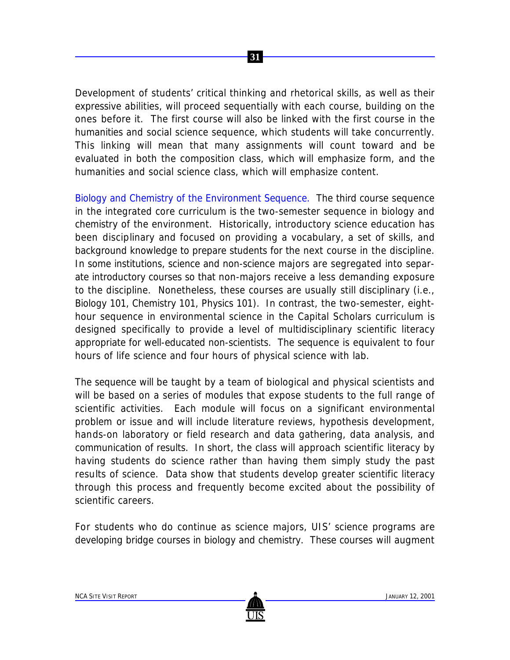Development of students' critical thinking and rhetorical skills, as well as their expressive abilities, will proceed sequentially with each course, building on the ones before it. The first course will also be linked with the first course in the humanities and social science sequence, which students will take concurrently. This linking will mean that many assignments will count toward and be evaluated in both the composition class, which will emphasize form, and the humanities and social science class, which will emphasize content.

 **31**

Biology and Chemistry of the Environment Sequence. The third course sequence in the integrated core curriculum is the two-semester sequence in biology and chemistry of the environment. Historically, introductory science education has been disciplinary and focused on providing a vocabulary, a set of skills, and background knowledge to prepare students for the next course in the discipline. In some institutions, science and non-science majors are segregated into separate introductory courses so that non-majors receive a less demanding exposure to the discipline. Nonetheless, these courses are usually still disciplinary (i.e., Biology 101, Chemistry 101, Physics 101). In contrast, the two-semester, eighthour sequence in environmental science in the Capital Scholars curriculum is designed specifically to provide a level of multidisciplinary scientific literacy appropriate for well-educated non-scientists. The sequence is equivalent to four hours of life science and four hours of physical science with lab.

The sequence will be taught by a team of biological and physical scientists and will be based on a series of modules that expose students to the full range of scientific activities. Each module will focus on a significant environmental problem or issue and will include literature reviews, hypothesis development, hands-on laboratory or field research and data gathering, data analysis, and communication of results. In short, the class will approach scientific literacy by having students *do* science rather than having them simply study the past results of science. Data show that students develop greater scientific literacy through this process and frequently become excited about the possibility of scientific careers.

For students who do continue as science majors, UIS' science programs are developing bridge courses in biology and chemistry. These courses will augment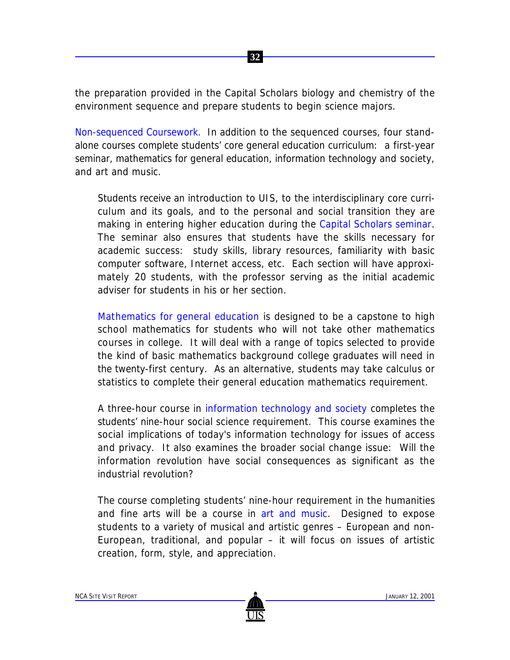the preparation provided in the Capital Scholars biology and chemistry of the environment sequence and prepare students to begin science majors.

 **32**

Non-sequenced Coursework. In addition to the sequenced courses, four standalone courses complete students' core general education curriculum: a first-year seminar, mathematics for general education, information technology and society, and art and music.

Students receive an introduction to UIS, to the interdisciplinary core curriculum and its goals, and to the personal and social transition they are making in entering higher education during the Capital Scholars seminar. The seminar also ensures that students have the skills necessary for academic success: study skills, library resources, familiarity with basic computer software, Internet access, etc. Each section will have approximately 20 students, with the professor serving as the initial academic adviser for students in his or her section.

Mathematics for general education is designed to be a capstone to high school mathematics for students who will not take other mathematics courses in college. It will deal with a range of topics selected to provide the kind of basic mathematics background college graduates will need in the twenty-first century. As an alternative, students may take calculus or statistics to complete their general education mathematics requirement.

A three-hour course in information technology and society completes the students' nine-hour social science requirement. This course examines the social implications of today's information technology for issues of access and privacy. It also examines the broader social change issue: Will the information revolution have social consequences as significant as the industrial revolution?

The course completing students' nine-hour requirement in the humanities and fine arts will be a course in art and music. Designed to expose students to a variety of musical and artistic genres – European and non-European, traditional, and popular  $-$  it will focus on issues of artistic creation, form, style, and appreciation.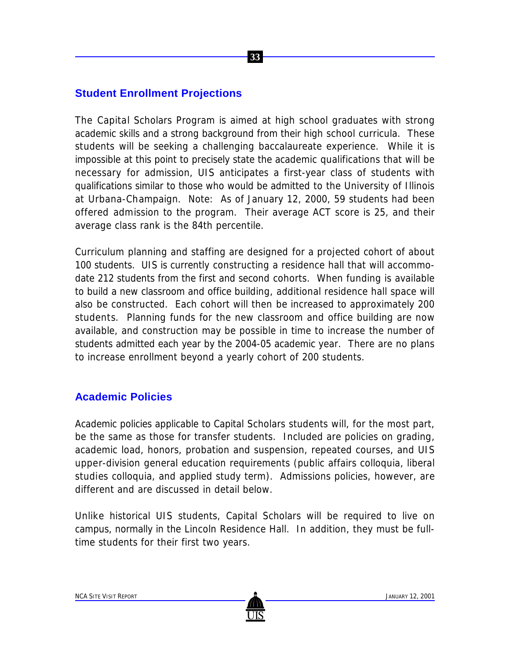#### **Student Enrollment Projections**

The Capital Scholars Program is aimed at high school graduates with strong academic skills and a strong background from their high school curricula. These students will be seeking a challenging baccalaureate experience. While it is impossible at this point to precisely state the academic qualifications that will be necessary for admission, UIS anticipates a first-year class of students with qualifications similar to those who would be admitted to the University of Illinois at Urbana-Champaign. Note: As of January 12, 2000, 59 students had been offered admission to the program. Their average ACT score is 25, and their average class rank is the 84th percentile.

 **33**

Curriculum planning and staffing are designed for a projected cohort of about 100 students. UIS is currently constructing a residence hall that will accommodate 212 students from the first and second cohorts. When funding is available to build a new classroom and office building, additional residence hall space will also be constructed. Each cohort will then be increased to approximately 200 students. Planning funds for the new classroom and office building are now available, and construction may be possible in time to increase the number of students admitted each year by the 2004-05 academic year. There are no plans to increase enrollment beyond a yearly cohort of 200 students.

#### **Academic Policies**

Academic policies applicable to Capital Scholars students will, for the most part, be the same as those for transfer students. Included are policies on grading, academic load, honors, probation and suspension, repeated courses, and UIS upper-division general education requirements (public affairs colloquia, liberal studies colloquia, and applied study term). Admissions policies, however, are different and are discussed in detail below.

Unlike historical UIS students, Capital Scholars will be required to live on campus, normally in the Lincoln Residence Hall. In addition, they must be fulltime students for their first two years.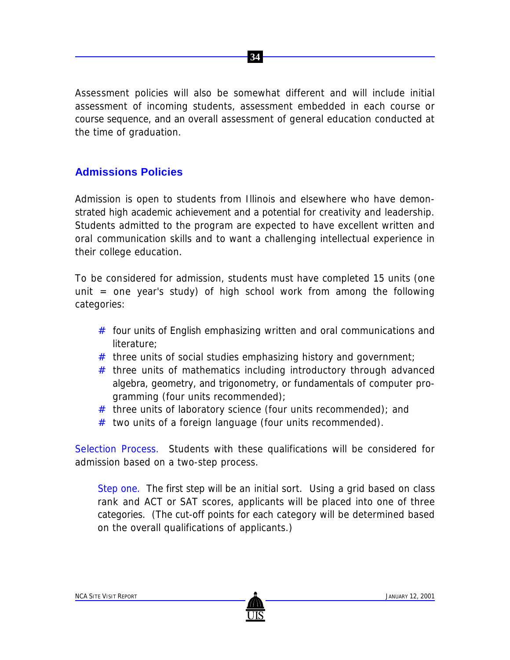Assessment policies will also be somewhat different and will include initial assessment of incoming students, assessment embedded in each course or course sequence, and an overall assessment of general education conducted at the time of graduation.

 **34**

## **Admissions Policies**

Admission is open to students from Illinois and elsewhere who have demonstrated high academic achievement and a potential for creativity and leadership. Students admitted to the program are expected to have excellent written and oral communication skills and to want a challenging intellectual experience in their college education.

To be considered for admission, students must have completed 15 units (one unit = one year's study) of high school work from among the following categories:

- $#$  four units of English emphasizing written and oral communications and literature;
- $#$  three units of social studies emphasizing history and government;
- # three units of mathematics including introductory through advanced algebra, geometry, and trigonometry, or fundamentals of computer programming (four units recommended);
- $#$  three units of laboratory science (four units recommended); and
- $#$  two units of a foreign language (four units recommended).

Selection Process. Students with these qualifications will be considered for admission based on a two-step process.

*Step one.* The first step will be an initial sort. Using a grid based on class rank and ACT or SAT scores, applicants will be placed into one of three categories. (The cut-off points for each category will be determined based on the overall qualifications of applicants.)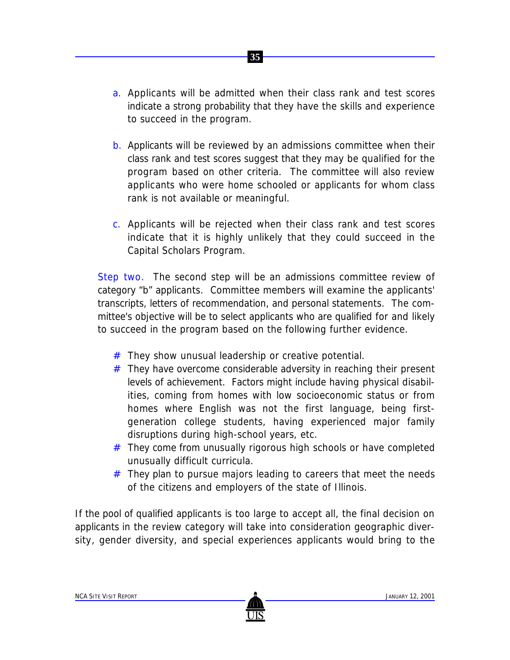a. Applicants will be admitted when their class rank and test scores indicate a strong probability that they have the skills and experience to succeed in the program.

 **35**

- b. Applicants will be reviewed by an admissions committee when their class rank and test scores suggest that they may be qualified for the program based on other criteria. The committee will also review applicants who were home schooled or applicants for whom class rank is not available or meaningful.
- c. Applicants will be rejected when their class rank and test scores indicate that it is highly unlikely that they could succeed in the Capital Scholars Program.

*Step two.* The second step will be an admissions committee review of category "b" applicants. Committee members will examine the applicants' transcripts, letters of recommendation, and personal statements. The committee's objective will be to select applicants who are qualified for and likely to succeed in the program based on the following further evidence.

- # They show unusual leadership or creative potential.
- $#$  They have overcome considerable adversity in reaching their present levels of achievement. Factors might include having physical disabilities, coming from homes with low socioeconomic status or from homes where English was not the first language, being firstgeneration college students, having experienced major family disruptions during high-school years, etc.
- # They come from unusually rigorous high schools or have completed unusually difficult curricula.
- # They plan to pursue majors leading to careers that meet the needs of the citizens and employers of the state of Illinois.

If the pool of qualified applicants is too large to accept all, the final decision on applicants in the review category will take into consideration geographic diversity, gender diversity, and special experiences applicants would bring to the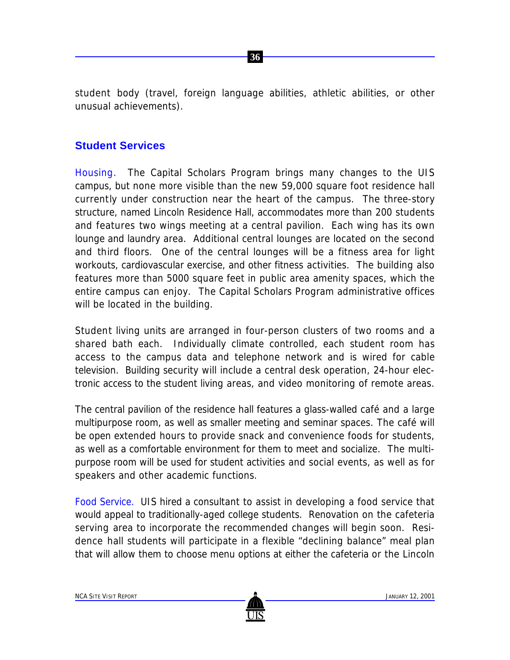student body (travel, foreign language abilities, athletic abilities, or other unusual achievements).

 **36**

## **Student Services**

Housing. The Capital Scholars Program brings many changes to the UIS campus, but none more visible than the new 59,000 square foot residence hall currently under construction near the heart of the campus. The three-story structure, named Lincoln Residence Hall, accommodates more than 200 students and features two wings meeting at a central pavilion. Each wing has its own lounge and laundry area. Additional central lounges are located on the second and third floors. One of the central lounges will be a fitness area for light workouts, cardiovascular exercise, and other fitness activities. The building also features more than 5000 square feet in public area amenity spaces, which the entire campus can enjoy. The Capital Scholars Program administrative offices will be located in the building.

Student living units are arranged in four-person clusters of two rooms and a shared bath each. Individually climate controlled, each student room has access to the campus data and telephone network and is wired for cable television. Building security will include a central desk operation, 24-hour electronic access to the student living areas, and video monitoring of remote areas.

The central pavilion of the residence hall features a glass-walled café and a large multipurpose room, as well as smaller meeting and seminar spaces. The café will be open extended hours to provide snack and convenience foods for students, as well as a comfortable environment for them to meet and socialize. The multipurpose room will be used for student activities and social events, as well as for speakers and other academic functions.

Food Service. UIS hired a consultant to assist in developing a food service that would appeal to traditionally-aged college students. Renovation on the cafeteria serving area to incorporate the recommended changes will begin soon. Residence hall students will participate in a flexible "declining balance" meal plan that will allow them to choose menu options at either the cafeteria or the Lincoln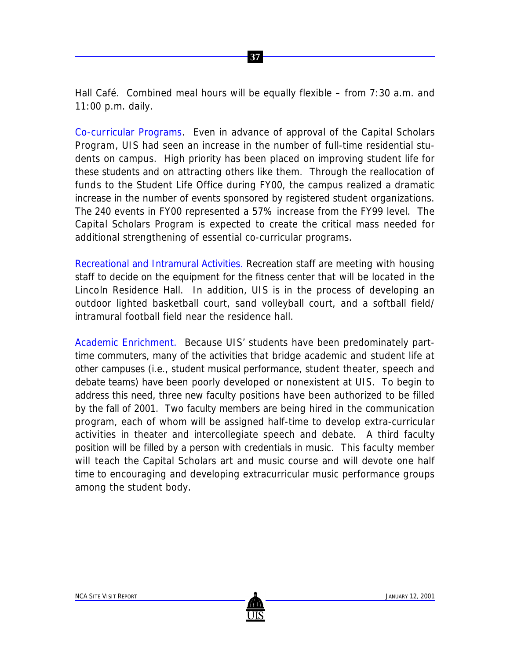Hall Café. Combined meal hours will be equally flexible – from 7:30 a.m. and 11:00 p.m. daily.

 **37**

Co-curricular Programs. Even in advance of approval of the Capital Scholars Program, UIS had seen an increase in the number of full-time residential students on campus. High priority has been placed on improving student life for these students and on attracting others like them. Through the reallocation of funds to the Student Life Office during FY00, the campus realized a dramatic increase in the number of events sponsored by registered student organizations. The 240 events in FY00 represented a 57% increase from the FY99 level. The Capital Scholars Program is expected to create the critical mass needed for additional strengthening of essential co-curricular programs.

Recreational and Intramural Activities. Recreation staff are meeting with housing staff to decide on the equipment for the fitness center that will be located in the Lincoln Residence Hall. In addition, UIS is in the process of developing an outdoor lighted basketball court, sand volleyball court, and a softball field/ intramural football field near the residence hall.

Academic Enrichment. Because UIS' students have been predominately parttime commuters, many of the activities that bridge academic and student life at other campuses (i.e., student musical performance, student theater, speech and debate teams) have been poorly developed or nonexistent at UIS. To begin to address this need, three new faculty positions have been authorized to be filled by the fall of 2001. Two faculty members are being hired in the communication program, each of whom will be assigned half-time to develop extra-curricular activities in theater and intercollegiate speech and debate. A third faculty position will be filled by a person with credentials in music. This faculty member will teach the Capital Scholars art and music course and will devote one half time to encouraging and developing extracurricular music performance groups among the student body.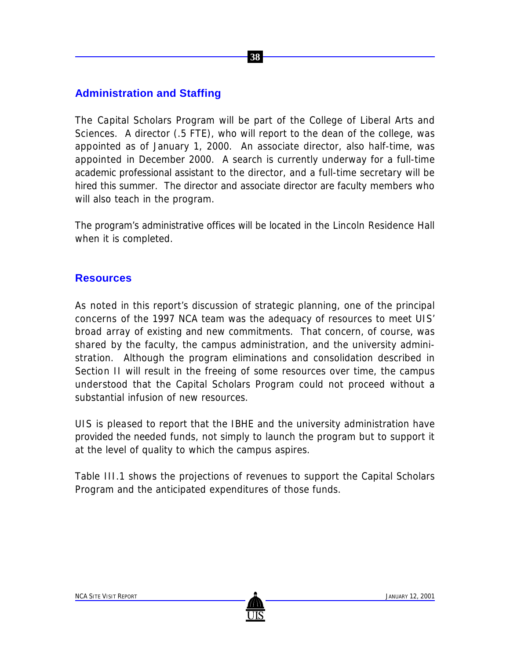## **Administration and Staffing**

The Capital Scholars Program will be part of the College of Liberal Arts and Sciences. A director (.5 FTE), who will report to the dean of the college, was appointed as of January 1, 2000. An associate director, also half-time, was appointed in December 2000. A search is currently underway for a full-time academic professional assistant to the director, and a full-time secretary will be hired this summer. The director and associate director are faculty members who will also teach in the program.

 **38**

The program's administrative offices will be located in the Lincoln Residence Hall when it is completed.

### **Resources**

As noted in this report's discussion of strategic planning, one of the principal concerns of the 1997 NCA team was the adequacy of resources to meet UIS' broad array of existing and new commitments. That concern, of course, was shared by the faculty, the campus administration, and the university administration. Although the program eliminations and consolidation described in Section II will result in the freeing of some resources over time, the campus understood that the Capital Scholars Program could not proceed without a substantial infusion of new resources.

UIS is pleased to report that the IBHE and the university administration have provided the needed funds, not simply to launch the program but to support it at the level of quality to which the campus aspires.

Table III.1 shows the projections of revenues to support the Capital Scholars Program and the anticipated expenditures of those funds.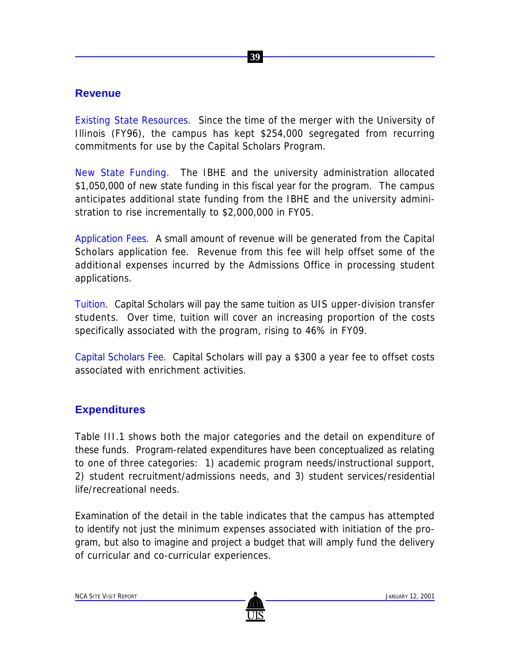## **Revenue**

Existing State Resources. Since the time of the merger with the University of Illinois (FY96), the campus has kept \$254,000 segregated from recurring commitments for use by the Capital Scholars Program.

New State Funding. The IBHE and the university administration allocated \$1,050,000 of new state funding in this fiscal year for the program. The campus anticipates additional state funding from the IBHE and the university administration to rise incrementally to \$2,000,000 in FY05.

Application Fees. A small amount of revenue will be generated from the Capital Scholars application fee. Revenue from this fee will help offset some of the additional expenses incurred by the Admissions Office in processing student applications.

Tuition. Capital Scholars will pay the same tuition as UIS upper-division transfer students. Over time, tuition will cover an increasing proportion of the costs specifically associated with the program, rising to 46% in FY09.

Capital Scholars Fee. Capital Scholars will pay a \$300 a year fee to offset costs associated with enrichment activities.

## **Expenditures**

Table III.1 shows both the major categories and the detail on expenditure of these funds. Program-related expenditures have been conceptualized as relating to one of three categories: 1) academic program needs/instructional support, 2) student recruitment/admissions needs, and 3) student services/residential life/recreational needs.

Examination of the detail in the table indicates that the campus has attempted to identify not just the minimum expenses associated with initiation of the program, but also to imagine and project a budget that will amply fund the delivery of curricular and co-curricular experiences.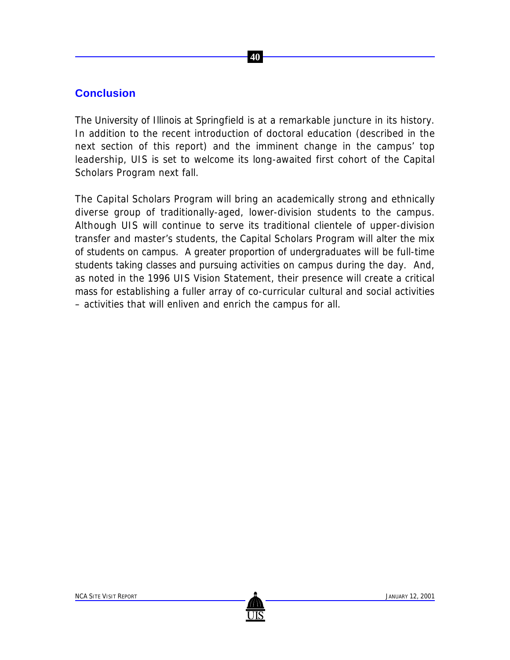## **Conclusion**

The University of Illinois at Springfield is at a remarkable juncture in its history. In addition to the recent introduction of doctoral education (described in the next section of this report) and the imminent change in the campus' top leadership, UIS is set to welcome its long-awaited first cohort of the Capital Scholars Program next fall.

The Capital Scholars Program will bring an academically strong and ethnically diverse group of traditionally-aged, lower-division students to the campus. Although UIS will continue to serve its traditional clientele of upper-division transfer and master's students, the Capital Scholars Program will alter the mix of students on campus. A greater proportion of undergraduates will be full-time students taking classes and pursuing activities on campus during the day. And, as noted in the 1996 *UIS Vision Statement*, their presence will create a critical mass for establishing a fuller array of co-curricular cultural and social activities – activities that will enliven and enrich the campus for all.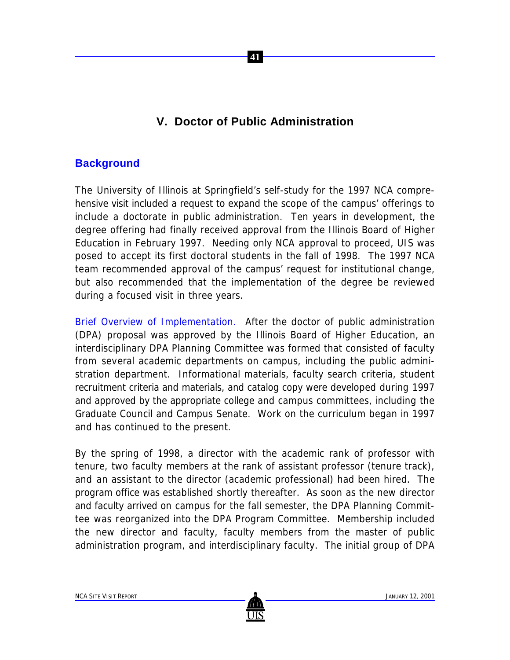## **V. Doctor of Public Administration**

 **41**

## **Background**

The University of Illinois at Springfield's self-study for the 1997 NCA comprehensive visit included a request to expand the scope of the campus' offerings to include a doctorate in public administration. Ten years in development, the degree offering had finally received approval from the Illinois Board of Higher Education in February 1997. Needing only NCA approval to proceed, UIS was posed to accept its first doctoral students in the fall of 1998. The 1997 NCA team recommended approval of the campus' request for institutional change, but also recommended that the implementation of the degree be reviewed during a focused visit in three years.

Brief Overview of Implementation. After the doctor of public administration (DPA) proposal was approved by the Illinois Board of Higher Education, an interdisciplinary DPA Planning Committee was formed that consisted of faculty from several academic departments on campus, including the public administration department. Informational materials, faculty search criteria, student recruitment criteria and materials, and catalog copy were developed during 1997 and approved by the appropriate college and campus committees, including the Graduate Council and Campus Senate. Work on the curriculum began in 1997 and has continued to the present.

By the spring of 1998, a director with the academic rank of professor with tenure, two faculty members at the rank of assistant professor (tenure track), and an assistant to the director (academic professional) had been hired. The program office was established shortly thereafter. As soon as the new director and faculty arrived on campus for the fall semester, the DPA Planning Committee was reorganized into the DPA Program Committee. Membership included the new director and faculty, faculty members from the master of public administration program, and interdisciplinary faculty. The initial group of DPA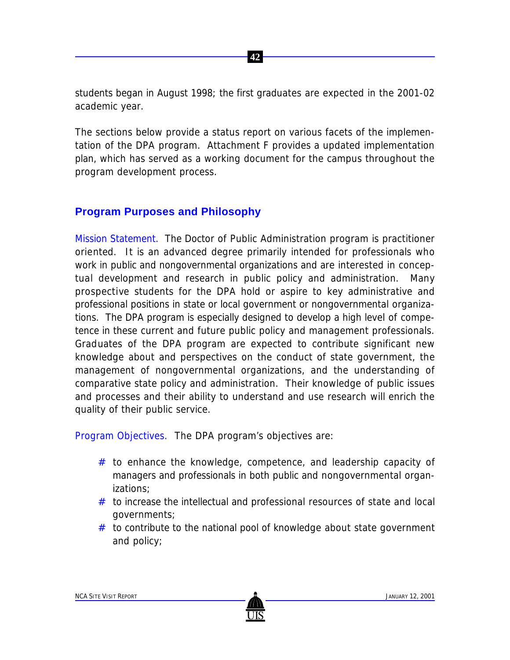students began in August 1998; the first graduates are expected in the 2001-02 academic year.

 **42**

The sections below provide a status report on various facets of the implementation of the DPA program. Attachment F provides a updated implementation plan, which has served as a working document for the campus throughout the program development process.

## **Program Purposes and Philosophy**

Mission Statement. The Doctor of Public Administration program is practitioner oriented. It is an advanced degree primarily intended for professionals who work in public and nongovernmental organizations and are interested in conceptual development and research in public policy and administration. Many prospective students for the DPA hold or aspire to key administrative and professional positions in state or local government or nongovernmental organizations. The DPA program is especially designed to develop a high level of competence in these current and future public policy and management professionals. Graduates of the DPA program are expected to contribute significant new knowledge about and perspectives on the conduct of state government, the management of nongovernmental organizations, and the understanding of comparative state policy and administration. Their knowledge of public issues and processes and their ability to understand and use research will enrich the quality of their public service.

Program Objectives. The DPA program's objectives are:

- $#$  to enhance the knowledge, competence, and leadership capacity of managers and professionals in both public and nongovernmental organizations;
- $#$  to increase the intellectual and professional resources of state and local governments;
- # to contribute to the national pool of knowledge about state government and policy;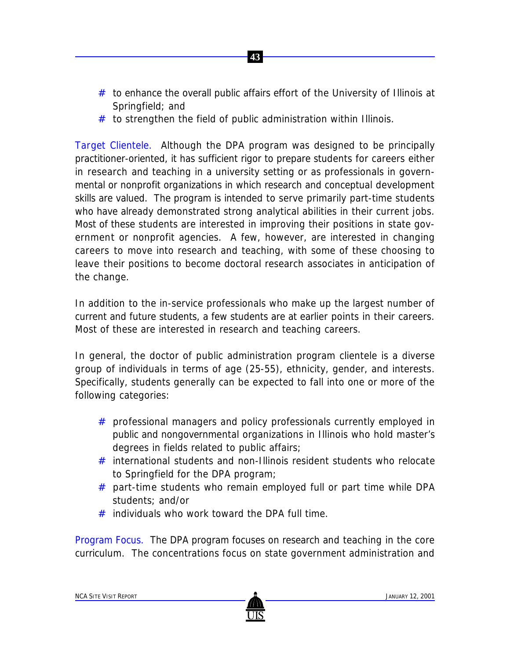- $#$  to enhance the overall public affairs effort of the University of Illinois at Springfield; and
- $#$  to strengthen the field of public administration within Illinois.

 **43**

Target Clientele. Although the DPA program was designed to be principally practitioner-oriented, it has sufficient rigor to prepare students for careers either in research and teaching in a university setting or as professionals in governmental or nonprofit organizations in which research and conceptual development skills are valued. The program is intended to serve primarily part-time students who have already demonstrated strong analytical abilities in their current jobs. Most of these students are interested in improving their positions in state government or nonprofit agencies. A few, however, are interested in changing careers to move into research and teaching, with some of these choosing to leave their positions to become doctoral research associates in anticipation of the change.

In addition to the in-service professionals who make up the largest number of current and future students, a few students are at earlier points in their careers. Most of these are interested in research and teaching careers.

In general, the doctor of public administration program clientele is a diverse group of individuals in terms of age (25-55), ethnicity, gender, and interests. Specifically, students generally can be expected to fall into one or more of the following categories:

- # professional managers and policy professionals currently employed in public and nongovernmental organizations in Illinois who hold master's degrees in fields related to public affairs;
- # international students and non-Illinois resident students who relocate to Springfield for the DPA program;
- $#$  part-time students who remain employed full or part time while DPA students; and/or
- $#$  individuals who work toward the DPA full time.

Program Focus. The DPA program focuses on research and teaching in the core curriculum. The concentrations focus on state government administration and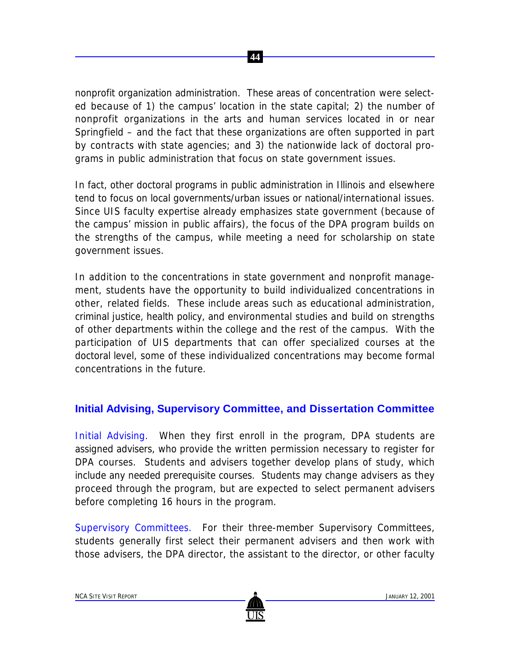nonprofit organization administration. These areas of concentration were selected because of 1) the campus' location in the state capital; 2) the number of nonprofit organizations in the arts and human services located in or near Springfield – and the fact that these organizations are often supported in part by contracts with state agencies; and 3) the nationwide lack of doctoral programs in public administration that focus on state government issues.

 **44**

In fact, other doctoral programs in public administration in Illinois and elsewhere tend to focus on local governments/urban issues or national/international issues. Since UIS faculty expertise already emphasizes state government (because of the campus' mission in public affairs), the focus of the DPA program builds on the strengths of the campus, while meeting a need for scholarship on state government issues.

In addition to the concentrations in state government and nonprofit management, students have the opportunity to build individualized concentrations in other, related fields. These include areas such as educational administration, criminal justice, health policy, and environmental studies and build on strengths of other departments within the college and the rest of the campus. With the participation of UIS departments that can offer specialized courses at the doctoral level, some of these individualized concentrations may become formal concentrations in the future.

## **Initial Advising, Supervisory Committee, and Dissertation Committee**

Initial Advising. When they first enroll in the program, DPA students are assigned advisers, who provide the written permission necessary to register for DPA courses. Students and advisers together develop plans of study, which include any needed prerequisite courses. Students may change advisers as they proceed through the program, but are expected to select permanent advisers before completing 16 hours in the program.

Supervisory Committees. For their three-member Supervisory Committees, students generally first select their permanent advisers and then work with those advisers, the DPA director, the assistant to the director, or other faculty

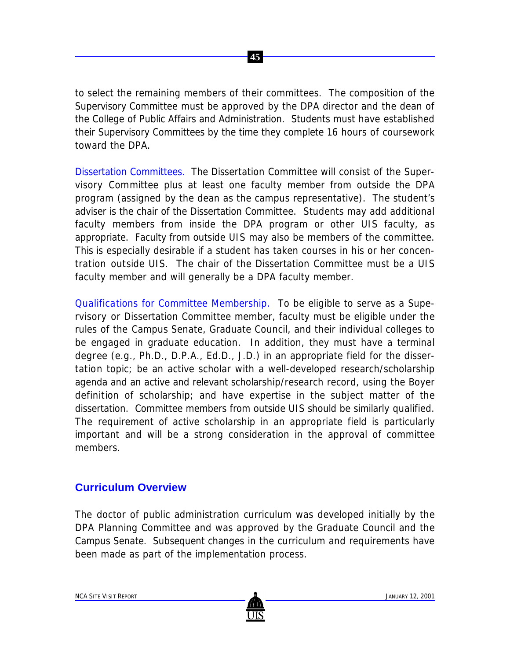

to select the remaining members of their committees. The composition of the Supervisory Committee must be approved by the DPA director and the dean of the College of Public Affairs and Administration. Students must have established their Supervisory Committees by the time they complete 16 hours of coursework toward the DPA.

Dissertation Committees. The Dissertation Committee will consist of the Supervisory Committee plus at least one faculty member from outside the DPA program (assigned by the dean as the campus representative). The student's adviser is the chair of the Dissertation Committee. Students may add additional faculty members from inside the DPA program or other UIS faculty, as appropriate. Faculty from outside UIS may also be members of the committee. This is especially desirable if a student has taken courses in his or her concentration outside UIS. The chair of the Dissertation Committee must be a UIS faculty member and will generally be a DPA faculty member.

Qualifications for Committee Membership. To be eligible to serve as a Supervisory or Dissertation Committee member, faculty must be eligible under the rules of the Campus Senate, Graduate Council, and their individual colleges to be engaged in graduate education. In addition, they must have a terminal degree (e.g., Ph.D., D.P.A., Ed.D., J.D.) in an appropriate field for the dissertation topic; be an active scholar with a well-developed research/scholarship agenda and an active and relevant scholarship/research record, using the Boyer definition of scholarship; and have expertise in the subject matter of the dissertation. Committee members from outside UIS should be similarly qualified. The requirement of active scholarship in an appropriate field is particularly important and will be a strong consideration in the approval of committee members.

### **Curriculum Overview**

The doctor of public administration curriculum was developed initially by the DPA Planning Committee and was approved by the Graduate Council and the Campus Senate. Subsequent changes in the curriculum and requirements have been made as part of the implementation process.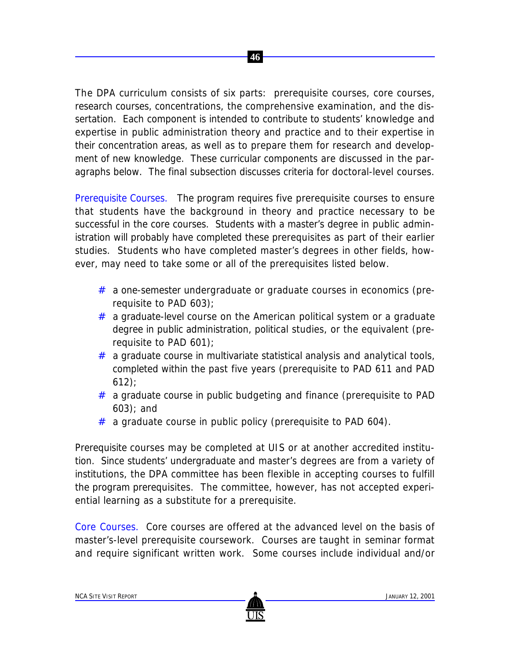The DPA curriculum consists of six parts: prerequisite courses, core courses, research courses, concentrations, the comprehensive examination, and the dissertation. Each component is intended to contribute to students' knowledge and expertise in public administration theory and practice and to their expertise in their concentration areas, as well as to prepare them for research and development of new knowledge. These curricular components are discussed in the paragraphs below. The final subsection discusses criteria for doctoral-level courses.

 **46**

Prerequisite Courses. The program requires five prerequisite courses to ensure that students have the background in theory and practice necessary to be successful in the core courses. Students with a master's degree in public administration will probably have completed these prerequisites as part of their earlier studies. Students who have completed master's degrees in other fields, however, may need to take some or all of the prerequisites listed below.

- # a one-semester undergraduate or graduate courses in economics (prerequisite to PAD 603);
- $#$  a graduate-level course on the American political system or a graduate degree in public administration, political studies, or the equivalent (prerequisite to PAD 601);
- $#$  a graduate course in multivariate statistical analysis and analytical tools, completed within the past five years (prerequisite to PAD 611 and PAD 612);
- # a graduate course in public budgeting and finance (prerequisite to PAD 603); and
- $#$  a graduate course in public policy (prerequisite to PAD 604).

Prerequisite courses may be completed at UIS or at another accredited institution. Since students' undergraduate and master's degrees are from a variety of institutions, the DPA committee has been flexible in accepting courses to fulfill the program prerequisites. The committee, however, has not accepted experiential learning as a substitute for a prerequisite.

Core Courses. Core courses are offered at the advanced level on the basis of master's-level prerequisite coursework. Courses are taught in seminar format and require significant written work. Some courses include individual and/or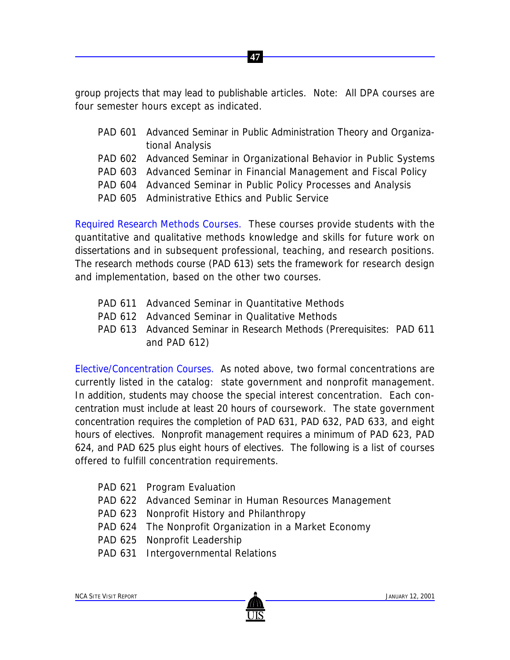group projects that may lead to publishable articles. *Note:* All DPA courses are four semester hours except as indicated.

 **47**

- PAD 601 Advanced Seminar in Public Administration Theory and Organizational Analysis
- PAD 602 Advanced Seminar in Organizational Behavior in Public Systems
- PAD 603 Advanced Seminar in Financial Management and Fiscal Policy
- PAD 604 Advanced Seminar in Public Policy Processes and Analysis
- PAD 605 Administrative Ethics and Public Service

Required Research Methods Courses. These courses provide students with the quantitative and qualitative methods knowledge and skills for future work on dissertations and in subsequent professional, teaching, and research positions. The research methods course (PAD 613) sets the framework for research design and implementation, based on the other two courses.

- PAD 611 Advanced Seminar in Quantitative Methods
- PAD 612 Advanced Seminar in Qualitative Methods
- PAD 613 Advanced Seminar in Research Methods (Prerequisites: PAD 611 and PAD 612)

Elective/Concentration Courses. As noted above, two formal concentrations are currently listed in the catalog: state government and nonprofit management. In addition, students may choose the special interest concentration. Each concentration must include at least 20 hours of coursework. The state government concentration requires the completion of PAD 631, PAD 632, PAD 633, and eight hours of electives. Nonprofit management requires a minimum of PAD 623, PAD 624, and PAD 625 plus eight hours of electives. The following is a list of courses offered to fulfill concentration requirements.

- PAD 621 Program Evaluation
- PAD 622 Advanced Seminar in Human Resources Management
- PAD 623 Nonprofit History and Philanthropy
- PAD 624 The Nonprofit Organization in a Market Economy
- PAD 625 Nonprofit Leadership
- PAD 631 Intergovernmental Relations

NCA SITE VISIT REPORT **A CONSTRUCTED ASSESSED A** CONSTRUCTION OF THE CONSTRUCTION OF THE CONSTRUCTION OF THE CONSTRUCTION OF THE CONSTRUCTION OF THE CONSTRUCTION OF THE CONSTRUCTION OF THE CONSTRUCTION OF THE CONSTRUCTION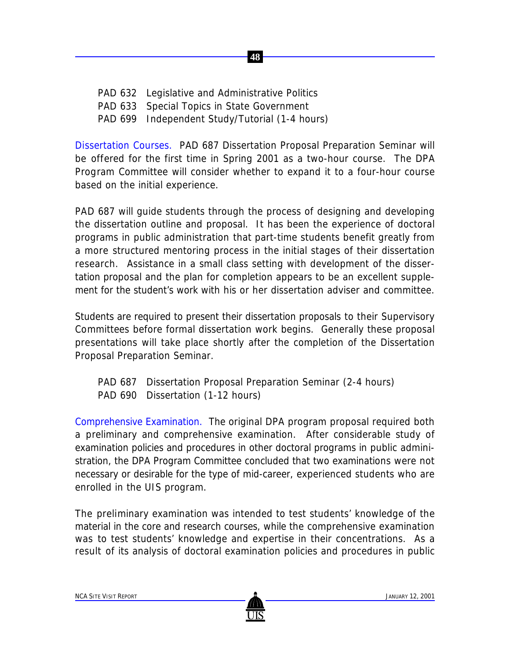- PAD 632 Legislative and Administrative Politics
- PAD 633 Special Topics in State Government
- PAD 699 Independent Study/Tutorial (1-4 hours)

Dissertation Courses. PAD 687 Dissertation Proposal Preparation Seminar will be offered for the first time in Spring 2001 as a two-hour course. The DPA Program Committee will consider whether to expand it to a four-hour course based on the initial experience.

 **48**

PAD 687 will guide students through the process of designing and developing the dissertation outline and proposal. It has been the experience of doctoral programs in public administration that part-time students benefit greatly from a more structured mentoring process in the initial stages of their dissertation research. Assistance in a small class setting with development of the dissertation proposal and the plan for completion appears to be an excellent supplement for the student's work with his or her dissertation adviser and committee.

Students are required to present their dissertation proposals to their Supervisory Committees before formal dissertation work begins. Generally these proposal presentations will take place shortly after the completion of the Dissertation Proposal Preparation Seminar.

- PAD 687 Dissertation Proposal Preparation Seminar (2-4 hours)
- PAD 690 Dissertation (1-12 hours)

Comprehensive Examination. The original DPA program proposal required both a preliminary and comprehensive examination. After considerable study of examination policies and procedures in other doctoral programs in public administration, the DPA Program Committee concluded that two examinations were not necessary or desirable for the type of mid-career, experienced students who are enrolled in the UIS program.

The preliminary examination was intended to test students' knowledge of the material in the core and research courses, while the comprehensive examination was to test students' knowledge and expertise in their concentrations. As a result of its analysis of doctoral examination policies and procedures in public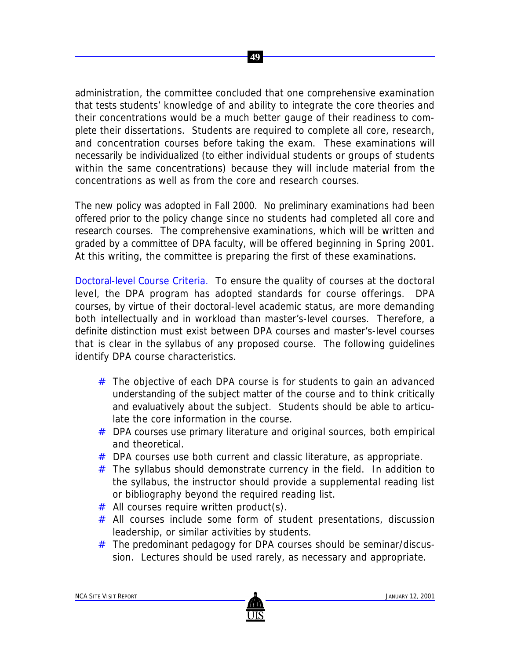administration, the committee concluded that one comprehensive examination that tests students' knowledge of and ability to integrate the core theories and their concentrations would be a much better gauge of their readiness to complete their dissertations. Students are required to complete all core, research, and concentration courses before taking the exam. These examinations will necessarily be individualized (to either individual students or groups of students within the same concentrations) because they will include material from the concentrations as well as from the core and research courses.

 **49**

The new policy was adopted in Fall 2000. No preliminary examinations had been offered prior to the policy change since no students had completed all core and research courses. The comprehensive examinations, which will be written and graded by a committee of DPA faculty, will be offered beginning in Spring 2001. At this writing, the committee is preparing the first of these examinations.

Doctoral-level Course Criteria. To ensure the quality of courses at the doctoral level, the DPA program has adopted standards for course offerings. DPA courses, by virtue of their doctoral-level academic status, are more demanding both intellectually and in workload than master's-level courses. Therefore, a definite distinction must exist between DPA courses and master's-level courses that is clear in the syllabus of any proposed course. The following guidelines identify DPA course characteristics.

- # The objective of each DPA course is for students to gain an advanced understanding of the subject matter of the course and to think critically and evaluatively about the subject. Students should be able to articulate the core information in the course.
- # DPA courses use primary literature and original sources, both empirical and theoretical.
- # DPA courses use both current and classic literature, as appropriate.
- $#$  The syllabus should demonstrate currency in the field. In addition to the syllabus, the instructor should provide a supplemental reading list or bibliography beyond the required reading list.
- $#$  All courses require written product(s).
- # All courses include some form of student presentations, discussion leadership, or similar activities by students.
- # The predominant pedagogy for DPA courses should be seminar/discussion. Lectures should be used rarely, as necessary and appropriate.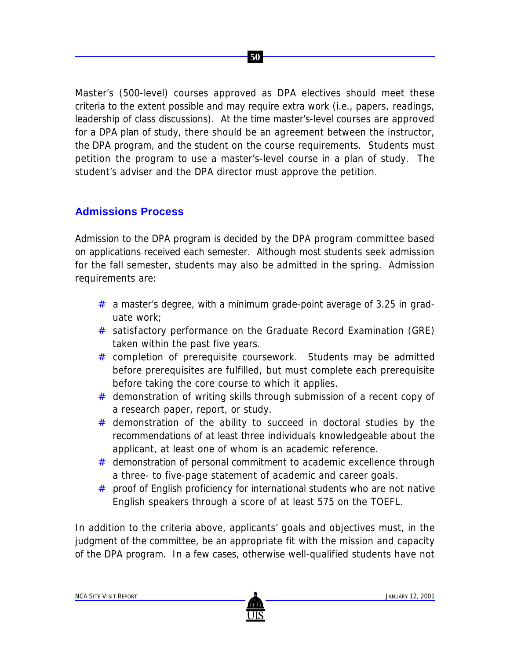Master's (500-level) courses approved as DPA electives should meet these criteria to the extent possible and may require extra work (i.e., papers, readings, leadership of class discussions). At the time master's-level courses are approved for a DPA plan of study, there should be an agreement between the instructor, the DPA program, and the student on the course requirements. Students must petition the program to use a master's-level course in a plan of study. The student's adviser and the DPA director must approve the petition.

 **50**

## **Admissions Process**

Admission to the DPA program is decided by the DPA program committee based on applications received each semester. Although most students seek admission for the fall semester, students may also be admitted in the spring. Admission requirements are:

- $#$  a master's degree, with a minimum grade-point average of 3.25 in graduate work;
- # satisfactory performance on the Graduate Record Examination (GRE) taken within the past five years.
- # completion of prerequisite coursework. Students may be admitted before prerequisites are fulfilled, but must complete each prerequisite before taking the core course to which it applies.
- # demonstration of writing skills through submission of a recent copy of a research paper, report, or study.
- $#$  demonstration of the ability to succeed in doctoral studies by the recommendations of at least three individuals knowledgeable about the applicant, at least one of whom is an academic reference.
- # demonstration of personal commitment to academic excellence through a three- to five-page statement of academic and career goals.
- # proof of English proficiency for international students who are not native English speakers through a score of at least 575 on the TOEFL.

In addition to the criteria above, applicants' goals and objectives must, in the judgment of the committee, be an appropriate fit with the mission and capacity of the DPA program. In a few cases, otherwise well-qualified students have not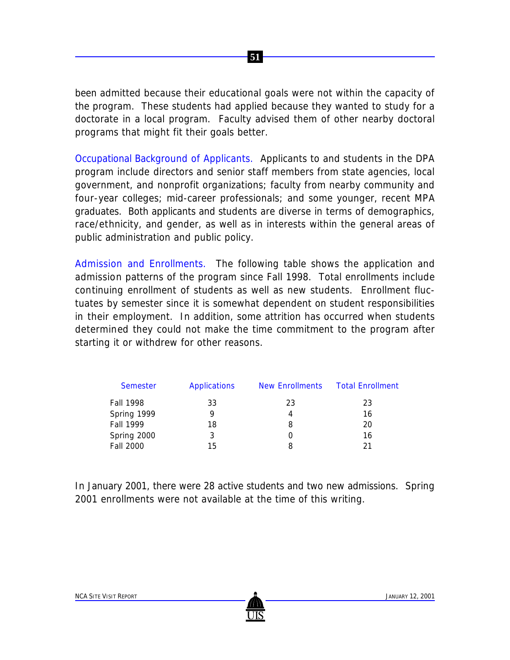been admitted because their educational goals were not within the capacity of the program. These students had applied because they wanted to study for a doctorate in a local program. Faculty advised them of other nearby doctoral programs that might fit their goals better.

 **51**

Occupational Background of Applicants. Applicants to and students in the DPA program include directors and senior staff members from state agencies, local government, and nonprofit organizations; faculty from nearby community and four-year colleges; mid-career professionals; and some younger, recent MPA graduates. Both applicants and students are diverse in terms of demographics, race/ethnicity, and gender, as well as in interests within the general areas of public administration and public policy.

Admission and Enrollments. The following table shows the application and admission patterns of the program since Fall 1998. Total enrollments include continuing enrollment of students as well as new students. Enrollment fluctuates by semester since it is somewhat dependent on student responsibilities in their employment. In addition, some attrition has occurred when students determined they could not make the time commitment to the program after starting it or withdrew for other reasons.

| <b>Semester</b> | <b>Applications</b> | <b>New Enrollments</b> | <b>Total Enrollment</b> |
|-----------------|---------------------|------------------------|-------------------------|
| Fall 1998       | 33                  | 23                     | 23                      |
| Spring 1999     | 9                   | 4                      | 16                      |
| Fall 1999       | 18                  | 8                      | 20                      |
| Spring 2000     | 3                   |                        | 16                      |
| Fall 2000       | 15                  | 8                      | 21                      |

In January 2001, there were 28 active students and two new admissions. Spring 2001 enrollments were not available at the time of this writing.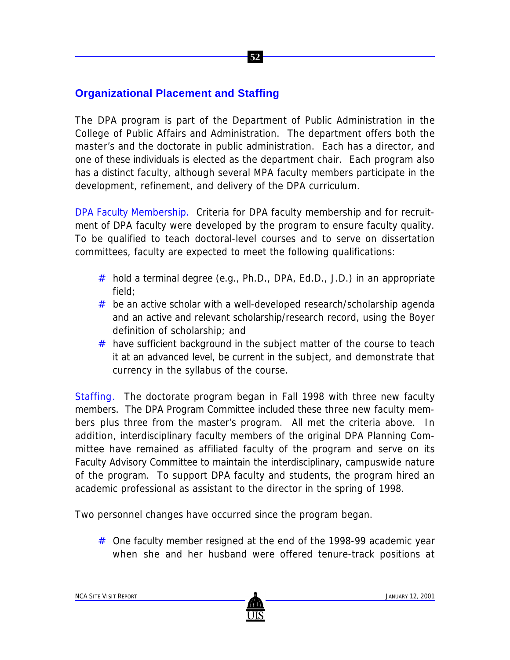## **Organizational Placement and Staffing**

The DPA program is part of the Department of Public Administration in the College of Public Affairs and Administration. The department offers both the master's and the doctorate in public administration. Each has a director, and one of these individuals is elected as the department chair. Each program also has a distinct faculty, although several MPA faculty members participate in the development, refinement, and delivery of the DPA curriculum.

 **52**

DPA Faculty Membership. Criteria for DPA faculty membership and for recruitment of DPA faculty were developed by the program to ensure faculty quality. To be qualified to teach doctoral-level courses and to serve on dissertation committees, faculty are expected to meet the following qualifications:

- # hold a terminal degree (e.g., Ph.D., DPA, Ed.D., J.D.) in an appropriate field;
- $#$  be an active scholar with a well-developed research/scholarship agenda and an active and relevant scholarship/research record, using the Boyer definition of scholarship; and
- $#$  have sufficient background in the subject matter of the course to teach it at an advanced level, be current in the subject, and demonstrate that currency in the syllabus of the course.

Staffing. The doctorate program began in Fall 1998 with three new faculty members. The DPA Program Committee included these three new faculty members plus three from the master's program. All met the criteria above. In addition, interdisciplinary faculty members of the original DPA Planning Committee have remained as affiliated faculty of the program and serve on its Faculty Advisory Committee to maintain the interdisciplinary, campuswide nature of the program. To support DPA faculty and students, the program hired an academic professional as assistant to the director in the spring of 1998.

Two personnel changes have occurred since the program began.

# One faculty member resigned at the end of the 1998-99 academic year when she and her husband were offered tenure-track positions at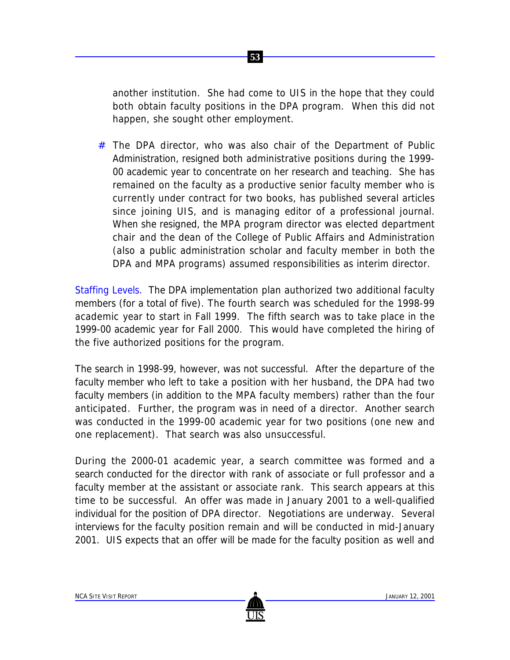

another institution. She had come to UIS in the hope that they could both obtain faculty positions in the DPA program. When this did not happen, she sought other employment.

 $#$  The DPA director, who was also chair of the Department of Public Administration, resigned both administrative positions during the 1999- 00 academic year to concentrate on her research and teaching. She has remained on the faculty as a productive senior faculty member who is currently under contract for two books, has published several articles since joining UIS, and is managing editor of a professional journal. When she resigned, the MPA program director was elected department chair and the dean of the College of Public Affairs and Administration (also a public administration scholar and faculty member in both the DPA and MPA programs) assumed responsibilities as interim director.

Staffing Levels. The DPA implementation plan authorized two additional faculty members (for a total of five). The fourth search was scheduled for the 1998-99 academic year to start in Fall 1999. The fifth search was to take place in the 1999-00 academic year for Fall 2000. This would have completed the hiring of the five authorized positions for the program.

The search in 1998-99, however, was not successful. After the departure of the faculty member who left to take a position with her husband, the DPA had two faculty members (in addition to the MPA faculty members) rather than the four anticipated. Further, the program was in need of a director. Another search was conducted in the 1999-00 academic year for two positions (one new and one replacement). That search was also unsuccessful.

During the 2000-01 academic year, a search committee was formed and a search conducted for the director with rank of associate or full professor and a faculty member at the assistant or associate rank. This search appears at this time to be successful. An offer was made in January 2001 to a well-qualified individual for the position of DPA director. Negotiations are underway. Several interviews for the faculty position remain and will be conducted in mid-January 2001. UIS expects that an offer will be made for the faculty position as well and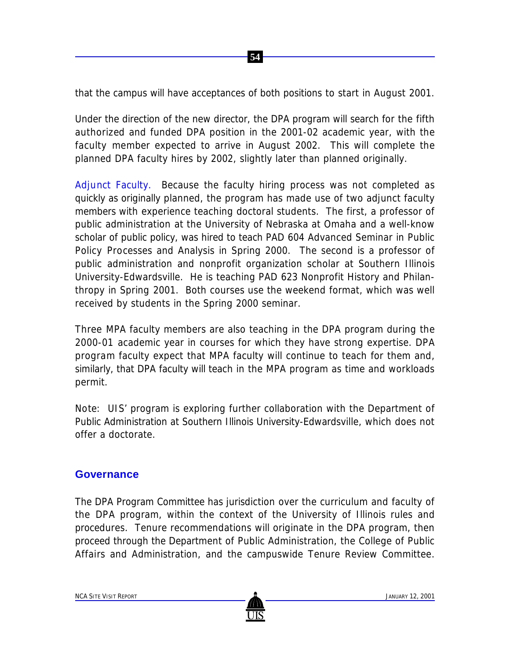that the campus will have acceptances of both positions to start in August 2001.

 **54**

Under the direction of the new director, the DPA program will search for the fifth authorized and funded DPA position in the 2001-02 academic year, with the faculty member expected to arrive in August 2002. This will complete the planned DPA faculty hires by 2002, slightly later than planned originally.

Adjunct Faculty. Because the faculty hiring process was not completed as quickly as originally planned, the program has made use of two adjunct faculty members with experience teaching doctoral students. The first, a professor of public administration at the University of Nebraska at Omaha and a well-know scholar of public policy, was hired to teach PAD 604 Advanced Seminar in Public Policy Processes and Analysis in Spring 2000. The second is a professor of public administration and nonprofit organization scholar at Southern Illinois University-Edwardsville. He is teaching PAD 623 Nonprofit History and Philanthropy in Spring 2001. Both courses use the weekend format, which was well received by students in the Spring 2000 seminar.

Three MPA faculty members are also teaching in the DPA program during the 2000-01 academic year in courses for which they have strong expertise. DPA program faculty expect that MPA faculty will continue to teach for them and, similarly, that DPA faculty will teach in the MPA program as time and workloads permit.

*Note:* UIS' program is exploring further collaboration with the Department of Public Administration at Southern Illinois University-Edwardsville, which does not offer a doctorate.

### **Governance**

The DPA Program Committee has jurisdiction over the curriculum and faculty of the DPA program, within the context of the University of Illinois rules and procedures. Tenure recommendations will originate in the DPA program, then proceed through the Department of Public Administration, the College of Public Affairs and Administration, and the campuswide Tenure Review Committee.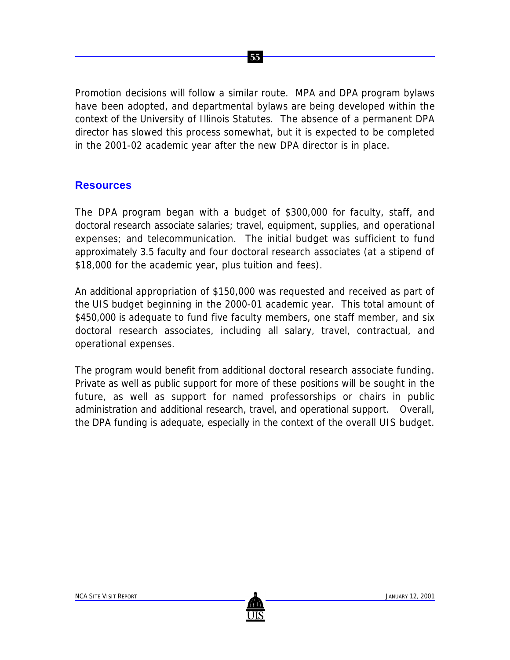Promotion decisions will follow a similar route. MPA and DPA program bylaws have been adopted, and departmental bylaws are being developed within the context of the University of Illinois Statutes. The absence of a permanent DPA director has slowed this process somewhat, but it is expected to be completed in the 2001-02 academic year after the new DPA director is in place.

 **55**

### **Resources**

The DPA program began with a budget of \$300,000 for faculty, staff, and doctoral research associate salaries; travel, equipment, supplies, and operational expenses; and telecommunication. The initial budget was sufficient to fund approximately 3.5 faculty and four doctoral research associates (at a stipend of \$18,000 for the academic year, plus tuition and fees).

An additional appropriation of \$150,000 was requested and received as part of the UIS budget beginning in the 2000-01 academic year. This total amount of \$450,000 is adequate to fund five faculty members, one staff member, and six doctoral research associates, including all salary, travel, contractual, and operational expenses.

The program would benefit from additional doctoral research associate funding. Private as well as public support for more of these positions will be sought in the future, as well as support for named professorships or chairs in public administration and additional research, travel, and operational support. Overall, the DPA funding is adequate, especially in the context of the overall UIS budget.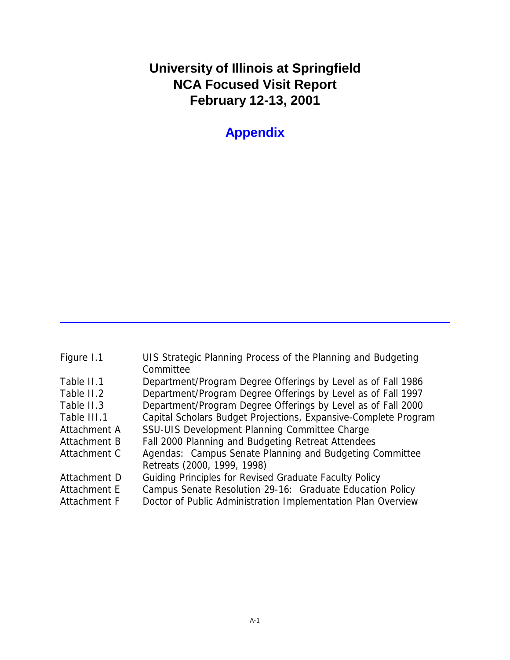# **University of Illinois at Springfield NCA Focused Visit Report February 12-13, 2001**

**Appendix**

| Figure 1.1   | UIS Strategic Planning Process of the Planning and Budgeting<br>Committee |
|--------------|---------------------------------------------------------------------------|
| Table II.1   | Department/Program Degree Offerings by Level as of Fall 1986              |
| Table II.2   | Department/Program Degree Offerings by Level as of Fall 1997              |
| Table II.3   | Department/Program Degree Offerings by Level as of Fall 2000              |
| Table III.1  | Capital Scholars Budget Projections, Expansive-Complete Program           |
| Attachment A | SSU-UIS Development Planning Committee Charge                             |
| Attachment B | Fall 2000 Planning and Budgeting Retreat Attendees                        |
| Attachment C | Agendas: Campus Senate Planning and Budgeting Committee                   |
|              | Retreats (2000, 1999, 1998)                                               |
| Attachment D | Guiding Principles for Revised Graduate Faculty Policy                    |
| Attachment E | Campus Senate Resolution 29-16: Graduate Education Policy                 |
| Attachment F | Doctor of Public Administration Implementation Plan Overview              |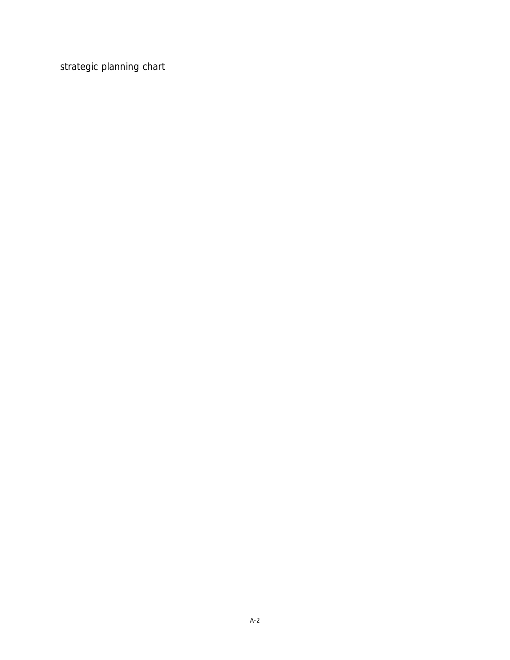strategic planning chart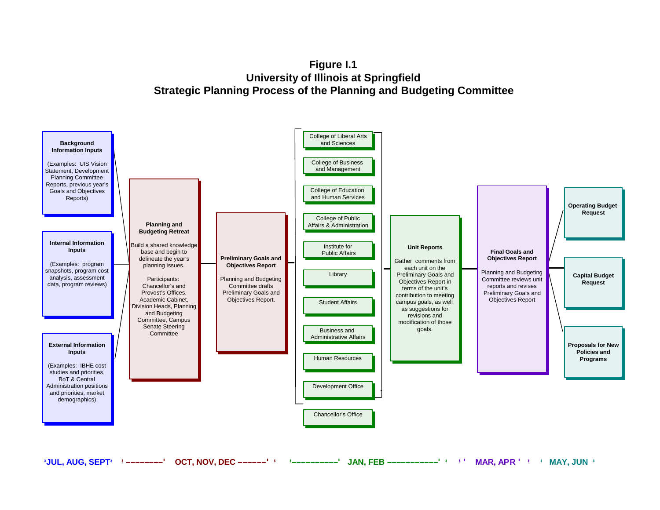**Figure I.1 University of Illinois at Springfield Strategic Planning Process of the Planning and Budgeting Committee**

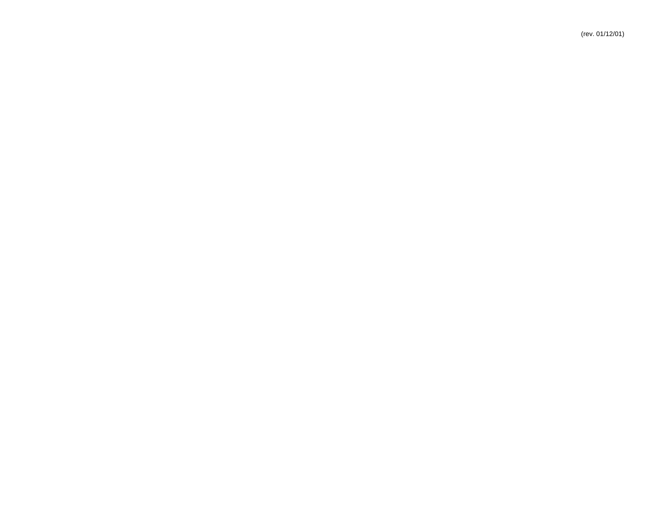(rev. 01/12/01)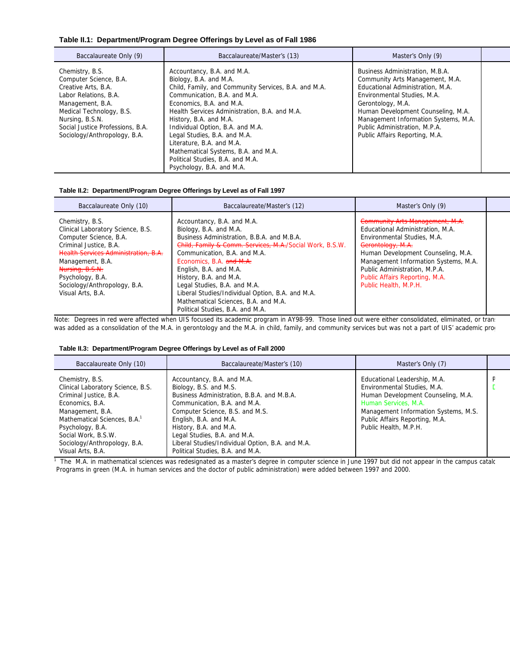#### **Table II.1: Department/Program Degree Offerings by Level as of Fall 1986**

| Baccalaureate Only (9)                                                                                                                                                                                                           | Baccalaureate/Master's (13)                                                                                                                                                                                                                                                                                                                                                                                                                                  | Master's Only (9)                                                                                                                                                                                                                                                                                           |  |
|----------------------------------------------------------------------------------------------------------------------------------------------------------------------------------------------------------------------------------|--------------------------------------------------------------------------------------------------------------------------------------------------------------------------------------------------------------------------------------------------------------------------------------------------------------------------------------------------------------------------------------------------------------------------------------------------------------|-------------------------------------------------------------------------------------------------------------------------------------------------------------------------------------------------------------------------------------------------------------------------------------------------------------|--|
| Chemistry, B.S.<br>Computer Science, B.A.<br>Creative Arts, B.A.<br>Labor Relations, B.A.<br>Management, B.A.<br>Medical Technology, B.S.<br>Nursing, B.S.N.<br>Social Justice Professions, B.A.<br>Sociology/Anthropology, B.A. | Accountancy, B.A. and M.A.<br>Biology, B.A. and M.A.<br>Child, Family, and Community Services, B.A. and M.A.<br>Communication, B.A. and M.A.<br>Economics, B.A. and M.A.<br>Health Services Administration, B.A. and M.A.<br>History, B.A. and M.A.<br>Individual Option, B.A. and M.A.<br>Legal Studies, B.A. and M.A.<br>Literature, B.A. and M.A.<br>Mathematical Systems, B.A. and M.A.<br>Political Studies, B.A. and M.A.<br>Psychology, B.A. and M.A. | Business Administration, M.B.A.<br>Community Arts Management, M.A.<br>Educational Administration, M.A.<br>Environmental Studies, M.A.<br>Gerontology, M.A.<br>Human Development Counseling, M.A.<br>Management Information Systems, M.A.<br>Public Administration, M.P.A.<br>Public Affairs Reporting, M.A. |  |

#### **Table II.2: Department/Program Degree Offerings by Level as of Fall 1997**

| Baccalaureate Only (10)                                                                                                                                                                                                                                          | Baccalaureate/Master's (12)                                                                                                                                                                                                                                                                                                                                                                                                                    | Master's Only (9)                                                                                                                                                                                                                                                                                 |  |
|------------------------------------------------------------------------------------------------------------------------------------------------------------------------------------------------------------------------------------------------------------------|------------------------------------------------------------------------------------------------------------------------------------------------------------------------------------------------------------------------------------------------------------------------------------------------------------------------------------------------------------------------------------------------------------------------------------------------|---------------------------------------------------------------------------------------------------------------------------------------------------------------------------------------------------------------------------------------------------------------------------------------------------|--|
| Chemistry, B.S.<br>Clinical Laboratory Science, B.S.<br>Computer Science, B.A.<br>Criminal Justice, B.A.<br>Health Services Administration, B.A.<br>Management, B.A.<br>Nursing, B.S.N.<br>Psychology, B.A.<br>Sociology/Anthropology, B.A.<br>Visual Arts, B.A. | Accountancy, B.A. and M.A.<br>Biology, B.A. and M.A.<br>Business Administration, B.B.A. and M.B.A.<br>Child, Family & Comm. Services, M.A./Social Work, B.S.W.<br>Communication, B.A. and M.A.<br>Economics, B.A. and M.A.<br>English, B.A. and M.A.<br>History, B.A. and M.A.<br>Legal Studies, B.A. and M.A.<br>Liberal Studies/Individual Option, B.A. and M.A.<br>Mathematical Sciences, B.A. and M.A.<br>Political Studies, B.A. and M.A. | Community Arts Management, M.A.<br>Educational Administration, M.A.<br>Environmental Studies, M.A.<br>Gerontology, M.A.<br>Human Development Counseling, M.A.<br>Management Information Systems, M.A.<br>Public Administration, M.P.A.<br>Public Affairs Reporting, M.A.<br>Public Health, M.P.H. |  |

Note: Degrees in red were affected when UIS focused its academic program in AY98-99. Those lined out were either consolidated, eliminated, or tran: was added as a consolidation of the M.A. in gerontology and the M.A. in child, family, and community services but was not a part of UIS' academic prog

### **Table II.3: Department/Program Degree Offerings by Level as of Fall 2000**

| Baccalaureate Only (10)                                                                                                                                                                                                                                           | Baccalaureate/Master's (10)                                                                                                                                                                                                                                                                                                                       | Master's Only (7)                                                                                                                                                                                                            |  |
|-------------------------------------------------------------------------------------------------------------------------------------------------------------------------------------------------------------------------------------------------------------------|---------------------------------------------------------------------------------------------------------------------------------------------------------------------------------------------------------------------------------------------------------------------------------------------------------------------------------------------------|------------------------------------------------------------------------------------------------------------------------------------------------------------------------------------------------------------------------------|--|
| Chemistry, B.S.<br>Clinical Laboratory Science, B.S.<br>Criminal Justice, B.A.<br>Economics, B.A.<br>Management, B.A.<br>Mathematical Sciences, B.A. <sup>1</sup><br>Psychology, B.A.<br>Social Work, B.S.W.<br>Sociology/Anthropology, B.A.<br>Visual Arts, B.A. | Accountancy, B.A. and M.A.<br>Biology, B.S. and M.S.<br>Business Administration, B.B.A. and M.B.A.<br>Communication, B.A. and M.A.<br>Computer Science, B.S. and M.S.<br>English, B.A. and M.A.<br>History, B.A. and M.A.<br>Legal Studies, B.A. and M.A.<br>Liberal Studies/Individual Option, B.A. and M.A.<br>Political Studies, B.A. and M.A. | Educational Leadership, M.A.<br>Environmental Studies, M.A.<br>Human Development Counseling, M.A.<br>Human Services, M.A.<br>Management Information Systems, M.S.<br>Public Affairs Reporting, M.A.<br>Public Health, M.P.H. |  |

 $\overline{1}$  The M.A. in mathematical sciences was redesignated as a master's degree in computer science in June 1997 but did not appear in the campus catalog Programs in green (M.A. in human services and the doctor of public administration) were added between 1997 and 2000.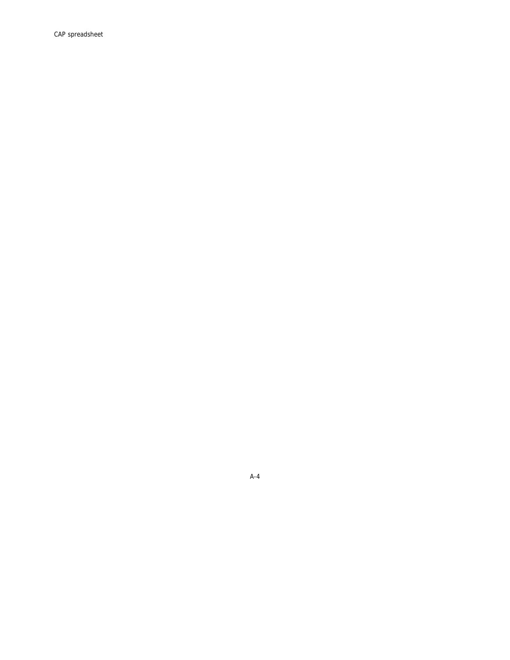A-4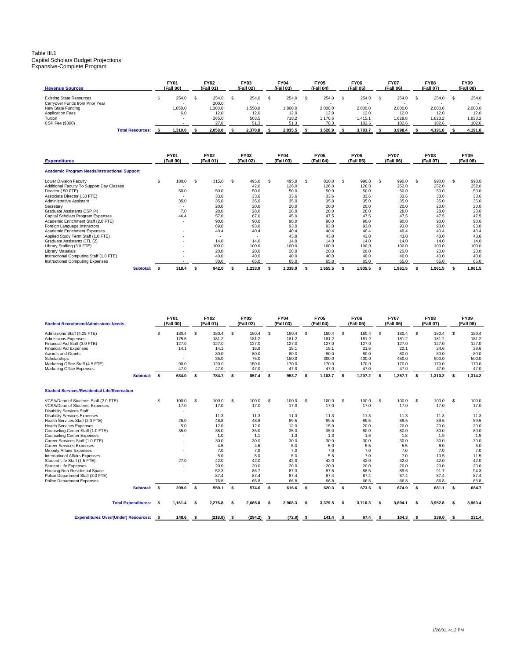### Table III.1 Capital Scholars Budget Projections Expansive-Complete Program

| <b>Revenue Sources</b>          |                         | <b>FY01</b><br>(Fall 00) | <b>FY02</b><br>(Fall 01) | <b>FY03</b><br>(Fall 02) | <b>FY04</b><br>(Fall 03) | <b>FY05</b><br>(Fall 04) | <b>FY06</b><br>(Fall 05) | <b>FY07</b><br>(Fall 06) | <b>FY08</b><br>(Fall 07) | <b>FY09</b><br>(Fall 08) |
|---------------------------------|-------------------------|--------------------------|--------------------------|--------------------------|--------------------------|--------------------------|--------------------------|--------------------------|--------------------------|--------------------------|
| <b>Existing State Resources</b> |                         | 254.0                    | 254.0                    | 254.0                    | 254.0                    | 254.0                    | 254.0                    | 254.0                    | 254.0                    | 254.0                    |
| Carryover Funds from Prior Year |                         |                          | 200.0                    |                          |                          |                          |                          |                          |                          | . .                      |
| New State Funding               |                         | 1,050.0                  | 0.006,                   | .550.0                   | 1,800.0                  | 2,000.0                  | 2,000.0                  | 2.000.0                  | 2.000.0                  | 2,000.0                  |
| <b>Application Fees</b>         |                         | 6.0                      | 12.0                     | 12.0                     | 12.0                     | 12.0                     | 12.0                     | 12.0                     | 12.0                     | 12.0                     |
| Tuition                         |                         |                          | 265.0                    | 503.5                    | 718.2                    | 1.176.6                  | .415.1                   | .629.8                   | 1.823.2                  | 1,823.2                  |
| CSP Fee (\$300)                 |                         |                          | 27.0                     | 51.3                     | 51.3                     | 78.3                     | 102.6                    | 102.6                    | 102.6                    | 102.6                    |
|                                 | <b>Total Resources:</b> | 1.310.0                  | 2.058.0                  | 2.370.8                  | 2.835.5                  | 3.520.9                  | 3.783.7                  | 3.998.4                  | 4.191.8                  | 4.191.8                  |

| <b>Expenditures</b>                                 |           | <b>FY01</b><br>(Fall 00) |                          | <b>FY02</b><br>(Fall 01) |       | <b>FY03</b><br>(Fall 02) |         | <b>FY04</b><br>(Fall 03) |         | <b>FY05</b><br>(Fall 04) |         | <b>FY06</b><br>(Fall 05) |       | <b>FY07</b><br>(Fall 06) |         | <b>FY08</b><br>(Fall 07) |         | <b>FY09</b><br>(Fall 08) |         |
|-----------------------------------------------------|-----------|--------------------------|--------------------------|--------------------------|-------|--------------------------|---------|--------------------------|---------|--------------------------|---------|--------------------------|-------|--------------------------|---------|--------------------------|---------|--------------------------|---------|
| <b>Academic Program Needs/Instructional Support</b> |           |                          |                          |                          |       |                          |         |                          |         |                          |         |                          |       |                          |         |                          |         |                          |         |
| <b>Lower Division Faculty</b>                       |           | \$                       | 180.0                    | - \$                     | 315.0 | \$                       | 495.0   | \$                       | 495.0   | \$                       | 810.0   | -S                       | 990.0 | \$                       | 990.0   | \$                       | 990.0   | -S                       | 990.0   |
| Additional Faculty To Support Day Classes           |           |                          | . .                      |                          |       |                          | 42.0    |                          | 126.0   |                          | 126.0   |                          | 126.0 |                          | 252.0   |                          | 252.0   |                          | 252.0   |
| Director (.50 FTE)                                  |           |                          | 50.0                     |                          | 50.0  |                          | 50.0    |                          | 50.0    |                          | 50.0    |                          | 50.0  |                          | 50.0    |                          | 50.0    |                          | 50.0    |
| Associate Director (.50 FTE)                        |           |                          | . .                      |                          | 33.6  |                          | 33.6    |                          | 33.6    |                          | 33.6    |                          | 33.6  |                          | 33.6    |                          | 33.6    |                          | 33.6    |
| Administrative Assistant                            |           |                          | 35.0                     |                          | 35.0  |                          | 35.0    |                          | 35.0    |                          | 35.0    |                          | 35.0  |                          | 35.0    |                          | 35.0    |                          | 35.0    |
| Secretary                                           |           |                          |                          |                          | 20.0  |                          | 20.0    |                          | 20.0    |                          | 20.0    |                          | 20.0  |                          | 20.0    |                          | 20.0    |                          | 20.0    |
| Graduate Assistants CSP (4)                         |           |                          | 7.0                      |                          | 28.0  |                          | 28.0    |                          | 28.0    |                          | 28.0    |                          | 28.0  |                          | 28.0    |                          | 28.0    |                          | 28.0    |
| Capital Scholars Program Expenses                   |           |                          | 46.4                     |                          | 57.0  |                          | 67.0    |                          | 45.0    |                          | 47.5    |                          | 47.5  |                          | 47.5    |                          | 47.5    |                          | 47.5    |
| Academic Enrichment Staff (2.0 FTE)                 |           |                          |                          |                          | 90.0  |                          | 90.0    |                          | 90.0    |                          | 90.0    |                          | 90.0  |                          | 90.0    |                          | 90.0    |                          | 90.0    |
| Foreign Language Instructors                        |           |                          |                          |                          | 69.0  |                          | 93.0    |                          | 93.0    |                          | 93.0    |                          | 93.0  |                          | 93.0    |                          | 93.0    |                          | 93.0    |
| Academic Enrichment Expenses                        |           |                          |                          |                          | 40.4  |                          | 40.4    |                          | 40.4    |                          | 40.4    |                          | 40.4  |                          | 40.4    |                          | 40.4    |                          | 40.4    |
| Applied Study Term Staff (1.0 FTE)                  |           |                          | ۰                        |                          | ۰     |                          |         |                          | 43.0    |                          | 43.0    |                          | 43.0  |                          | 43.0    |                          | 43.0    |                          | 43.0    |
| Graduate Assistants CTL (2)                         |           |                          |                          |                          | 14.0  |                          | 14.0    |                          | 14.0    |                          | 14.0    |                          | 14.0  |                          | 14.0    |                          | 14.0    |                          | 14.0    |
| Library Staffing (3.0 FTE)                          |           |                          | $\overline{\phantom{a}}$ |                          | 100.0 |                          | 100.0   |                          | 100.0   |                          | 100.0   |                          | 100.0 |                          | 100.0   |                          | 100.0   |                          | 100.0   |
| <b>Library Materials</b>                            |           |                          |                          |                          | 20.0  |                          | 20.0    |                          | 20.0    |                          | 20.0    |                          | 20.0  |                          | 20.0    |                          | 20.0    |                          | 20.0    |
| Instructional Computing Staff (1.0 FTE)             |           |                          |                          |                          | 40.0  |                          | 40.0    |                          | 40.0    |                          | 40.0    |                          | 40.0  |                          | 40.0    |                          | 40.0    |                          | 40.0    |
| Instructional Computing Expenses                    |           |                          |                          |                          | 30.0  |                          | 65.0    |                          | 65.0    |                          | 65.0    |                          | 65.0  |                          | 65.0    |                          | 65.0    |                          | 65.0    |
|                                                     | Subtotal: |                          | 318.4                    | -9                       | 942.0 |                          | 1.233.0 |                          | 1,338.0 |                          | 1,655.5 |                          | 835.5 |                          | 1,961.5 |                          | 1,961.5 |                          | 1.961.5 |

| <b>Student Recruitment/Admissions Needs</b>                                                                                                                                                                                              |                            |      | <b>FY01</b><br>(Fall 00)                        |      | <b>FY02</b><br>(Fall 01)                                         |     | <b>FY03</b><br>(Fall 02)                                         |    | <b>FY04</b><br>(Fall 03)                                          |    | <b>FY05</b><br>(Fall 04)                                          |      | <b>FY06</b><br>(Fall 05)                                          |      | <b>FY07</b><br>(Fall 06)                                          |      | <b>FY08</b><br>(Fall 07)                                          |      | <b>FY09</b><br>(Fall 08)                                          |
|------------------------------------------------------------------------------------------------------------------------------------------------------------------------------------------------------------------------------------------|----------------------------|------|-------------------------------------------------|------|------------------------------------------------------------------|-----|------------------------------------------------------------------|----|-------------------------------------------------------------------|----|-------------------------------------------------------------------|------|-------------------------------------------------------------------|------|-------------------------------------------------------------------|------|-------------------------------------------------------------------|------|-------------------------------------------------------------------|
| Admissions Staff (4.25 FTE)<br><b>Admissions Expenses</b><br>Financial Aid Staff (3.0 FTE)<br><b>Financial Aid Expenses</b><br>Awards and Grants<br>Scholarships<br>Marketing Office Staff (4.5 FTE)<br><b>Marketing Office Expenses</b> |                            | \$   | 180.4<br>175.5<br>127.0<br>14.1<br>90.0<br>47.0 | Ŝ.   | 180.4<br>181.2<br>127.0<br>14.1<br>80.0<br>35.0<br>120.0<br>47.0 | -S  | 180.4<br>181.2<br>127.0<br>16.8<br>80.0<br>75.0<br>150.0<br>47.0 | \$ | 180.4<br>181.2<br>127.0<br>18.1<br>80.0<br>150.0<br>170.0<br>47.0 | \$ | 180.4<br>181.2<br>127.0<br>18.1<br>80.0<br>300.0<br>170.0<br>47.0 | Ŝ.   | 180.4<br>181.2<br>127.0<br>21.6<br>80.0<br>400.0<br>170.0<br>47.0 | \$   | 180.4<br>181.2<br>127.0<br>22.1<br>80.0<br>450.0<br>170.0<br>47.0 | Ŝ.   | 180.4<br>181.2<br>127.0<br>24.6<br>80.0<br>500.0<br>170.0<br>47.0 | s.   | 180.4<br>181.2<br>127.0<br>28.6<br>80.0<br>500.0<br>170.0<br>47.0 |
|                                                                                                                                                                                                                                          | Subtotal:                  | s    | 634.0                                           | \$   | 784.7                                                            | -S  | 857.4                                                            | -S | 953.7                                                             | s  | 1,103.7                                                           | s.   | 1,207.2                                                           | -S   | 1,257.7                                                           | s    | 1,310.2                                                           | s.   | 1,314.2                                                           |
| <b>Student Services/Residential Life/Recreation</b>                                                                                                                                                                                      |                            |      |                                                 |      |                                                                  |     |                                                                  |    |                                                                   |    |                                                                   |      |                                                                   |      |                                                                   |      |                                                                   |      |                                                                   |
| VCSA/Dean of Students Staff (2.0 FTE)<br>VCSA/Dean of Students Expenses<br><b>Disability Services Staff</b>                                                                                                                              |                            | \$   | 100.0<br>17.0                                   | \$   | 100.0<br>17.0                                                    | Ŝ.  | 100.0<br>17.0                                                    | \$ | 100.0<br>17.0                                                     | \$ | 100.0<br>17.0                                                     | \$   | 100.0<br>17.0                                                     | \$   | 100.0<br>17.0<br>$\overline{\phantom{a}}$                         | Ŝ.   | 100.0<br>17.0<br>$\overline{\phantom{a}}$                         | s.   | 100.0<br>17.0                                                     |
| <b>Disability Services Expenses</b><br>Health Services Staff (2.0 FTE)<br><b>Health Services Expenses</b>                                                                                                                                |                            |      | 25.0<br>5.0                                     |      | 11.3<br>48.8<br>12.0                                             |     | 11.3<br>48.8<br>12.0                                             |    | 11.3<br>89.5<br>12.0                                              |    | 11.3<br>89.5<br>15.0                                              |      | 11.3<br>89.5<br>20.0                                              |      | 11.3<br>89.5<br>20.0                                              |      | 11.3<br>89.5<br>20.0                                              |      | 11.3<br>89.5<br>20.0                                              |
| Counseling Center Staff (1.0 FTE)<br><b>Counseling Center Expenses</b>                                                                                                                                                                   |                            |      | 35.0                                            |      | 35.0<br>1.0                                                      |     | 35.0<br>1.1                                                      |    | 35.0<br>1.3                                                       |    | 35.0<br>1.3                                                       |      | 80.0<br>1.6                                                       |      | 80.0<br>1.8                                                       |      | 80.0<br>1.9                                                       |      | 80.0<br>1.9                                                       |
| Career Services Staff (1.0 FTE)<br><b>Career Services Expenses</b><br>Minority Affairs Expenses                                                                                                                                          |                            |      |                                                 |      | 30.0<br>4.5<br>7.0                                               |     | 30.0<br>4.5<br>7.0                                               |    | 30.0<br>5.0<br>7.0                                                |    | 30.0<br>5.0<br>7.0                                                |      | 30.0<br>5.5<br>7.0                                                |      | 30.0<br>5.5<br>7.0                                                |      | 30.0<br>6.0<br>7.0                                                |      | 30.0<br>6.0<br>7.0                                                |
| International Affairs Expenses<br>Student Life Staff (1.5 FTE)<br><b>Student Life Expenses</b>                                                                                                                                           |                            |      | 27.0                                            |      | 5.0<br>42.0<br>20.0                                              |     | 5.0<br>42.0<br>20.0                                              |    | 5.0<br>42.0<br>20.0                                               |    | 5.5<br>42.0<br>20.0                                               |      | 7.0<br>42.0<br>20.0                                               |      | 7.0<br>42.0<br>20.0                                               |      | 10.5<br>42.0<br>20.0                                              |      | 11.5<br>42.0<br>20.0                                              |
| Housing Non-Residential Space<br>Police Department Staff (3.0 FTE)<br><b>Police Department Expenses</b>                                                                                                                                  |                            |      |                                                 |      | 52.3<br>87.4<br>76.8                                             |     | 86.7<br>87.4<br>66.8                                             |    | 87.3<br>87.4<br>66.8                                              |    | 87.5<br>87.4<br>66.8                                              |      | 88.5<br>87.4<br>66.8                                              |      | 89.6<br>87.4<br>66.8                                              |      | 91.7<br>87.4<br>66.8                                              |      | 94.3<br>87.4<br>66.8                                              |
|                                                                                                                                                                                                                                          | Subtotal:                  | s    | 209.0                                           | - \$ | 550.1                                                            | -S  | 574.6                                                            | s. | 616.6                                                             | s  | 620.3                                                             | -S   | 673.6                                                             | -S   | 674.9                                                             | s.   | 681.1                                                             | s.   | 684.7                                                             |
|                                                                                                                                                                                                                                          | <b>Total Expenditures:</b> | s    | 1,161.4                                         | \$   | 2,276.8                                                          | -\$ | 2,665.0                                                          | \$ | 2,908.3                                                           | \$ | 3,379.5                                                           | \$   | 3,716.3                                                           | -\$  | 3,894.1                                                           | s    | 3,952.8                                                           | \$   | 3,960.4                                                           |
| <b>Expenditures Over/(Under) Resources:</b>                                                                                                                                                                                              |                            | - \$ | 148.6                                           | - \$ | $(218.8)$ \$                                                     |     | $(294.2)$ \$                                                     |    | $(72.8)$ \$                                                       |    | 141.4                                                             | - \$ | 67.4                                                              | - \$ | 104.3                                                             | - \$ | 239.0                                                             | - \$ | 231.4                                                             |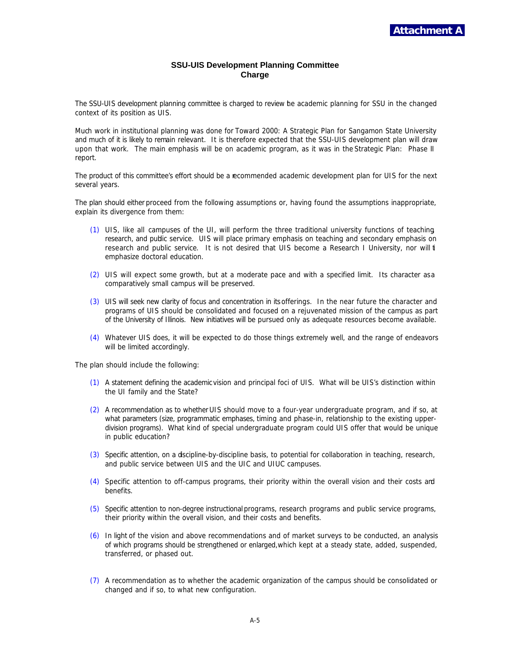### **SSU-UIS Development Planning Committee Charge**

The SSU-UIS development planning committee is charged to review the academic planning for SSU in the changed context of its position as UIS.

Much work in institutional planning was done for *Toward 2000: A Strategic Plan for Sangamon State University* and much of it is likely to remain relevant. It is therefore expected that the SSU-UIS development plan will draw upon that work. The main emphasis will be on academic program, as it was in the *Strategic Plan: Phase II report*.

The product of this committee's effort should be a recommended academic development plan for UIS for the next several years.

The plan should either proceed from the following assumptions or, having found the assumptions inappropriate, explain its divergence from them:

- (1) UIS, like all campuses of the UI, will perform the three traditional university functions of teaching, research, and public service. UIS will place primary emphasis on teaching and secondary emphasis on research and public service. It is not desired that UIS become a Research I University, nor will t emphasize doctoral education.
- (2) UIS will expect some growth, but at a moderate pace and with a specified limit. Its character as a comparatively small campus will be preserved.
- (3) UIS will seek new clarity of focus and concentration in its offerings. In the near future the character and programs of UIS should be consolidated and focused on a rejuvenated mission of the campus as part of the University of Illinois. New initiatives will be pursued only as adequate resources become available.
- (4) Whatever UIS does, it will be expected to do those things extremely well, and the range of endeavors will be limited accordingly.

The plan should include the following:

- (1) A statement defining the academic vision and principal foci of UIS. What will be UIS's distinction within the UI family and the State?
- (2) A recommendation as to whether UIS should move to a four-year undergraduate program, and if so, at what parameters (size, programmatic emphases, timing and phase-in, relationship to the existing upperdivision programs). What kind of special undergraduate program could UIS offer that would be unique in public education?
- (3) Specific attention, on a discipline-by-discipline basis, to potential for collaboration in teaching, research, and public service between UIS and the UIC and UIUC campuses.
- (4) Specific attention to off-campus programs, their priority within the overall vision and their costs and benefits.
- (5) Specific attention to non-degree instructional programs, research programs and public service programs, their priority within the overall vision, and their costs and benefits.
- (6) In light of the vision and above recommendations and of market surveys to be conducted, an analysis of which programs should be strengthened or enlarged, which kept at a steady state, added, suspended, transferred, or phased out.
- (7) A recommendation as to whether the academic organization of the campus should be consolidated or changed and if so, to what new configuration.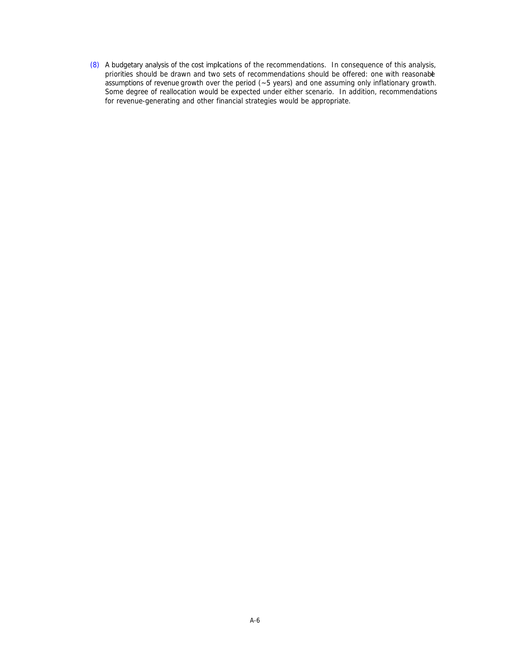(8) A budgetary analysis of the cost implications of the recommendations. In consequence of this analysis, priorities should be drawn and two sets of recommendations should be offered: one with reasonable assumptions of revenue growth over the period (~5 years) and one assuming only inflationary growth. Some degree of reallocation would be expected under either scenario. In addition, recommendations for revenue-generating and other financial strategies would be appropriate.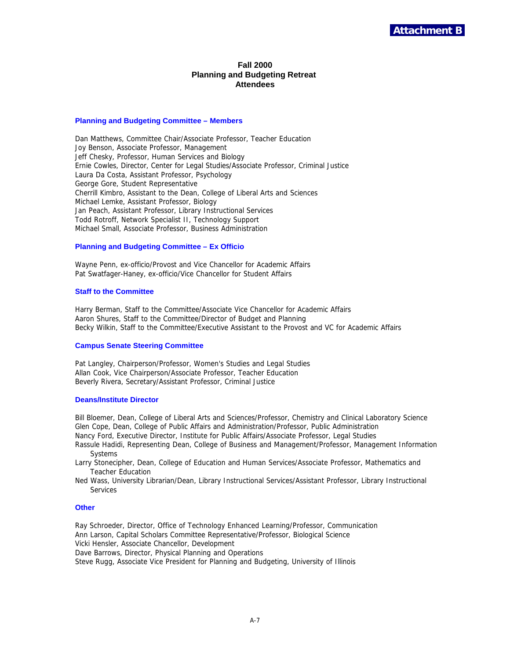### **Fall 2000 Planning and Budgeting Retreat Attendees**

#### **Planning and Budgeting Committee – Members**

Dan Matthews, Committee Chair/Associate Professor, Teacher Education Joy Benson, Associate Professor, Management Jeff Chesky, Professor, Human Services and Biology Ernie Cowles, Director, Center for Legal Studies/Associate Professor, Criminal Justice Laura Da Costa, Assistant Professor, Psychology George Gore, Student Representative Cherrill Kimbro, Assistant to the Dean, College of Liberal Arts and Sciences Michael Lemke, Assistant Professor, Biology Jan Peach, Assistant Professor, Library Instructional Services Todd Rotroff, Network Specialist II, Technology Support Michael Small, Associate Professor, Business Administration

### **Planning and Budgeting Committee – Ex Officio**

Wayne Penn, ex-officio/Provost and Vice Chancellor for Academic Affairs Pat Swatfager-Haney, ex-officio/Vice Chancellor for Student Affairs

#### **Staff to the Committee**

Harry Berman, Staff to the Committee/Associate Vice Chancellor for Academic Affairs Aaron Shures, Staff to the Committee/Director of Budget and Planning Becky Wilkin, Staff to the Committee/Executive Assistant to the Provost and VC for Academic Affairs

#### **Campus Senate Steering Committee**

Pat Langley, Chairperson/Professor, Women's Studies and Legal Studies Allan Cook, Vice Chairperson/Associate Professor, Teacher Education Beverly Rivera, Secretary/Assistant Professor, Criminal Justice

### **Deans/Institute Director**

Bill Bloemer, Dean, College of Liberal Arts and Sciences/Professor, Chemistry and Clinical Laboratory Science Glen Cope, Dean, College of Public Affairs and Administration/Professor, Public Administration Nancy Ford, Executive Director, Institute for Public Affairs/Associate Professor, Legal Studies

Rassule Hadidi, Representing Dean, College of Business and Management/Professor, Management Information **Systems** 

- Larry Stonecipher, Dean, College of Education and Human Services/Associate Professor, Mathematics and Teacher Education
- Ned Wass, University Librarian/Dean, Library Instructional Services/Assistant Professor, Library Instructional Services

#### **Other**

Ray Schroeder, Director, Office of Technology Enhanced Learning/Professor, Communication Ann Larson, Capital Scholars Committee Representative/Professor, Biological Science Vicki Hensler, Associate Chancellor, Development Dave Barrows, Director, Physical Planning and Operations

Steve Rugg, Associate Vice President for Planning and Budgeting, University of Illinois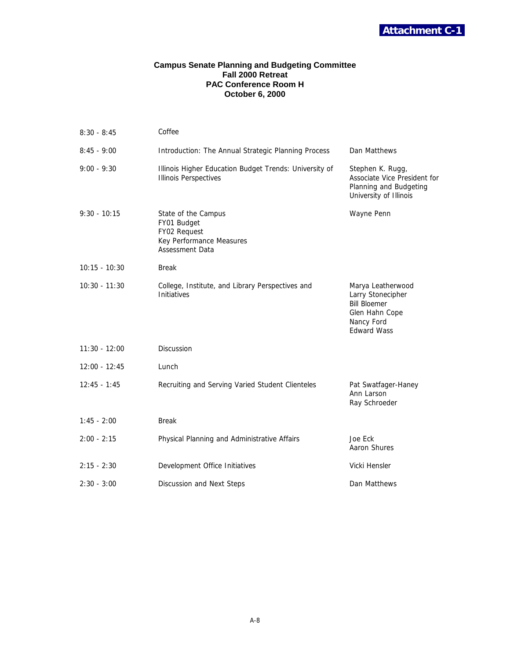

### **Campus Senate Planning and Budgeting Committee Fall 2000 Retreat PAC Conference Room H October 6, 2000**

| $8:30 - 8:45$   | Coffee                                                                                                   |                                                                                                                     |
|-----------------|----------------------------------------------------------------------------------------------------------|---------------------------------------------------------------------------------------------------------------------|
| $8:45 - 9:00$   | Introduction: The Annual Strategic Planning Process                                                      | Dan Matthews                                                                                                        |
| $9:00 - 9:30$   | Illinois Higher Education Budget Trends: University of<br><b>Illinois Perspectives</b>                   | Stephen K. Rugg,<br>Associate Vice President for<br>Planning and Budgeting<br>University of Illinois                |
| $9:30 - 10:15$  | State of the Campus<br>FY01 Budget<br>FY02 Request<br>Key Performance Measures<br><b>Assessment Data</b> | Wayne Penn                                                                                                          |
| $10:15 - 10:30$ | <b>Break</b>                                                                                             |                                                                                                                     |
| $10:30 - 11:30$ | College, Institute, and Library Perspectives and<br>Initiatives                                          | Marya Leatherwood<br>Larry Stonecipher<br><b>Bill Bloemer</b><br>Glen Hahn Cope<br>Nancy Ford<br><b>Edward Wass</b> |
| $11:30 - 12:00$ | <b>Discussion</b>                                                                                        |                                                                                                                     |
| $12:00 - 12:45$ | Lunch                                                                                                    |                                                                                                                     |
| $12:45 - 1:45$  | Recruiting and Serving Varied Student Clienteles                                                         | Pat Swatfager-Haney<br>Ann Larson<br>Ray Schroeder                                                                  |
| $1:45 - 2:00$   | <b>Break</b>                                                                                             |                                                                                                                     |
| $2:00 - 2:15$   | Physical Planning and Administrative Affairs                                                             | Joe Eck<br>Aaron Shures                                                                                             |
| $2:15 - 2:30$   | Development Office Initiatives                                                                           | Vicki Hensler                                                                                                       |
| $2:30 - 3:00$   | Discussion and Next Steps                                                                                | Dan Matthews                                                                                                        |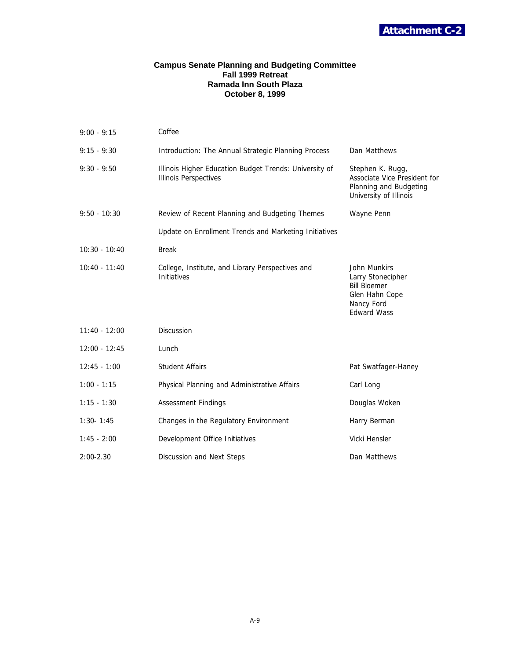

### **Campus Senate Planning and Budgeting Committee Fall 1999 Retreat Ramada Inn South Plaza October 8, 1999**

| $9:00 - 9:15$   | Coffee                                                                                                         |                     |  |  |
|-----------------|----------------------------------------------------------------------------------------------------------------|---------------------|--|--|
| $9:15 - 9:30$   | Introduction: The Annual Strategic Planning Process                                                            | Dan Matthews        |  |  |
| $9:30 - 9:50$   | Stephen K. Rugg,<br>Associate Vice President for<br>Planning and Budgeting<br>University of Illinois           |                     |  |  |
| $9:50 - 10:30$  | Review of Recent Planning and Budgeting Themes                                                                 | Wayne Penn          |  |  |
|                 | Update on Enrollment Trends and Marketing Initiatives                                                          |                     |  |  |
| $10:30 - 10:40$ | <b>Break</b>                                                                                                   |                     |  |  |
| $10:40 - 11:40$ | John Munkirs<br>Larry Stonecipher<br><b>Bill Bloemer</b><br>Glen Hahn Cope<br>Nancy Ford<br><b>Edward Wass</b> |                     |  |  |
| $11:40 - 12:00$ | <b>Discussion</b>                                                                                              |                     |  |  |
| $12:00 - 12:45$ | Lunch                                                                                                          |                     |  |  |
| $12:45 - 1:00$  | <b>Student Affairs</b>                                                                                         | Pat Swatfager-Haney |  |  |
| $1:00 - 1:15$   | Physical Planning and Administrative Affairs                                                                   | Carl Long           |  |  |
| $1:15 - 1:30$   | <b>Assessment Findings</b>                                                                                     | Douglas Woken       |  |  |
| $1:30 - 1:45$   | Changes in the Regulatory Environment                                                                          | Harry Berman        |  |  |
| $1:45 - 2:00$   | Development Office Initiatives                                                                                 | Vicki Hensler       |  |  |
| $2:00 - 2.30$   | Discussion and Next Steps                                                                                      | Dan Matthews        |  |  |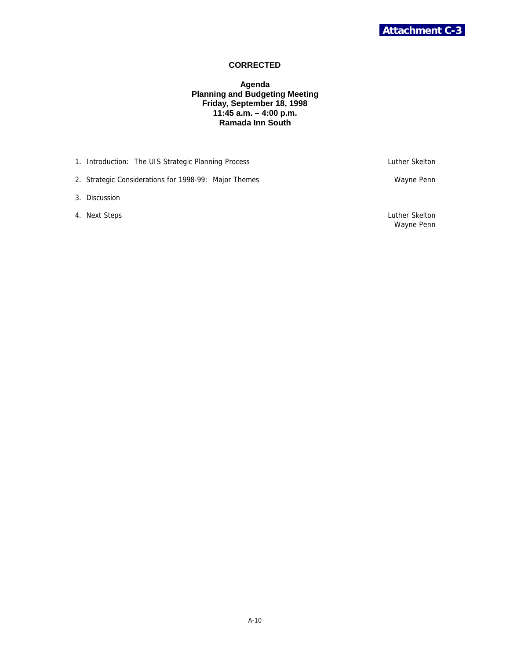### **CORRECTED**

### **Agenda Planning and Budgeting Meeting Friday, September 18, 1998 11:45 a.m. – 4:00 p.m. Ramada Inn South**

1. Introduction: The UIS Strategic Planning Process **Luther Skelton** Luther Skelton

2. Strategic Considerations for 1998-99: Major Themes Wayne Penn Wayne Penn

3. Discussion

4. Next Steps Luther Skelton

Wayne Penn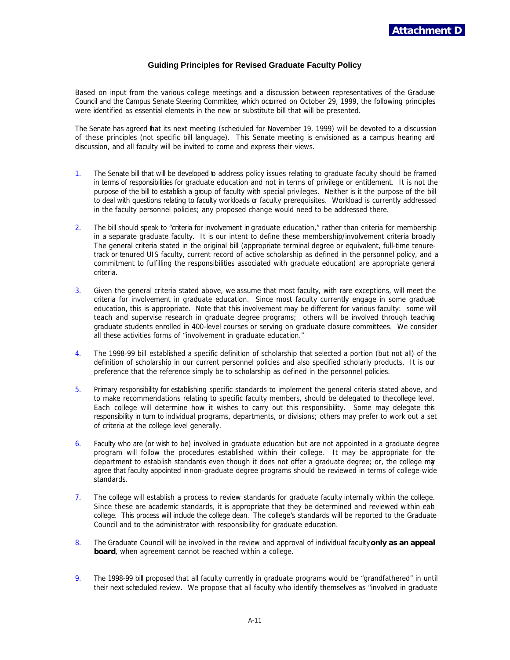### **Guiding Principles for Revised Graduate Faculty Policy**

Based on input from the various college meetings and a discussion between representatives of the Graduate Council and the Campus Senate Steering Committee, which occurred on October 29, 1999, the following principles were identified as essential elements in the new or substitute bill that will be presented.

The Senate has agreed that its next meeting (scheduled for November 19, 1999) will be devoted to a discussion of these principles (not specific bill language). This Senate meeting is envisioned as a campus hearing and discussion, and all faculty will be invited to come and express their views.

- 1. The Senate bill that will be developed b address policy issues relating to graduate faculty should be framed in terms of responsibilities for graduate education and not in terms of privilege or entitlement. It is not the purpose of the bill to establish a group of faculty with special privileges. Neither is it the purpose of the bill to deal with questions relating to faculty workloads or faculty prerequisites. Workload is currently addressed in the faculty personnel policies; any proposed change would need to be addressed there.
- 2. The bill should speak to "criteria for involvement in graduate education," rather than criteria for membership in a separate graduate faculty. It is our intent to define these membership/involvement criteria broadly. The general criteria stated in the original bill (appropriate terminal degree or equivalent, full-time tenuretrack or tenured UIS faculty, current record of active scholarship as defined in the personnel policy, and a commitment to fulfilling the responsibilities associated with graduate education) are appropriate general criteria.
- 3. Given the general criteria stated above, we assume that most faculty, with rare exceptions, will meet the criteria for involvement in graduate education. Since most faculty currently engage in some graduate education, this is appropriate. Note that this involvement may be different for various faculty: some will teach and supervise research in graduate degree programs; others will be involved through teaching graduate students enrolled in 400-level courses or serving on graduate closure committees. We consider all these activities forms of "involvement in graduate education."
- 4. The 1998-99 bill established a specific definition of scholarship that selected a portion (but not all) of the definition of scholarship in our current personnel policies and also specified scholarly products. It is our preference that the reference simply be to scholarship as defined in the personnel policies.
- 5. Primary responsibility for establishing specific standards to implement the general criteria stated above, and to make recommendations relating to specific faculty members, should be delegated to the college level. Each college will determine how it wishes to carry out this responsibility. Some may delegate this responsibility in turn to individual programs, departments, or divisions; others may prefer to work out a set of criteria at the college level generally.
- 6. Faculty who are (or wish to be) involved in graduate education but are not appointed in a graduate degree program will follow the procedures established within their college. It may be appropriate for the department to establish standards even though it does not offer a graduate degree; or, the college may agree that faculty appointed in non-graduate degree programs should be reviewed in terms of college-wide standards.
- 7. The college will establish a process to review standards for graduate faculty internally within the college. Since these are academic standards, it is appropriate that they be determined and reviewed within eab college. This process will include the college dean. The college's standards will be reported to the Graduate Council and to the administrator with responsibility for graduate education.
- 8. The Graduate Council will be involved in the review and approval of individual faculty **only as an appeal board**, when agreement cannot be reached within a college.
- 9. The 1998-99 bill proposed that all faculty currently in graduate programs would be "grandfathered" in until their next scheduled review. We propose that all faculty who identify themselves as "involved in graduate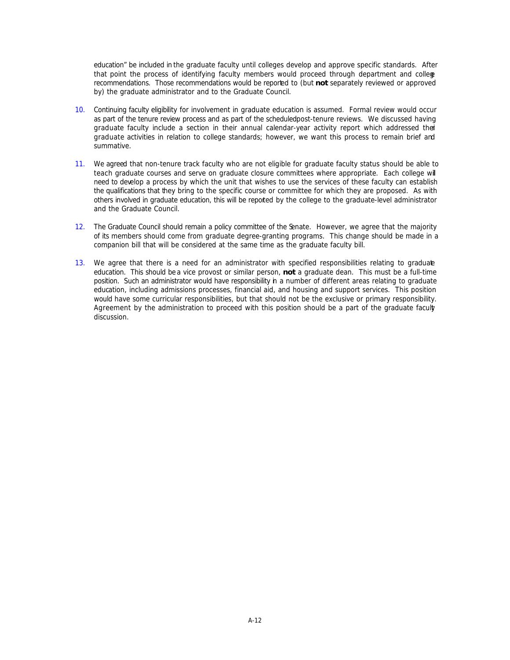education" be included in the graduate faculty until colleges develop and approve specific standards. After that point the process of identifying faculty members would proceed through department and college recommendations. Those recommendations would be reported to (but **not** separately reviewed or approved by) the graduate administrator and to the Graduate Council.

- 10. Continuing faculty eligibility for involvement in graduate education is assumed. Formal review would occur as part of the tenure review process and as part of the scheduled post-tenure reviews. We discussed having graduate faculty include a section in their annual calendar-year activity report which addressed their graduate activities in relation to college standards; however, we want this process to remain brief and summative.
- 11. We agreed that non-tenure track faculty who are not eligible for graduate faculty status should be able to teach graduate courses and serve on graduate closure committees where appropriate. Each college will need to develop a process by which the unit that wishes to use the services of these faculty can establish the qualifications that they bring to the specific course or committee for which they are proposed. As with others involved in graduate education, this will be reported by the college to the graduate-level administrator and the Graduate Council.
- 12. The Graduate Council should remain a policy committee of the Senate. However, we agree that the majority of its members should come from graduate degree-granting programs. This change should be made in a companion bill that will be considered at the same time as the graduate faculty bill.
- 13. We agree that there is a need for an administrator with specified responsibilities relating to graduate education. This should be a vice provost or similar person, **not** a graduate dean. This must be a full-time position. Such an administrator would have responsibility in a number of different areas relating to graduate education, including admissions processes, financial aid, and housing and support services. This position would have some curricular responsibilities, but that should not be the exclusive or primary responsibility. Agreement by the administration to proceed with this position should be a part of the graduate faculty discussion.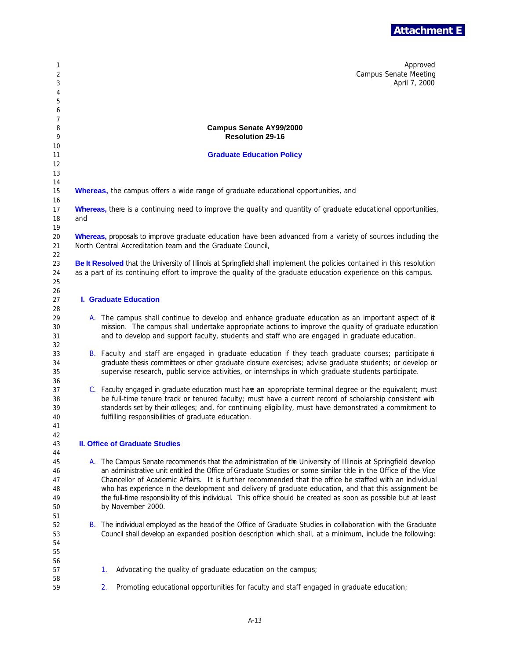

| 1<br>2<br>3<br>4<br>5            |                                                                                                                                                                           |                                                                                                                                                                                                                                           | Approved<br><b>Campus Senate Meeting</b><br>April 7, 2000                                                                                                                                                                                                                                                                                                                                                                                                                                                                                                                                  |  |  |  |  |
|----------------------------------|---------------------------------------------------------------------------------------------------------------------------------------------------------------------------|-------------------------------------------------------------------------------------------------------------------------------------------------------------------------------------------------------------------------------------------|--------------------------------------------------------------------------------------------------------------------------------------------------------------------------------------------------------------------------------------------------------------------------------------------------------------------------------------------------------------------------------------------------------------------------------------------------------------------------------------------------------------------------------------------------------------------------------------------|--|--|--|--|
| 6<br>7<br>8<br>9                 |                                                                                                                                                                           |                                                                                                                                                                                                                                           | <b>Campus Senate AY99/2000</b><br><b>Resolution 29-16</b>                                                                                                                                                                                                                                                                                                                                                                                                                                                                                                                                  |  |  |  |  |
| 10<br>11                         |                                                                                                                                                                           |                                                                                                                                                                                                                                           | <b>Graduate Education Policy</b>                                                                                                                                                                                                                                                                                                                                                                                                                                                                                                                                                           |  |  |  |  |
| 12                               |                                                                                                                                                                           |                                                                                                                                                                                                                                           |                                                                                                                                                                                                                                                                                                                                                                                                                                                                                                                                                                                            |  |  |  |  |
| 13                               |                                                                                                                                                                           |                                                                                                                                                                                                                                           |                                                                                                                                                                                                                                                                                                                                                                                                                                                                                                                                                                                            |  |  |  |  |
| 14<br>15<br>16                   |                                                                                                                                                                           | <b>Whereas,</b> the campus offers a wide range of graduate educational opportunities, and                                                                                                                                                 |                                                                                                                                                                                                                                                                                                                                                                                                                                                                                                                                                                                            |  |  |  |  |
| 17<br>18<br>19                   | Whereas, there is a continuing need to improve the quality and quantity of graduate educational opportunities,<br>and                                                     |                                                                                                                                                                                                                                           |                                                                                                                                                                                                                                                                                                                                                                                                                                                                                                                                                                                            |  |  |  |  |
| 20<br>21<br>22                   | Whereas, proposals to improve graduate education have been advanced from a variety of sources including the<br>North Central Accreditation team and the Graduate Council, |                                                                                                                                                                                                                                           |                                                                                                                                                                                                                                                                                                                                                                                                                                                                                                                                                                                            |  |  |  |  |
| 23<br>24<br>25                   |                                                                                                                                                                           | Be It Resolved that the University of Illinois at Springfield shall implement the policies contained in this resolution<br>as a part of its continuing effort to improve the quality of the graduate education experience on this campus. |                                                                                                                                                                                                                                                                                                                                                                                                                                                                                                                                                                                            |  |  |  |  |
| 26<br>27<br>28                   | <b>I. Graduate Education</b>                                                                                                                                              |                                                                                                                                                                                                                                           |                                                                                                                                                                                                                                                                                                                                                                                                                                                                                                                                                                                            |  |  |  |  |
| 29<br>30<br>31                   |                                                                                                                                                                           |                                                                                                                                                                                                                                           | A. The campus shall continue to develop and enhance graduate education as an important aspect of it<br>mission. The campus shall undertake appropriate actions to improve the quality of graduate education<br>and to develop and support faculty, students and staff who are engaged in graduate education.                                                                                                                                                                                                                                                                               |  |  |  |  |
| 32<br>33<br>34<br>35             |                                                                                                                                                                           |                                                                                                                                                                                                                                           | B. Faculty and staff are engaged in graduate education if they teach graduate courses; participate in<br>graduate thesis committees or other graduate closure exercises; advise graduate students; or develop or<br>supervise research, public service activities, or internships in which graduate students participate.                                                                                                                                                                                                                                                                  |  |  |  |  |
| 36<br>37<br>38<br>39<br>40<br>41 |                                                                                                                                                                           |                                                                                                                                                                                                                                           | C. Faculty engaged in graduate education must have an appropriate terminal degree or the equivalent; must<br>be full-time tenure track or tenured faculty; must have a current record of scholarship consistent wih<br>standards set by their colleges; and, for continuing eligibility, must have demonstrated a commitment to<br>fulfilling responsibilities of graduate education.                                                                                                                                                                                                      |  |  |  |  |
| 42<br>43<br>44                   |                                                                                                                                                                           |                                                                                                                                                                                                                                           | <b>II. Office of Graduate Studies</b>                                                                                                                                                                                                                                                                                                                                                                                                                                                                                                                                                      |  |  |  |  |
| 45<br>46<br>47<br>48<br>49<br>50 |                                                                                                                                                                           |                                                                                                                                                                                                                                           | A. The Campus Senate recommends that the administration of the University of Illinois at Springfield develop<br>an administrative unit entitled the Office of Graduate Studies or some similar title in the Office of the Vice<br>Chancellor of Academic Affairs. It is further recommended that the office be staffed with an individual<br>who has experience in the development and delivery of graduate education, and that this assignment be<br>the full-time responsibility of this individual. This office should be created as soon as possible but at least<br>by November 2000. |  |  |  |  |
| 51<br>52<br>53<br>54<br>55<br>56 |                                                                                                                                                                           | B. The individual employed as the head of the Office of Graduate Studies in collaboration with the Graduate<br>Council shall develop an expanded position description which shall, at a minimum, include the following:                   |                                                                                                                                                                                                                                                                                                                                                                                                                                                                                                                                                                                            |  |  |  |  |
| 57<br>58                         |                                                                                                                                                                           | 1.                                                                                                                                                                                                                                        | Advocating the quality of graduate education on the campus;                                                                                                                                                                                                                                                                                                                                                                                                                                                                                                                                |  |  |  |  |
| 59                               |                                                                                                                                                                           | 2.                                                                                                                                                                                                                                        | Promoting educational opportunities for faculty and staff engaged in graduate education;                                                                                                                                                                                                                                                                                                                                                                                                                                                                                                   |  |  |  |  |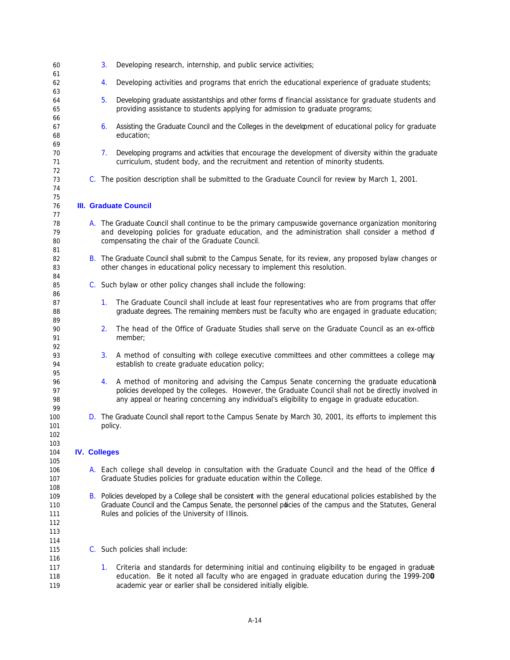| 60                              |  | 3.                           | Developing research, internship, and public service activities;                                                                                                                                                                                                                                    |  |  |  |
|---------------------------------|--|------------------------------|----------------------------------------------------------------------------------------------------------------------------------------------------------------------------------------------------------------------------------------------------------------------------------------------------|--|--|--|
| 61<br>62<br>63                  |  | 4.                           | Developing activities and programs that enrich the educational experience of graduate students;                                                                                                                                                                                                    |  |  |  |
| 64<br>65                        |  | 5.                           | Developing graduate assistantships and other forms of financial assistance for graduate students and<br>providing assistance to students applying for admission to graduate programs;                                                                                                              |  |  |  |
| 66<br>67<br>68                  |  | 6.                           | Assisting the Graduate Council and the Colleges in the development of educational policy for graduate<br>education;                                                                                                                                                                                |  |  |  |
| 69<br>70<br>71                  |  | 7.                           | Developing programs and activities that encourage the development of diversity within the graduate<br>curriculum, student body, and the recruitment and retention of minority students.                                                                                                            |  |  |  |
| 72<br>73<br>74                  |  |                              | C. The position description shall be submitted to the Graduate Council for review by March 1, 2001.                                                                                                                                                                                                |  |  |  |
| 75<br>76<br>77                  |  | <b>III. Graduate Council</b> |                                                                                                                                                                                                                                                                                                    |  |  |  |
| 78<br>79<br>80                  |  |                              | A. The Graduate Council shall continue to be the primary campuswide governance organization monitoring<br>and developing policies for graduate education, and the administration shall consider a method of<br>compensating the chair of the Graduate Council.                                     |  |  |  |
| 81<br>82<br>83                  |  |                              | B. The Graduate Council shall submit to the Campus Senate, for its review, any proposed bylaw changes or<br>other changes in educational policy necessary to implement this resolution.                                                                                                            |  |  |  |
| 84<br>85<br>86                  |  |                              | C. Such bylaw or other policy changes shall include the following:                                                                                                                                                                                                                                 |  |  |  |
| 87<br>88<br>89                  |  | 1.                           | The Graduate Council shall include at least four representatives who are from programs that offer<br>graduate degrees. The remaining members must be faculty who are engaged in graduate education;                                                                                                |  |  |  |
| 90<br>91<br>92                  |  | 2.                           | The head of the Office of Graduate Studies shall serve on the Graduate Council as an ex-offico<br>member;                                                                                                                                                                                          |  |  |  |
| 93<br>94<br>95                  |  | 3.                           | A method of consulting with college executive committees and other committees a college may<br>establish to create graduate education policy;                                                                                                                                                      |  |  |  |
| 96<br>97<br>98<br>99            |  | 4.                           | A method of monitoring and advising the Campus Senate concerning the graduate educational<br>policies developed by the colleges. However, the Graduate Council shall not be directly involved in<br>any appeal or hearing concerning any individual's eligibility to engage in graduate education. |  |  |  |
| 100<br>101<br>102               |  | policy.                      | D. The Graduate Council shall report to the Campus Senate by March 30, 2001, its efforts to implement this                                                                                                                                                                                         |  |  |  |
| 103<br>104<br>105               |  | <b>IV. Colleges</b>          |                                                                                                                                                                                                                                                                                                    |  |  |  |
| 106<br>107<br>108               |  |                              | A. Each college shall develop in consultation with the Graduate Council and the head of the Office of<br>Graduate Studies policies for graduate education within the College.                                                                                                                      |  |  |  |
| 109<br>110<br>111<br>112<br>113 |  |                              | B. Policies developed by a College shall be consistent with the general educational policies established by the<br>Graduate Council and the Campus Senate, the personnel pdicies of the campus and the Statutes, General<br>Rules and policies of the University of Illinois.                      |  |  |  |
| 114<br>115<br>116               |  |                              | C. Such policies shall include:                                                                                                                                                                                                                                                                    |  |  |  |
| 117<br>118<br>119               |  | 1.                           | Criteria and standards for determining initial and continuing eligibility to be engaged in graduae<br>education. Be it noted all faculty who are engaged in graduate education during the 1999-200<br>academic year or earlier shall be considered initially eligible.                             |  |  |  |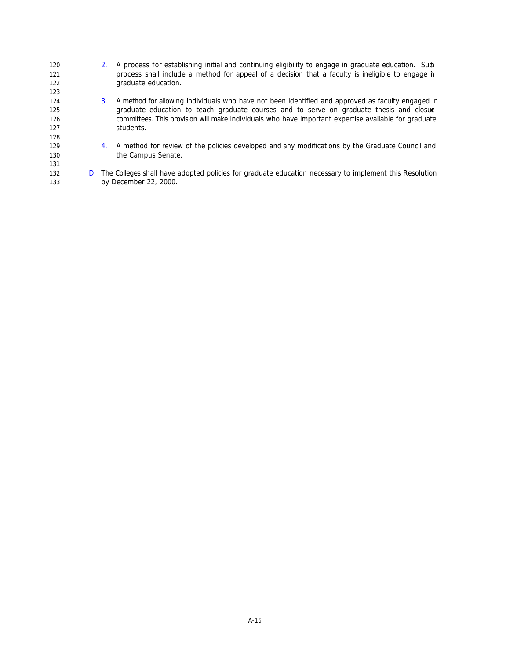120 2. A process for establishing initial and continuing eligibility to engage in graduate education. Such process shall include a method for appeal of a decision that a faculty is ineligible to engage in graduate education. 3. A method for allowing individuals who have not been identified and approved as faculty engaged in graduate education to teach graduate courses and to serve on graduate thesis and closure committees. This provision will make individuals who have important expertise available for graduate students. 4. A method for review of the policies developed and any modifications by the Graduate Council and 130 the Campus Senate. 132 D. The Colleges shall have adopted policies for graduate education necessary to implement this Resolution by December 22, 2000.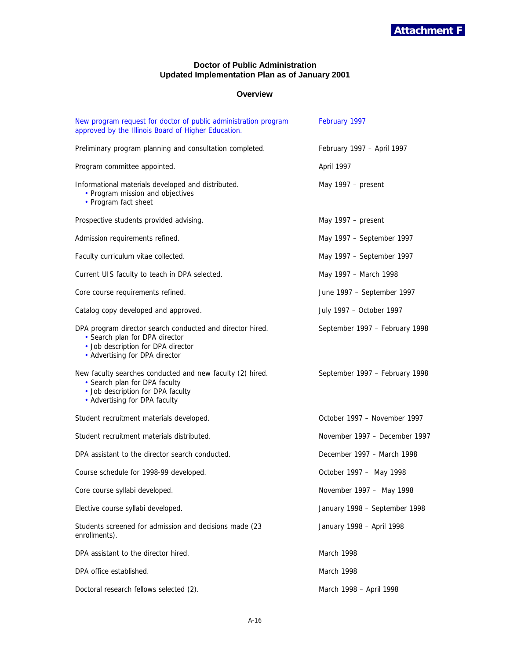## **Doctor of Public Administration Updated Implementation Plan as of January 2001**

## **Overview**

| New program request for doctor of public administration program<br>approved by the Illinois Board of Higher Education.                                              | February 1997                  |
|---------------------------------------------------------------------------------------------------------------------------------------------------------------------|--------------------------------|
| Preliminary program planning and consultation completed.                                                                                                            | February 1997 - April 1997     |
| Program committee appointed.                                                                                                                                        | April 1997                     |
| Informational materials developed and distributed.<br>• Program mission and objectives<br>• Program fact sheet                                                      | May 1997 – present             |
| Prospective students provided advising.                                                                                                                             | May 1997 – present             |
| Admission requirements refined.                                                                                                                                     | May 1997 - September 1997      |
| Faculty curriculum vitae collected.                                                                                                                                 | May 1997 - September 1997      |
| Current UIS faculty to teach in DPA selected.                                                                                                                       | May 1997 - March 1998          |
| Core course requirements refined.                                                                                                                                   | June 1997 - September 1997     |
| Catalog copy developed and approved.                                                                                                                                | July 1997 - October 1997       |
| DPA program director search conducted and director hired.<br>• Search plan for DPA director<br>· Job description for DPA director<br>• Advertising for DPA director | September 1997 - February 1998 |
| New faculty searches conducted and new faculty (2) hired.<br>• Search plan for DPA faculty<br>· Job description for DPA faculty<br>• Advertising for DPA faculty    | September 1997 - February 1998 |
| Student recruitment materials developed.                                                                                                                            | October 1997 - November 1997   |
| Student recruitment materials distributed.                                                                                                                          | November 1997 - December 1997  |
| DPA assistant to the director search conducted.                                                                                                                     | December 1997 - March 1998     |
| Course schedule for 1998-99 developed.                                                                                                                              | October 1997 - May 1998        |
| Core course syllabi developed.                                                                                                                                      | November 1997 - May 1998       |
| Elective course syllabi developed.                                                                                                                                  | January 1998 - September 1998  |
| Students screened for admission and decisions made (23<br>enrollments).                                                                                             | January 1998 - April 1998      |
| DPA assistant to the director hired.                                                                                                                                | March 1998                     |
| DPA office established.                                                                                                                                             | March 1998                     |
| Doctoral research fellows selected (2).                                                                                                                             | March 1998 - April 1998        |